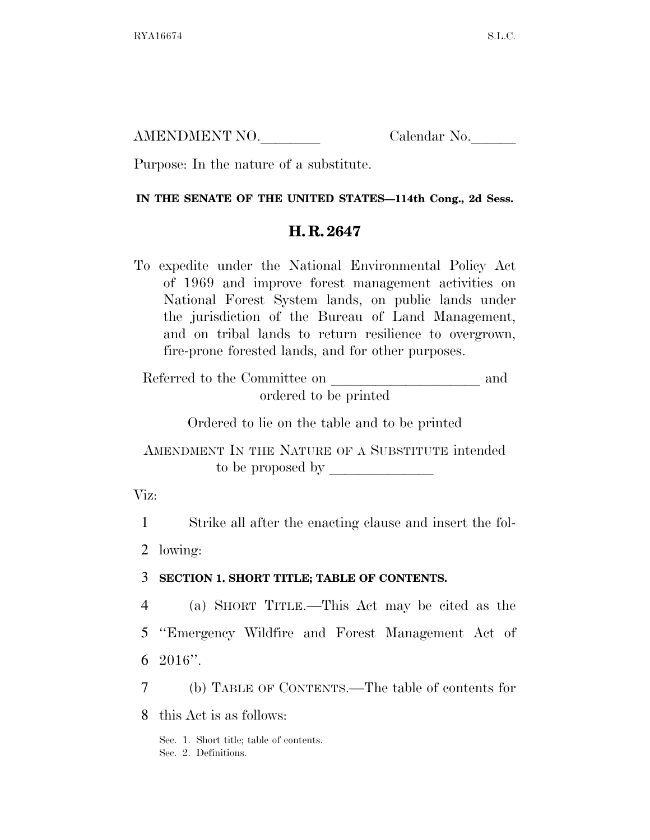AMENDMENT NO. Calendar No.

Purpose: In the nature of a substitute.

### **IN THE SENATE OF THE UNITED STATES—114th Cong., 2d Sess.**

# **H. R. 2647**

To expedite under the National Environmental Policy Act of 1969 and improve forest management activities on National Forest System lands, on public lands under the jurisdiction of the Bureau of Land Management, and on tribal lands to return resilience to overgrown, fire-prone forested lands, and for other purposes.

Referred to the Committee on and ordered to be printed

Ordered to lie on the table and to be printed

AMENDMENT IN THE NATURE OF A SUBSTITUTE intended to be proposed by  $\overline{\phantom{a}}$ 

Viz:

1 Strike all after the enacting clause and insert the fol-

2 lowing:

## 3 **SECTION 1. SHORT TITLE; TABLE OF CONTENTS.**

4 (a) SHORT TITLE.—This Act may be cited as the 5 ''Emergency Wildfire and Forest Management Act of 6 2016''.

7 (b) TABLE OF CONTENTS.—The table of contents for

8 this Act is as follows:

Sec. 1. Short title; table of contents. Sec. 2. Definitions.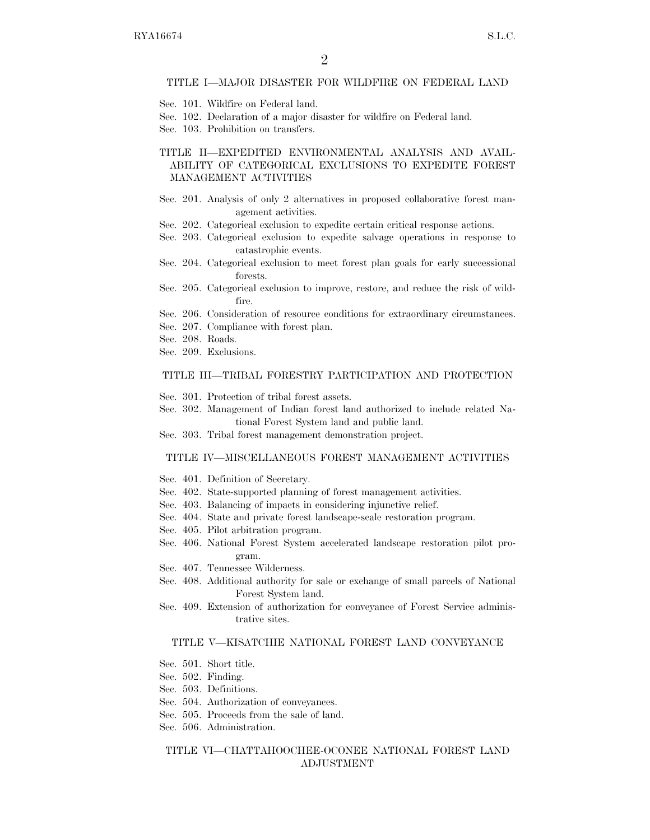### TITLE I—MAJOR DISASTER FOR WILDFIRE ON FEDERAL LAND

- Sec. 101. Wildfire on Federal land.
- Sec. 102. Declaration of a major disaster for wildfire on Federal land.
- Sec. 103. Prohibition on transfers.

### TITLE II—EXPEDITED ENVIRONMENTAL ANALYSIS AND AVAIL-ABILITY OF CATEGORICAL EXCLUSIONS TO EXPEDITE FOREST MANAGEMENT ACTIVITIES

- Sec. 201. Analysis of only 2 alternatives in proposed collaborative forest management activities.
- Sec. 202. Categorical exclusion to expedite certain critical response actions.
- Sec. 203. Categorical exclusion to expedite salvage operations in response to catastrophic events.
- Sec. 204. Categorical exclusion to meet forest plan goals for early successional forests.
- Sec. 205. Categorical exclusion to improve, restore, and reduce the risk of wildfire.
- Sec. 206. Consideration of resource conditions for extraordinary circumstances.
- Sec. 207. Compliance with forest plan.
- Sec. 208. Roads.
- Sec. 209. Exclusions.

#### TITLE III—TRIBAL FORESTRY PARTICIPATION AND PROTECTION

- Sec. 301. Protection of tribal forest assets.
- Sec. 302. Management of Indian forest land authorized to include related National Forest System land and public land.
- Sec. 303. Tribal forest management demonstration project.

#### TITLE IV—MISCELLANEOUS FOREST MANAGEMENT ACTIVITIES

- Sec. 401. Definition of Secretary.
- Sec. 402. State-supported planning of forest management activities.
- Sec. 403. Balancing of impacts in considering injunctive relief.
- Sec. 404. State and private forest landscape-scale restoration program.
- Sec. 405. Pilot arbitration program.
- Sec. 406. National Forest System accelerated landscape restoration pilot program.
- Sec. 407. Tennessee Wilderness.
- Sec. 408. Additional authority for sale or exchange of small parcels of National Forest System land.
- Sec. 409. Extension of authorization for conveyance of Forest Service administrative sites.

### TITLE V—KISATCHIE NATIONAL FOREST LAND CONVEYANCE

- Sec. 501. Short title.
- Sec. 502. Finding.
- Sec. 503. Definitions.
- Sec. 504. Authorization of conveyances.
- Sec. 505. Proceeds from the sale of land.
- Sec. 506. Administration.

### TITLE VI—CHATTAHOOCHEE-OCONEE NATIONAL FOREST LAND ADJUSTMENT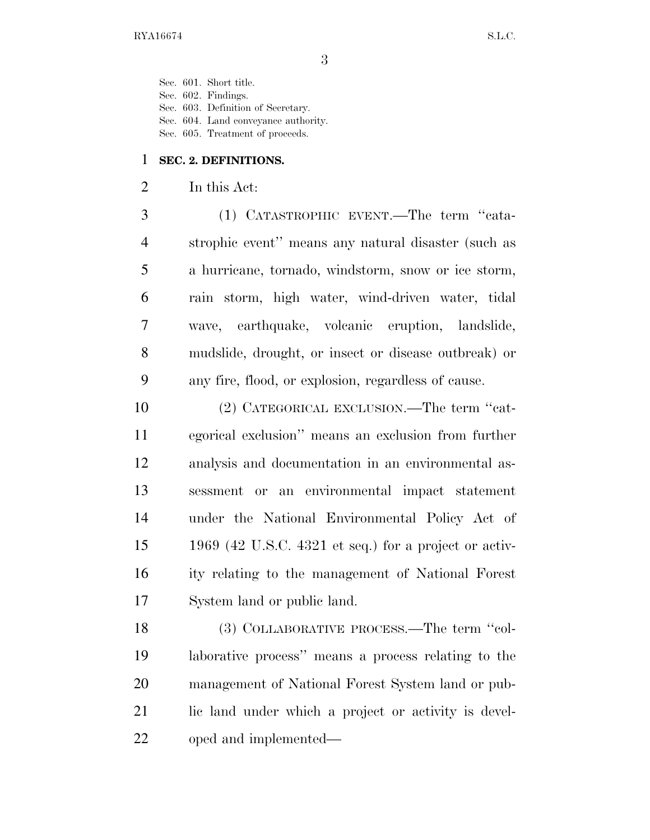Sec. 601. Short title. Sec. 602. Findings.

Sec. 603. Definition of Secretary.

Sec. 604. Land conveyance authority.

Sec. 605. Treatment of proceeds.

### **SEC. 2. DEFINITIONS.**

## In this Act:

 (1) CATASTROPHIC EVENT.—The term ''cata- strophic event'' means any natural disaster (such as a hurricane, tornado, windstorm, snow or ice storm, rain storm, high water, wind-driven water, tidal wave, earthquake, volcanic eruption, landslide, mudslide, drought, or insect or disease outbreak) or any fire, flood, or explosion, regardless of cause.

 (2) CATEGORICAL EXCLUSION.—The term ''cat- egorical exclusion'' means an exclusion from further analysis and documentation in an environmental as- sessment or an environmental impact statement under the National Environmental Policy Act of 1969 (42 U.S.C. 4321 et seq.) for a project or activ- ity relating to the management of National Forest System land or public land.

 (3) COLLABORATIVE PROCESS.—The term ''col- laborative process'' means a process relating to the management of National Forest System land or pub-21 lic land under which a project or activity is devel-oped and implemented—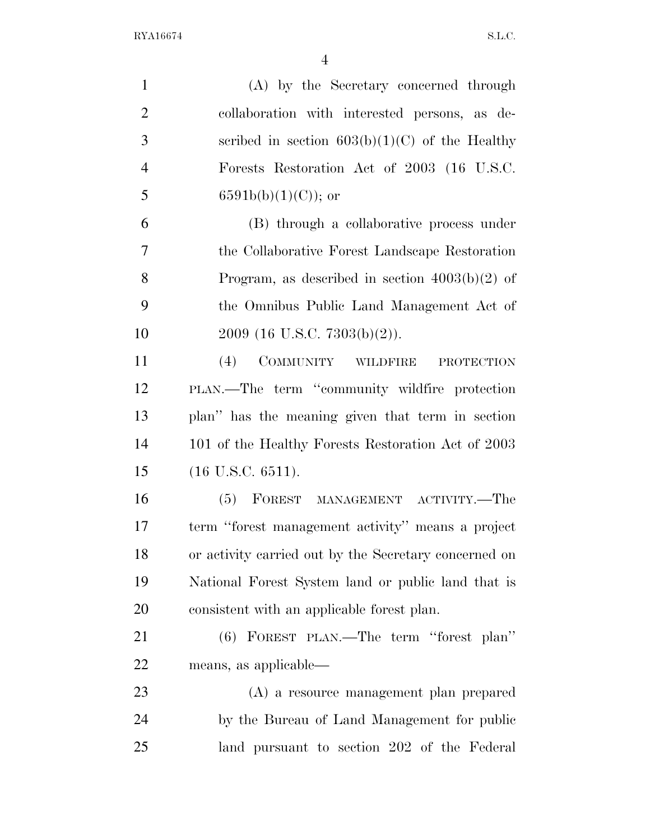| $\mathbf{1}$   | (A) by the Secretary concerned through                |
|----------------|-------------------------------------------------------|
| $\overline{2}$ | collaboration with interested persons, as de-         |
| 3              | scribed in section $603(b)(1)(C)$ of the Healthy      |
| $\overline{4}$ | Forests Restoration Act of 2003 (16 U.S.C.            |
| 5              | $6591b(b)(1)(C)$ ; or                                 |
| 6              | (B) through a collaborative process under             |
| $\overline{7}$ | the Collaborative Forest Landscape Restoration        |
| 8              | Program, as described in section $4003(b)(2)$ of      |
| 9              | the Omnibus Public Land Management Act of             |
| 10             | $2009$ (16 U.S.C. 7303(b)(2)).                        |
| 11             | COMMUNITY WILDFIRE<br>(4)<br><b>PROTECTION</b>        |
| 12             | PLAN.—The term "community wildfire protection         |
| 13             | plan" has the meaning given that term in section      |
| 14             | 101 of the Healthy Forests Restoration Act of 2003    |
| 15             | $(16$ U.S.C. $6511)$ .                                |
| 16             | (5) FOREST MANAGEMENT ACTIVITY.—The                   |
| 17             | term "forest management activity" means a project     |
| 18             | or activity carried out by the Secretary concerned on |
| 19             | National Forest System land or public land that is    |
| 20             | consistent with an applicable forest plan.            |
| 21             | (6) FOREST PLAN.—The term "forest plan"               |
| 22             | means, as applicable—                                 |
| 23             | (A) a resource management plan prepared               |
| 24             | by the Bureau of Land Management for public           |
| 25             | land pursuant to section 202 of the Federal           |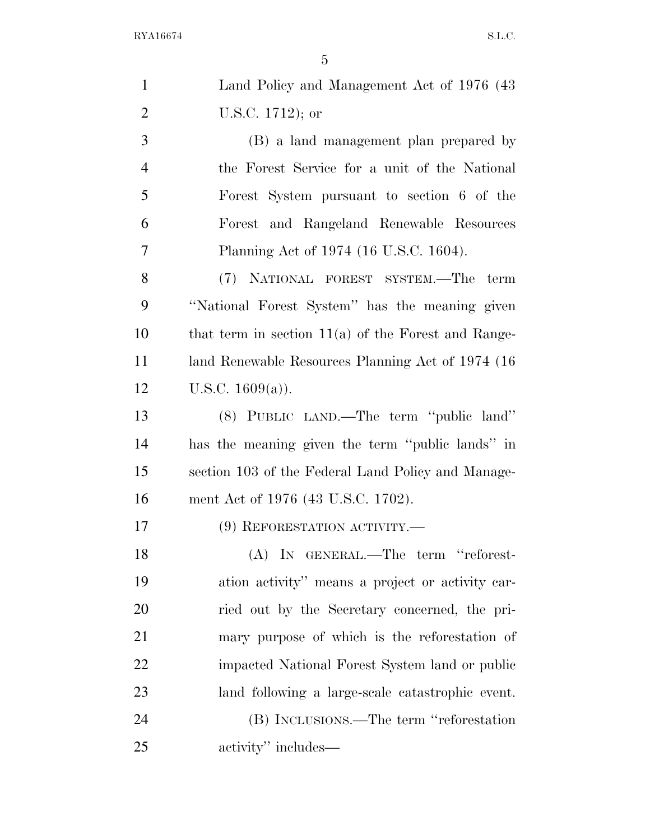| $\mathbf{1}$   | Land Policy and Management Act of 1976 (43)           |
|----------------|-------------------------------------------------------|
| $\overline{2}$ | U.S.C. $1712$ ); or                                   |
| 3              | (B) a land management plan prepared by                |
| $\overline{4}$ | the Forest Service for a unit of the National         |
| 5              | Forest System pursuant to section 6 of the            |
| 6              | Forest and Rangeland Renewable Resources              |
| 7              | Planning Act of 1974 (16 U.S.C. 1604).                |
| 8              | (7) NATIONAL FOREST SYSTEM.—The term                  |
| 9              | "National Forest System" has the meaning given        |
| 10             | that term in section $11(a)$ of the Forest and Range- |
| 11             | land Renewable Resources Planning Act of 1974 (16)    |
| 12             | U.S.C. $1609(a)$ ).                                   |
| 13             | (8) PUBLIC LAND.—The term "public land"               |
| 14             | has the meaning given the term "public lands" in      |
| 15             | section 103 of the Federal Land Policy and Manage-    |
| 16             | ment Act of 1976 (43 U.S.C. 1702).                    |
| 17             | (9) REFORESTATION ACTIVITY.-                          |
| 18             | (A) IN GENERAL.—The term "reforest-                   |
| 19             | ation activity" means a project or activity car-      |
| 20             | ried out by the Secretary concerned, the pri-         |
| 21             | mary purpose of which is the reforestation of         |
| 22             | impacted National Forest System land or public        |
| 23             | land following a large-scale catastrophic event.      |
| 24             | (B) INCLUSIONS.—The term "reforestation               |
| 25             | activity" includes—                                   |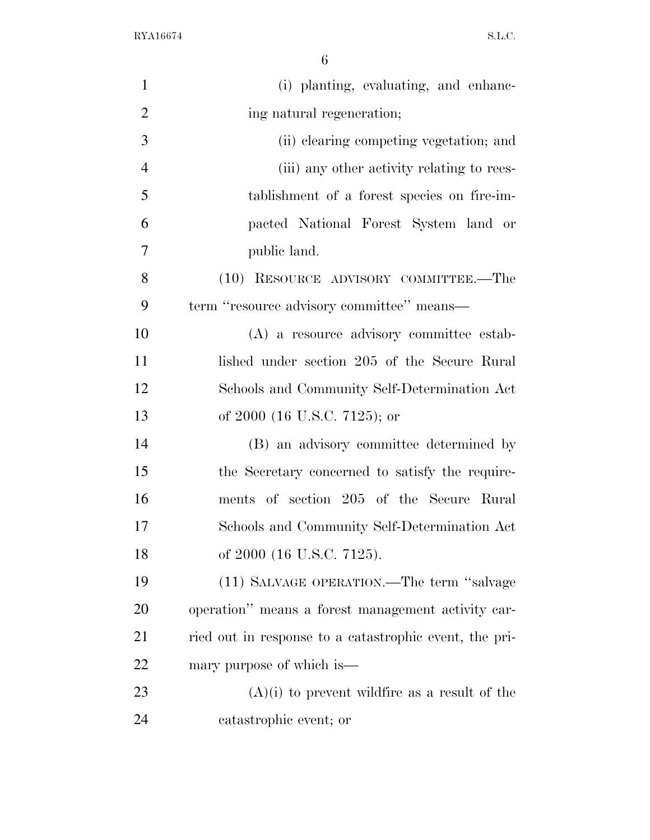| $\mathbf{1}$   | (i) planting, evaluating, and enhanc-                  |
|----------------|--------------------------------------------------------|
| $\overline{2}$ | ing natural regeneration;                              |
| 3              | (ii) clearing competing vegetation; and                |
| $\overline{4}$ | (iii) any other activity relating to rees-             |
| 5              | tablishment of a forest species on fire-im-            |
| 6              | pacted National Forest System land or                  |
| 7              | public land.                                           |
| 8              | (10) RESOURCE ADVISORY COMMITTEE.—The                  |
| 9              | term "resource advisory committee" means—              |
| 10             | (A) a resource advisory committee estab-               |
| 11             | lished under section 205 of the Secure Rural           |
| 12             | Schools and Community Self-Determination Act           |
| 13             | of 2000 (16 U.S.C. 7125); or                           |
| 14             | (B) an advisory committee determined by                |
| 15             | the Secretary concerned to satisfy the require-        |
| 16             | ments of section 205 of the Secure Rural               |
| 17             | Schools and Community Self-Determination Act           |
| 18             | of 2000 (16 U.S.C. 7125).                              |
| 19             | (11) SALVAGE OPERATION.—The term "salvage              |
| 20             | operation" means a forest management activity car-     |
| 21             | ried out in response to a catastrophic event, the pri- |
| 22             | mary purpose of which is—                              |
| 23             | $(A)(i)$ to prevent wildfire as a result of the        |
| 24             | catastrophic event; or                                 |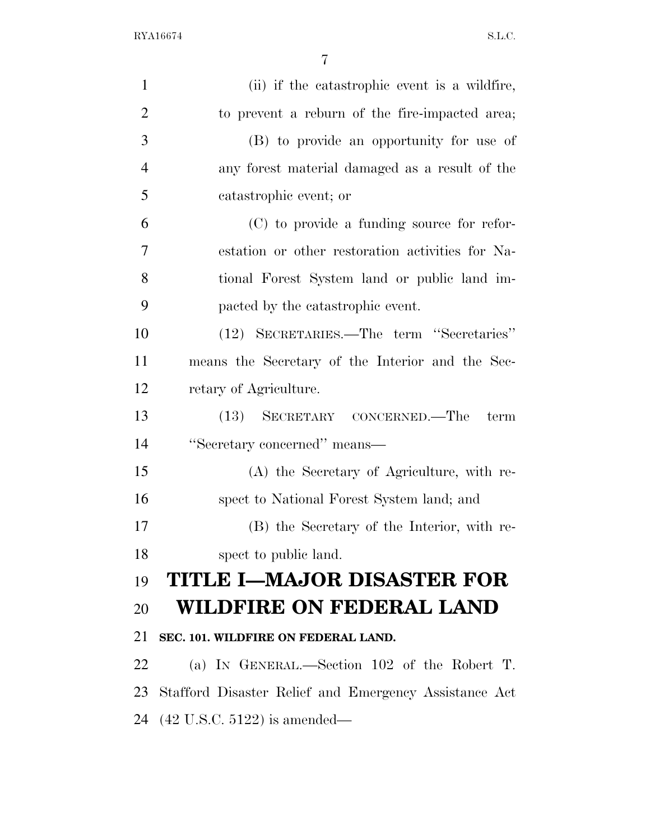| $\mathbf{1}$   | (ii) if the catastrophic event is a wildfire,         |
|----------------|-------------------------------------------------------|
| $\overline{2}$ | to prevent a reburn of the fire-impacted area;        |
| 3              | (B) to provide an opportunity for use of              |
| $\overline{4}$ | any forest material damaged as a result of the        |
| 5              | catastrophic event; or                                |
| 6              | (C) to provide a funding source for refor-            |
| $\overline{7}$ | estation or other restoration activities for Na-      |
| 8              | tional Forest System land or public land im-          |
| 9              | pacted by the catastrophic event.                     |
| 10             | (12) SECRETARIES.—The term "Secretaries"              |
| 11             | means the Secretary of the Interior and the Sec-      |
| 12             | retary of Agriculture.                                |
| 13             | (13) SECRETARY CONCERNED.—The<br>term                 |
| 14             | "Secretary concerned" means—                          |
| 15             | (A) the Secretary of Agriculture, with re-            |
| 16             | spect to National Forest System land; and             |
| 17             | (B) the Secretary of the Interior, with re-           |
| 18             | spect to public land.                                 |
| 19             | <b>TITLE I-MAJOR DISASTER FOR</b>                     |
| 20             | WILDFIRE ON FEDERAL LAND                              |
| 21             | SEC. 101. WILDFIRE ON FEDERAL LAND.                   |
| 22             | (a) IN GENERAL.—Section 102 of the Robert T.          |
| 23             | Stafford Disaster Relief and Emergency Assistance Act |
|                | 24 (42 U.S.C. 5122) is amended—                       |
|                |                                                       |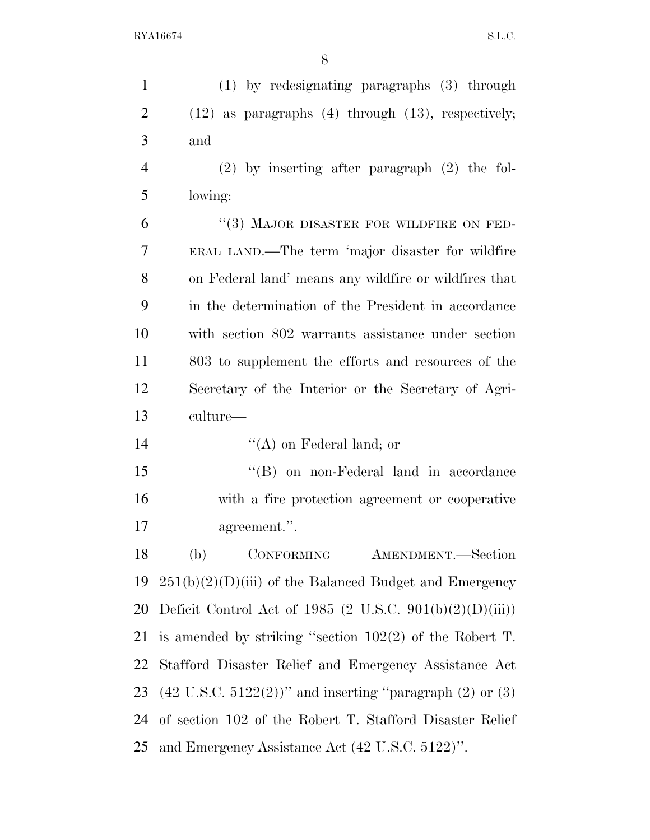| $\mathbf{1}$   | (1) by redesignating paragraphs (3) through                                |
|----------------|----------------------------------------------------------------------------|
| $\overline{2}$ | $(12)$ as paragraphs $(4)$ through $(13)$ , respectively;                  |
| 3              | and                                                                        |
| $\overline{4}$ | $(2)$ by inserting after paragraph $(2)$ the fol-                          |
| 5              | lowing:                                                                    |
| 6              | "(3) MAJOR DISASTER FOR WILDFIRE ON FED-                                   |
| $\tau$         | ERAL LAND.—The term 'major disaster for wildfire                           |
| 8              | on Federal land' means any wildfire or wildfires that                      |
| 9              | in the determination of the President in accordance                        |
| 10             | with section 802 warrants assistance under section                         |
| 11             | 803 to supplement the efforts and resources of the                         |
| 12             | Secretary of the Interior or the Secretary of Agri-                        |
| 13             | culture—                                                                   |
|                |                                                                            |
| 14             | $\lq\lq$ (A) on Federal land; or                                           |
| 15             | "(B) on non-Federal land in accordance                                     |
| 16             | with a fire protection agreement or cooperative                            |
| 17             | agreement.".                                                               |
| 18             | CONFORMING<br>(b)<br>AMENDMENT.-Section                                    |
| 19             | $251(b)(2)(D)(iii)$ of the Balanced Budget and Emergency                   |
| 20             | Deficit Control Act of 1985 (2 U.S.C. 901(b)(2)(D)(iii))                   |
| 21             | is amended by striking "section $102(2)$ of the Robert T.                  |
| 22             | Stafford Disaster Relief and Emergency Assistance Act                      |
| 23             | $(42 \text{ U.S.C. } 5122(2))$ " and inserting "paragraph $(2)$ or $(3)$ " |
| 24             | of section 102 of the Robert T. Stafford Disaster Relief                   |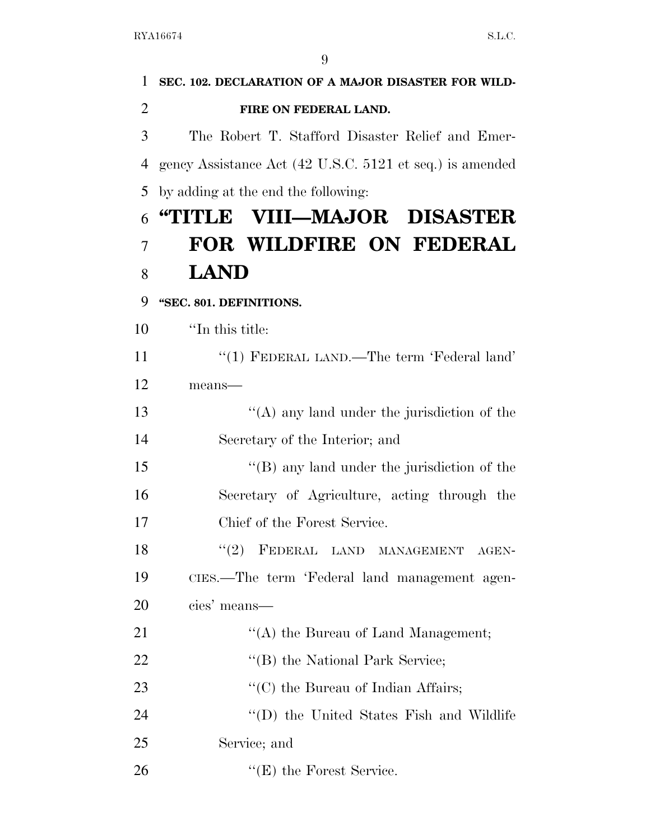| 1              | SEC. 102. DECLARATION OF A MAJOR DISASTER FOR WILD-      |
|----------------|----------------------------------------------------------|
| $\overline{2}$ | FIRE ON FEDERAL LAND.                                    |
| 3              | The Robert T. Stafford Disaster Relief and Emer-         |
| 4              | gency Assistance Act (42 U.S.C. 5121 et seq.) is amended |
| 5              | by adding at the end the following:                      |
| 6              | "TITLE VIII—MAJOR DISASTER                               |
| 7              | FOR WILDFIRE ON FEDERAL                                  |
| 8              | <b>LAND</b>                                              |
| 9              | "SEC. 801. DEFINITIONS.                                  |
| 10             | "In this title:                                          |
| 11             | "(1) FEDERAL LAND.—The term 'Federal land'               |
| 12             | means-                                                   |
| 13             | "(A) any land under the jurisdiction of the              |
| 14             | Secretary of the Interior; and                           |
| 15             | "(B) any land under the jurisdiction of the              |
| 16             | Secretary of Agriculture, acting through the             |
| 17             | Chief of the Forest Service.                             |
| 18             | "(2) FEDERAL LAND MANAGEMENT AGEN-                       |
| 19             | CIES.—The term 'Federal land management agen-            |
| 20             | cies' means—                                             |
| 21             | "(A) the Bureau of Land Management;                      |
| 22             | "(B) the National Park Service;                          |
| 23             | $\lq\lq$ (C) the Bureau of Indian Affairs;               |
| 24             | "(D) the United States Fish and Wildlife                 |
| 25             | Service; and                                             |
| 26             | $f'(E)$ the Forest Service.                              |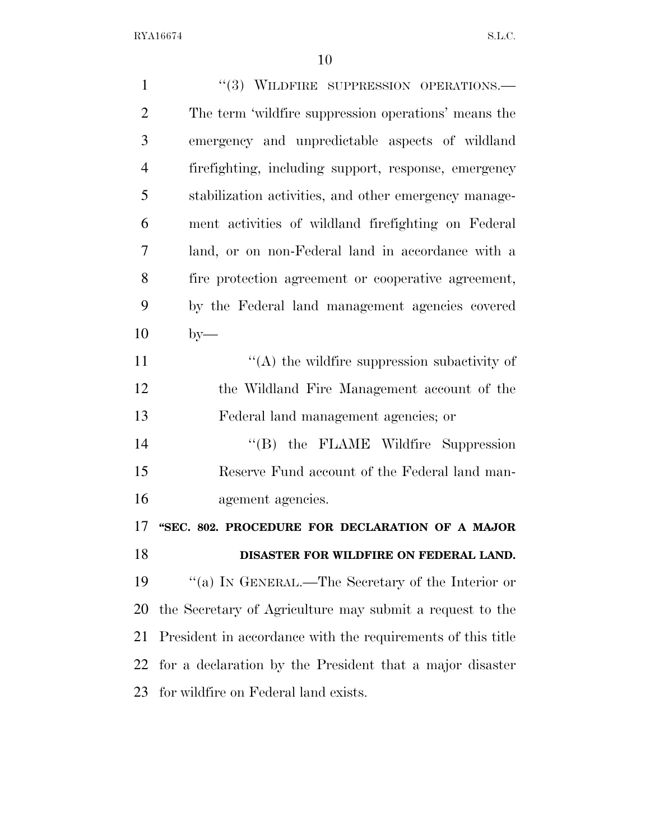| $\mathbf{1}$   | $"$ (3) WILDFIRE SUPPRESSION OPERATIONS.—                   |
|----------------|-------------------------------------------------------------|
| $\overline{2}$ | The term 'wildfire suppression operations' means the        |
| 3              | emergency and unpredictable aspects of wildland             |
| $\overline{4}$ | firefighting, including support, response, emergency        |
| 5              | stabilization activities, and other emergency manage-       |
| 6              | ment activities of wildland firefighting on Federal         |
| $\overline{7}$ | land, or on non-Federal land in accordance with a           |
| 8              | fire protection agreement or cooperative agreement,         |
| 9              | by the Federal land management agencies covered             |
| 10             | $by-$                                                       |
| 11             | $\lq\lq$ the wildfire suppression subactivity of            |
| 12             | the Wildland Fire Management account of the                 |
| 13             | Federal land management agencies; or                        |
| 14             | "(B) the FLAME Wildfire Suppression                         |
| 15             | Reserve Fund account of the Federal land man-               |
| 16             | agement agencies.                                           |
| 17             | "SEC. 802. PROCEDURE FOR DECLARATION OF A MAJOR             |
| 18             | DISASTER FOR WILDFIRE ON FEDERAL LAND.                      |
| 19             | "(a) IN GENERAL.—The Secretary of the Interior or           |
| 20             | the Secretary of Agriculture may submit a request to the    |
| 21             | President in accordance with the requirements of this title |
| 22             | for a declaration by the President that a major disaster    |
| 23             | for wildfire on Federal land exists.                        |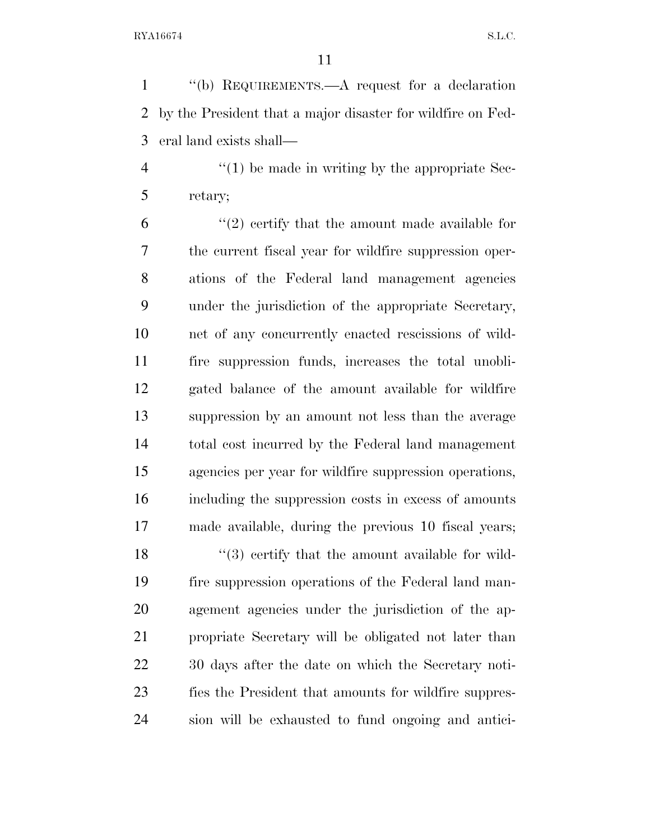''(b) REQUIREMENTS.—A request for a declaration by the President that a major disaster for wildfire on Fed-eral land exists shall—

4  $\frac{4}{1}$  be made in writing by the appropriate Sec-retary;

 $(2)$  certify that the amount made available for the current fiscal year for wildfire suppression oper- ations of the Federal land management agencies under the jurisdiction of the appropriate Secretary, net of any concurrently enacted rescissions of wild- fire suppression funds, increases the total unobli- gated balance of the amount available for wildfire suppression by an amount not less than the average total cost incurred by the Federal land management agencies per year for wildfire suppression operations, including the suppression costs in excess of amounts made available, during the previous 10 fiscal years;  $\frac{1}{3}$  certify that the amount available for wild- fire suppression operations of the Federal land man- agement agencies under the jurisdiction of the ap- propriate Secretary will be obligated not later than 30 days after the date on which the Secretary noti- fies the President that amounts for wildfire suppres-sion will be exhausted to fund ongoing and antici-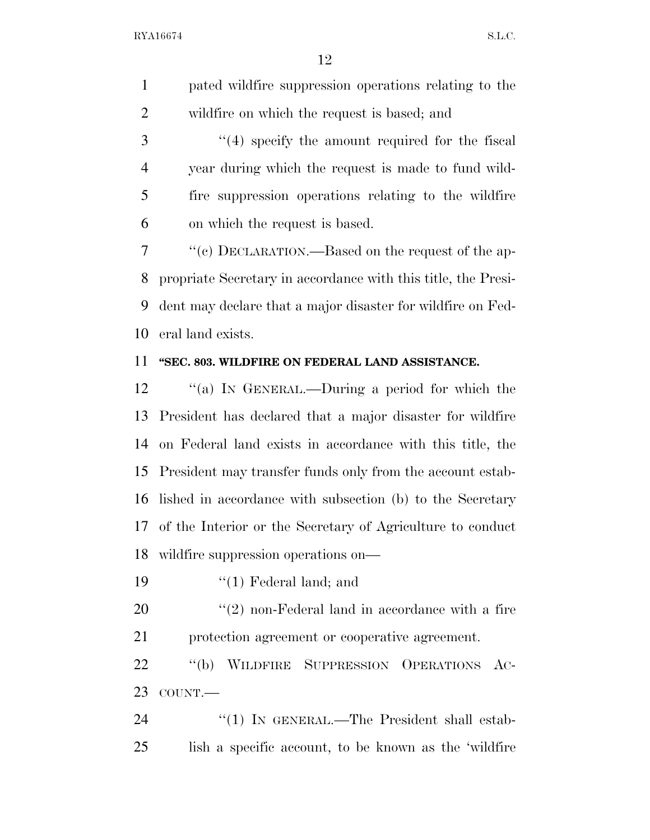pated wildfire suppression operations relating to the wildfire on which the request is based; and

3 "(4) specify the amount required for the fiscal year during which the request is made to fund wild- fire suppression operations relating to the wildfire on which the request is based.

 ''(c) DECLARATION.—Based on the request of the ap- propriate Secretary in accordance with this title, the Presi- dent may declare that a major disaster for wildfire on Fed-eral land exists.

### **''SEC. 803. WILDFIRE ON FEDERAL LAND ASSISTANCE.**

 ''(a) IN GENERAL.—During a period for which the President has declared that a major disaster for wildfire on Federal land exists in accordance with this title, the President may transfer funds only from the account estab- lished in accordance with subsection (b) to the Secretary of the Interior or the Secretary of Agriculture to conduct wildfire suppression operations on—

19 ''(1) Federal land; and

 ''(2) non-Federal land in accordance with a fire protection agreement or cooperative agreement.

 ''(b) WILDFIRE SUPPRESSION OPERATIONS AC-COUNT.—

24 "(1) IN GENERAL.—The President shall estab-lish a specific account, to be known as the 'wildfire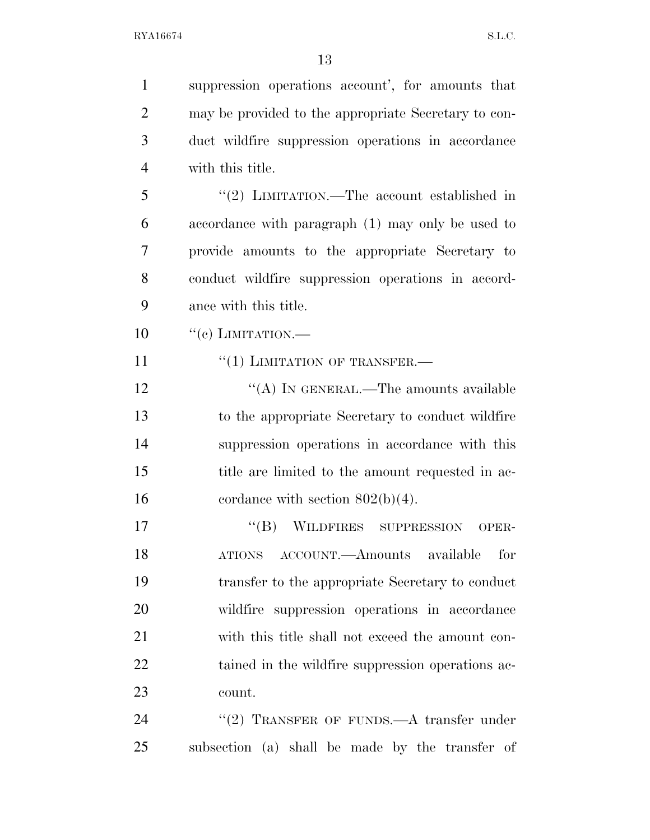| $\mathbf{1}$   | suppression operations account', for amounts that    |
|----------------|------------------------------------------------------|
| $\overline{2}$ | may be provided to the appropriate Secretary to con- |
| 3              | duct wildfire suppression operations in accordance   |
| $\overline{4}$ | with this title.                                     |
| 5              | "(2) LIMITATION.—The account established in          |
| 6              | accordance with paragraph (1) may only be used to    |
| $\overline{7}$ | provide amounts to the appropriate Secretary to      |
| 8              | conduct wildfire suppression operations in accord-   |
| 9              | ance with this title.                                |
| 10             | $``(e)$ LIMITATION.—                                 |
| 11             | $``(1)$ LIMITATION OF TRANSFER.—                     |
| 12             | "(A) IN GENERAL.—The amounts available               |
| 13             | to the appropriate Secretary to conduct wildfire     |
| 14             | suppression operations in accordance with this       |
| 15             | title are limited to the amount requested in ac-     |
| 16             | cordance with section $802(b)(4)$ .                  |
| 17             | WILDFIRES SUPPRESSION<br>$\lq\lq (B)$<br>OPER-       |
| 18             | ATIONS ACCOUNT.—Amounts available<br>for             |
| 19             | transfer to the appropriate Secretary to conduct     |
| 20             | wildfire suppression operations in accordance        |
| 21             | with this title shall not exceed the amount con-     |
| 22             | tained in the wildfire suppression operations ac-    |
| 23             | count.                                               |
| 24             | "(2) TRANSFER OF FUNDS.—A transfer under             |
| 25             | subsection (a) shall be made by the transfer of      |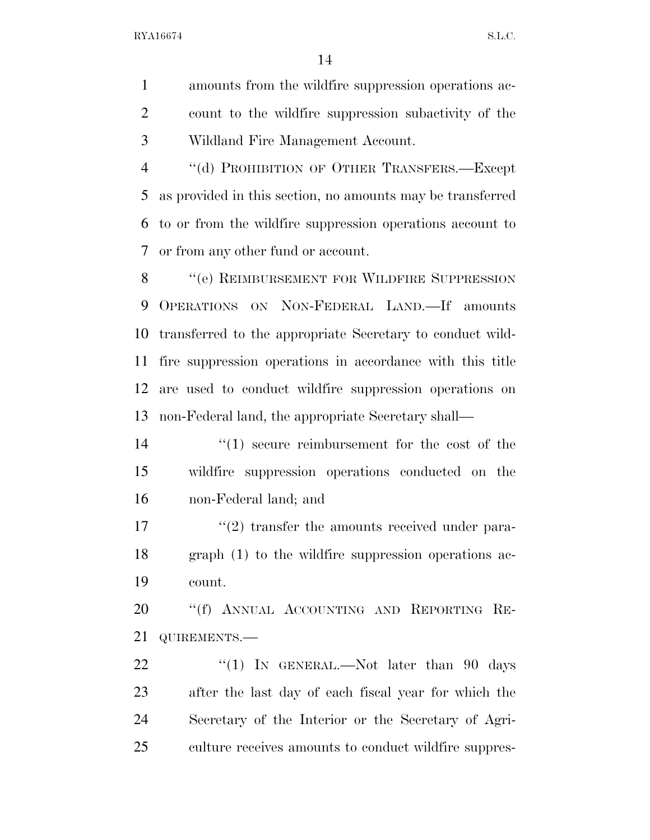amounts from the wildfire suppression operations ac- count to the wildfire suppression subactivity of the Wildland Fire Management Account.

4 "(d) PROHIBITION OF OTHER TRANSFERS.—Except as provided in this section, no amounts may be transferred to or from the wildfire suppression operations account to or from any other fund or account.

8 "(e) REIMBURSEMENT FOR WILDFIRE SUPPRESSION OPERATIONS ON NON-FEDERAL LAND.—If amounts transferred to the appropriate Secretary to conduct wild- fire suppression operations in accordance with this title are used to conduct wildfire suppression operations on non-Federal land, the appropriate Secretary shall—

14  $\frac{1}{2}$  (1) secure reimbursement for the cost of the wildfire suppression operations conducted on the non-Federal land; and

17 ''(2) transfer the amounts received under para- graph (1) to the wildfire suppression operations ac-count.

20 "(f) ANNUAL ACCOUNTING AND REPORTING RE-QUIREMENTS.—

22 "(1) IN GENERAL.—Not later than 90 days after the last day of each fiscal year for which the Secretary of the Interior or the Secretary of Agri-culture receives amounts to conduct wildfire suppres-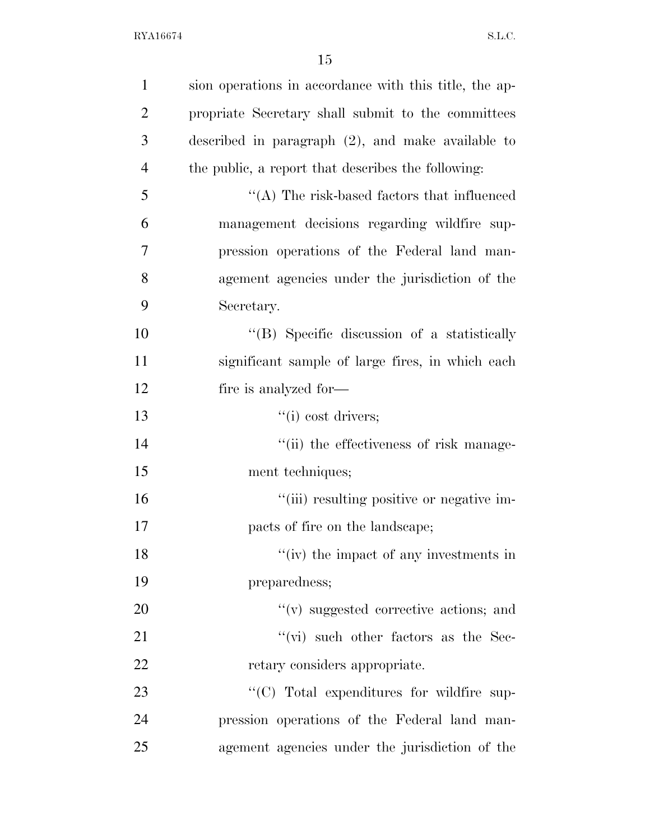| $\mathbf{1}$   | sion operations in accordance with this title, the ap-                                                                                                                                                                         |
|----------------|--------------------------------------------------------------------------------------------------------------------------------------------------------------------------------------------------------------------------------|
| $\overline{2}$ | propriate Secretary shall submit to the committees                                                                                                                                                                             |
| 3              | described in paragraph $(2)$ , and make available to                                                                                                                                                                           |
| $\overline{4}$ | the public, a report that describes the following:                                                                                                                                                                             |
| 5              | $\lq\lq$ . The risk-based factors that influenced                                                                                                                                                                              |
| 6              | management decisions regarding wildfire sup-                                                                                                                                                                                   |
| 7              | pression operations of the Federal land man-                                                                                                                                                                                   |
| 8              | agement agencies under the jurisdiction of the                                                                                                                                                                                 |
| 9              | Secretary.                                                                                                                                                                                                                     |
| 10             | "(B) Specific discussion of a statistically                                                                                                                                                                                    |
| 11             | significant sample of large fires, in which each                                                                                                                                                                               |
| 12             | fire is analyzed for—                                                                                                                                                                                                          |
| 13             | ``(i) cost drivers;                                                                                                                                                                                                            |
| 14             | "(ii) the effectiveness of risk manage-                                                                                                                                                                                        |
| 15             | ment techniques;                                                                                                                                                                                                               |
| 16             | "(iii) resulting positive or negative im-                                                                                                                                                                                      |
| 17             | pacts of fire on the landscape;                                                                                                                                                                                                |
| 18             | "(iv) the impact of any investments in                                                                                                                                                                                         |
| 19             | preparedness;                                                                                                                                                                                                                  |
| 20             | $f'(v)$ suggested corrective actions; and                                                                                                                                                                                      |
| 21             | $``(\vec{vi})$ such other factors as the Sec-                                                                                                                                                                                  |
| 22             | retary considers appropriate.                                                                                                                                                                                                  |
| 23             | $\lq\lq$ $\lq$ $\lq$ $\lq$ $\lq$ $\lq$ $\lq$ $\lq$ $\lq$ $\lq$ $\lq$ $\lq$ $\lq$ $\lq$ $\lq$ $\lq$ $\lq$ $\lq$ $\lq$ $\lq$ $\lq$ $\lq$ $\lq$ $\lq$ $\lq$ $\lq$ $\lq$ $\lq$ $\lq$ $\lq$ $\lq$ $\lq$ $\lq$ $\lq$ $\lq$ $\lq$ $\$ |
| 24             | pression operations of the Federal land man-                                                                                                                                                                                   |
| 25             | agement agencies under the jurisdiction of the                                                                                                                                                                                 |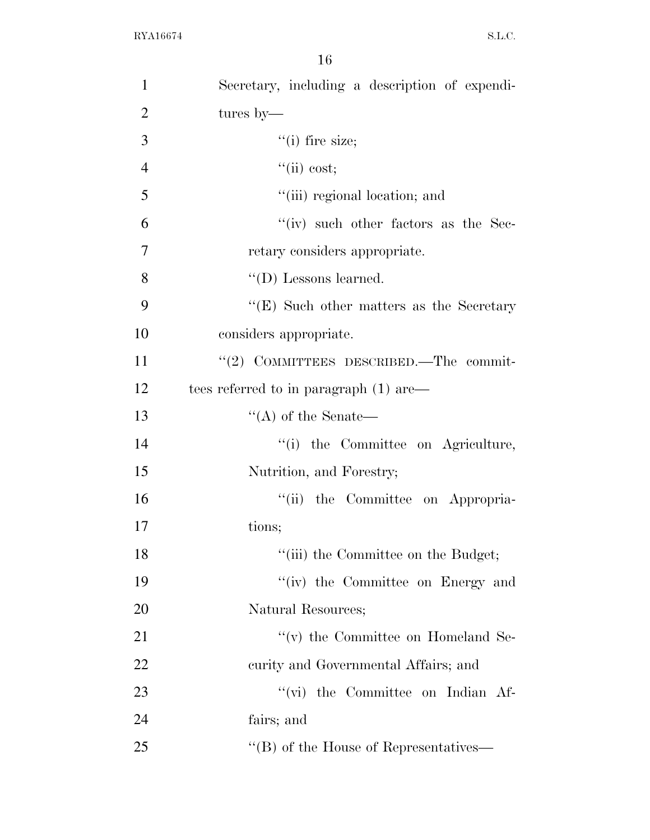| $\mathbf{1}$   | Secretary, including a description of expendi- |
|----------------|------------------------------------------------|
| $\overline{2}$ | tures by—                                      |
| 3              | $``(i)$ fire size;                             |
| $\overline{4}$ | ``(ii) cost;                                   |
| 5              | "(iii) regional location; and                  |
| 6              | $``(iv)$ such other factors as the Sec-        |
| 7              | retary considers appropriate.                  |
| 8              | $\lq\lq$ (D) Lessons learned.                  |
| 9              | " $(E)$ Such other matters as the Secretary"   |
| 10             | considers appropriate.                         |
| 11             | "(2) COMMITTEES DESCRIBED.—The commit-         |
| 12             | tees referred to in paragraph (1) are—         |
| 13             | $\lq\lq$ of the Senate—                        |
| 14             | "(i) the Committee on Agriculture,             |
| 15             | Nutrition, and Forestry;                       |
| 16             | "(ii) the Committee on Appropria-              |
| 17             | tions;                                         |
| 18             | "(iii) the Committee on the Budget;            |
| 19             | "(iv) the Committee on Energy and              |
| 20             | Natural Resources;                             |
| 21             | $f'(v)$ the Committee on Homeland Se-          |
| 22             | curity and Governmental Affairs; and           |
| 23             | $\lq\lq$ (vi) the Committee on Indian Af-      |
| 24             | fairs; and                                     |
| 25             | "(B) of the House of Representatives—          |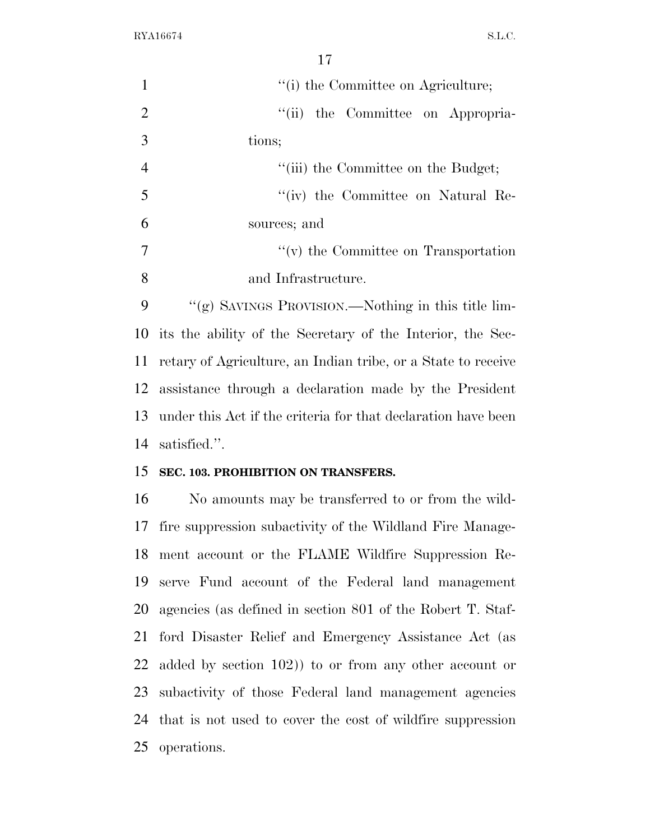| 17                                                            |
|---------------------------------------------------------------|
| "(i) the Committee on Agriculture;                            |
| the Committee on Appropria-<br>``(ii)                         |
| tions;                                                        |
| "(iii) the Committee on the Budget;                           |
| "(iv) the Committee on Natural Re-                            |
| sources; and                                                  |
| $f'(v)$ the Committee on Transportation                       |
| and Infrastructure.                                           |
| "(g) SAVINGS PROVISION.—Nothing in this title lim-            |
| its the ability of the Secretary of the Interior, the Sec-    |
| retary of Agriculture, an Indian tribe, or a State to receive |
| assistance through a declaration made by the President        |
| under this Act if the criteria for that declaration have been |
| satisfied.".                                                  |
| SEC. 103. PROHIBITION ON TRANSFERS.                           |
| No amounts may be transferred to or from the wild-            |
| 17 fire suppression subactivity of the Wildland Fire Manage-  |
| ment account or the FLAME Wildfire Suppression Re-            |
| 19<br>serve Fund account of the Federal land management       |
| agencies (as defined in section 801 of the Robert T. Staf-    |
| ford Disaster Relief and Emergency Assistance Act (as         |
| added by section $102$ ) to or from any other account or      |
| subactivity of those Federal land management agencies         |
|                                                               |

 that is not used to cover the cost of wildfire suppression operations.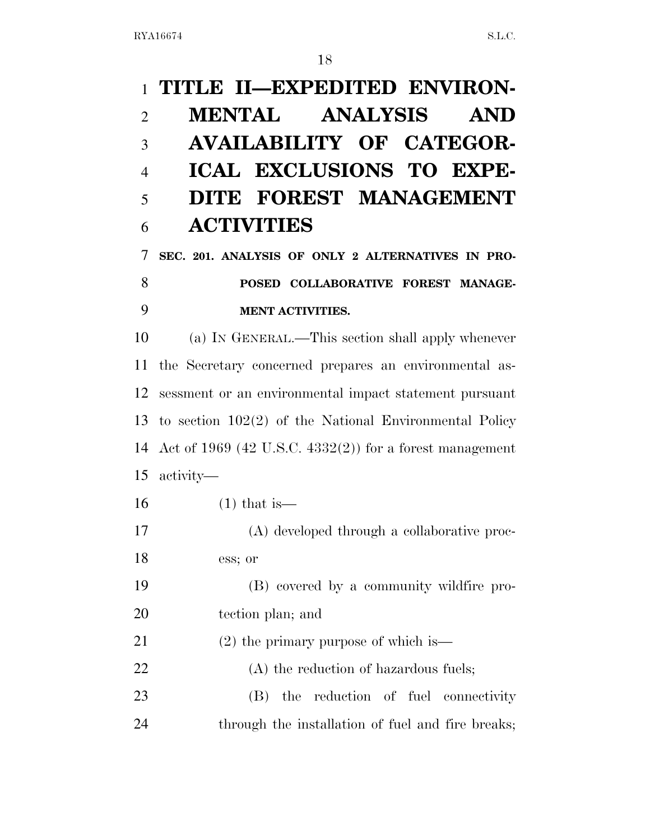# **TITLE II—EXPEDITED ENVIRON- MENTAL ANALYSIS AND AVAILABILITY OF CATEGOR- ICAL EXCLUSIONS TO EXPE- DITE FOREST MANAGEMENT ACTIVITIES SEC. 201. ANALYSIS OF ONLY 2 ALTERNATIVES IN PRO- POSED COLLABORATIVE FOREST MANAGE- MENT ACTIVITIES.**  (a) IN GENERAL.—This section shall apply whenever the Secretary concerned prepares an environmental as- sessment or an environmental impact statement pursuant to section 102(2) of the National Environmental Policy Act of 1969 (42 U.S.C. 4332(2)) for a forest management activity— (1) that is— (A) developed through a collaborative proc- ess; or (B) covered by a community wildfire pro- tection plan; and (2) the primary purpose of which is— 22 (A) the reduction of hazardous fuels; (B) the reduction of fuel connectivity through the installation of fuel and fire breaks;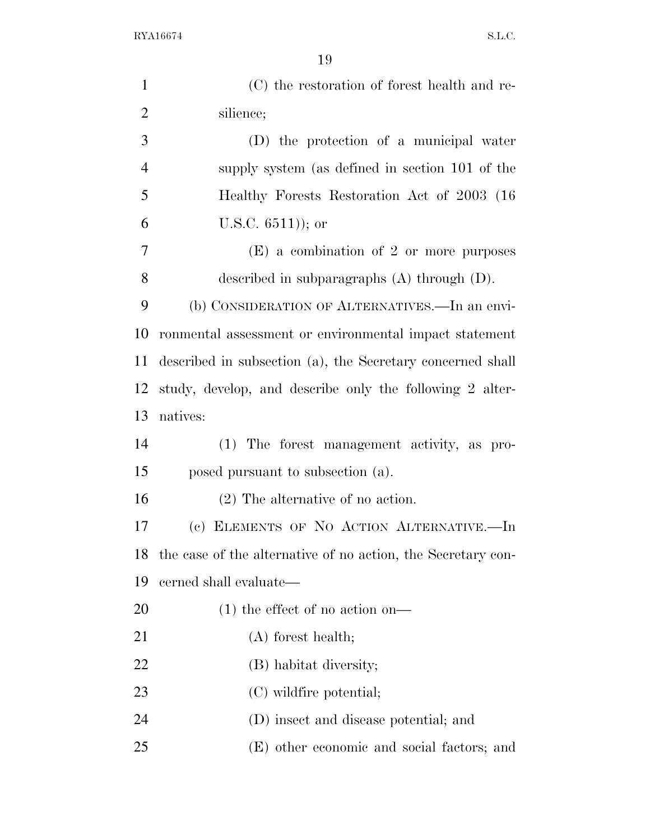| $\mathbf{1}$   | (C) the restoration of forest health and re-                 |
|----------------|--------------------------------------------------------------|
| $\overline{2}$ | silience;                                                    |
| 3              | (D) the protection of a municipal water                      |
| $\overline{4}$ | supply system (as defined in section 101 of the              |
| 5              | Healthy Forests Restoration Act of 2003 (16)                 |
| 6              | U.S.C. $6511$ ); or                                          |
| 7              | $(E)$ a combination of 2 or more purposes                    |
| 8              | described in subparagraphs $(A)$ through $(D)$ .             |
| 9              | (b) CONSIDERATION OF ALTERNATIVES.—In an envi-               |
| 10             | ronmental assessment or environmental impact statement       |
| 11             | described in subsection (a), the Secretary concerned shall   |
| 12             | study, develop, and describe only the following 2 alter-     |
| 13             | natives:                                                     |
| 14             | (1) The forest management activity, as pro-                  |
| 15             | posed pursuant to subsection (a).                            |
| 16             | $(2)$ The alternative of no action.                          |
| 17             | (c) ELEMENTS OF NO ACTION ALTERNATIVE.-In                    |
| 18             | the case of the alternative of no action, the Secretary con- |
| 19             | cerned shall evaluate—                                       |
| 20             | $(1)$ the effect of no action on—                            |
| 21             | $(A)$ forest health;                                         |
| 22             | (B) habitat diversity;                                       |
| 23             | (C) wildfire potential;                                      |
| 24             | (D) insect and disease potential; and                        |
| 25             | (E) other economic and social factors; and                   |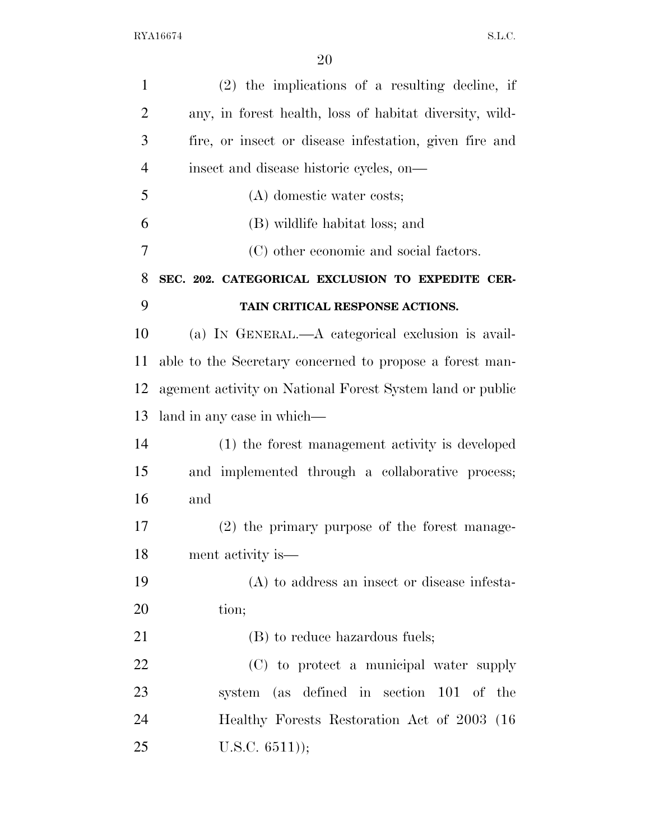| $\mathbf{1}$   | $(2)$ the implications of a resulting decline, if         |
|----------------|-----------------------------------------------------------|
| $\overline{2}$ | any, in forest health, loss of habitat diversity, wild-   |
| 3              | fire, or insect or disease infestation, given fire and    |
| $\overline{4}$ | insect and disease historic cycles, on-                   |
| 5              | (A) domestic water costs;                                 |
| 6              | (B) wildlife habitat loss; and                            |
| 7              | (C) other economic and social factors.                    |
| 8              | SEC. 202. CATEGORICAL EXCLUSION TO EXPEDITE CER-          |
| 9              | TAIN CRITICAL RESPONSE ACTIONS.                           |
| 10             | (a) IN GENERAL.—A categorical exclusion is avail-         |
| 11             | able to the Secretary concerned to propose a forest man-  |
| 12             | agement activity on National Forest System land or public |
| 13             | land in any case in which—                                |
| 14             | (1) the forest management activity is developed           |
| 15             | and implemented through a collaborative process;          |
| 16             | and                                                       |
| 17             | (2) the primary purpose of the forest manage-             |
| 18             | ment activity is—                                         |
| 19             | $(A)$ to address an insect or disease infesta-            |
| 20             | tion;                                                     |
| 21             | (B) to reduce hazardous fuels;                            |
| 22             | (C) to protect a municipal water supply                   |
| 23             | system (as defined in section 101 of the                  |
| 24             | Healthy Forests Restoration Act of 2003 (16)              |
| 25             | U.S.C. $6511$ );                                          |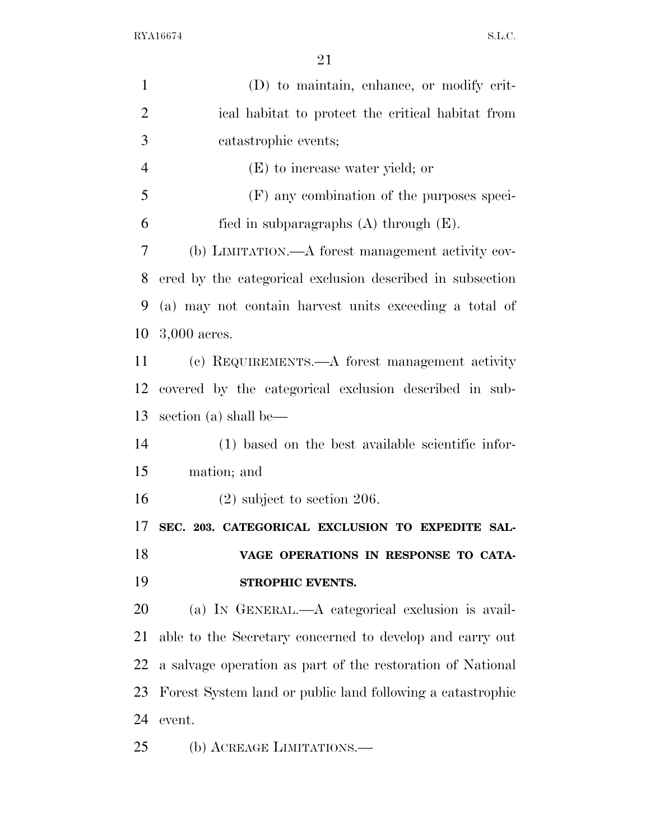| $\mathbf{1}$   | (D) to maintain, enhance, or modify crit-                  |
|----------------|------------------------------------------------------------|
| $\overline{2}$ | ical habitat to protect the critical habitat from          |
| 3              | catastrophic events;                                       |
| $\overline{4}$ | (E) to increase water yield; or                            |
| 5              | (F) any combination of the purposes speci-                 |
| 6              | fied in subparagraphs $(A)$ through $(E)$ .                |
| $\overline{7}$ | (b) LIMITATION.—A forest management activity cov-          |
| 8              | ered by the categorical exclusion described in subsection  |
| 9              | (a) may not contain harvest units exceeding a total of     |
| 10             | $3,000$ acres.                                             |
| 11             | (c) REQUIREMENTS.—A forest management activity             |
| 12             | covered by the categorical exclusion described in sub-     |
| 13             | section (a) shall be—                                      |
| 14             | (1) based on the best available scientific infor-          |
| 15             | mation; and                                                |
| 16             | $(2)$ subject to section 206.                              |
| 17             | SEC. 203. CATEGORICAL EXCLUSION TO EXPEDITE SAL-           |
| 18             | VAGE OPERATIONS IN RESPONSE TO CATA-                       |
| 19             | STROPHIC EVENTS.                                           |
| 20             | (a) IN GENERAL.—A categorical exclusion is avail-          |
| 21             | able to the Secretary concerned to develop and carry out   |
| 22             | a salvage operation as part of the restoration of National |
| 23             | Forest System land or public land following a catastrophic |
| 24             | event.                                                     |
| 25             | (b) ACREAGE LIMITATIONS.—                                  |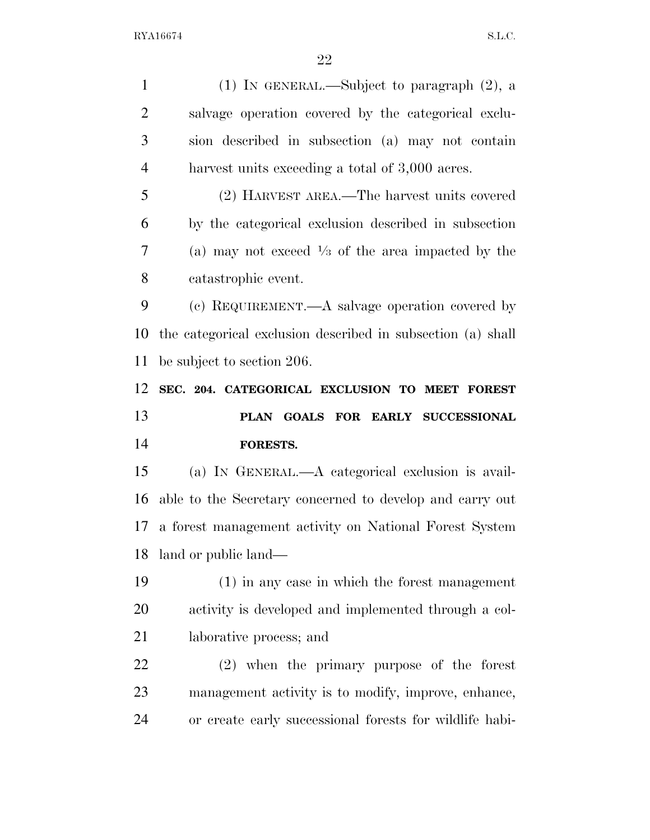| $\mathbf{1}$   | (1) IN GENERAL.—Subject to paragraph $(2)$ , a               |
|----------------|--------------------------------------------------------------|
| $\overline{2}$ | salvage operation covered by the categorical exclu-          |
| 3              | sion described in subsection (a) may not contain             |
| $\overline{4}$ | harvest units exceeding a total of 3,000 acres.              |
| 5              | (2) HARVEST AREA.—The harvest units covered                  |
| 6              | by the categorical exclusion described in subsection         |
| 7              | (a) may not exceed $\frac{1}{3}$ of the area impacted by the |
| 8              | catastrophic event.                                          |
| 9              | (c) REQUIREMENT.—A salvage operation covered by              |
| 10             | the categorical exclusion described in subsection (a) shall  |
| 11             | be subject to section 206.                                   |
| 12             | SEC. 204. CATEGORICAL EXCLUSION TO MEET FOREST               |
|                |                                                              |
|                | PLAN GOALS FOR EARLY SUCCESSIONAL                            |
| 13<br>14       | FORESTS.                                                     |
| 15             | (a) IN GENERAL.—A categorical exclusion is avail-            |
| 16             | able to the Secretary concerned to develop and carry out     |
| 17             | a forest management activity on National Forest System       |
| 18             | land or public land—                                         |
| 19             | $(1)$ in any case in which the forest management             |
| 20             | activity is developed and implemented through a col-         |
|                | laborative process; and                                      |
| 21<br>22       | $(2)$ when the primary purpose of the forest                 |
| 23             | management activity is to modify, improve, enhance,          |
| 24             | or create early successional forests for wildlife habi-      |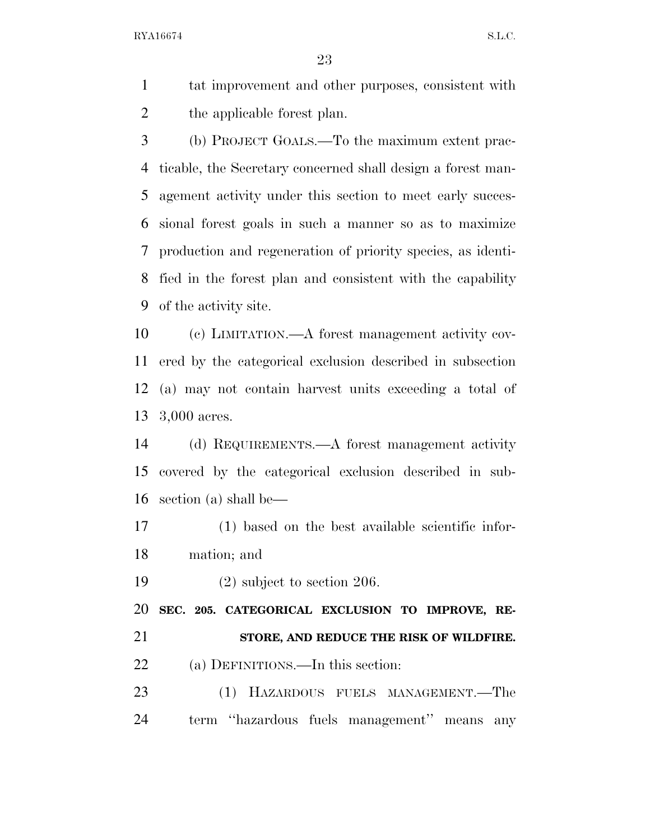tat improvement and other purposes, consistent with the applicable forest plan.

 (b) PROJECT GOALS.—To the maximum extent prac- ticable, the Secretary concerned shall design a forest man- agement activity under this section to meet early succes- sional forest goals in such a manner so as to maximize production and regeneration of priority species, as identi- fied in the forest plan and consistent with the capability of the activity site.

 (c) LIMITATION.—A forest management activity cov- ered by the categorical exclusion described in subsection (a) may not contain harvest units exceeding a total of 3,000 acres.

 (d) REQUIREMENTS.—A forest management activity covered by the categorical exclusion described in sub-section (a) shall be—

 (1) based on the best available scientific infor-mation; and

(2) subject to section 206.

 **SEC. 205. CATEGORICAL EXCLUSION TO IMPROVE, RE- STORE, AND REDUCE THE RISK OF WILDFIRE.**  22 (a) DEFINITIONS.—In this section:

 (1) HAZARDOUS FUELS MANAGEMENT.—The term ''hazardous fuels management'' means any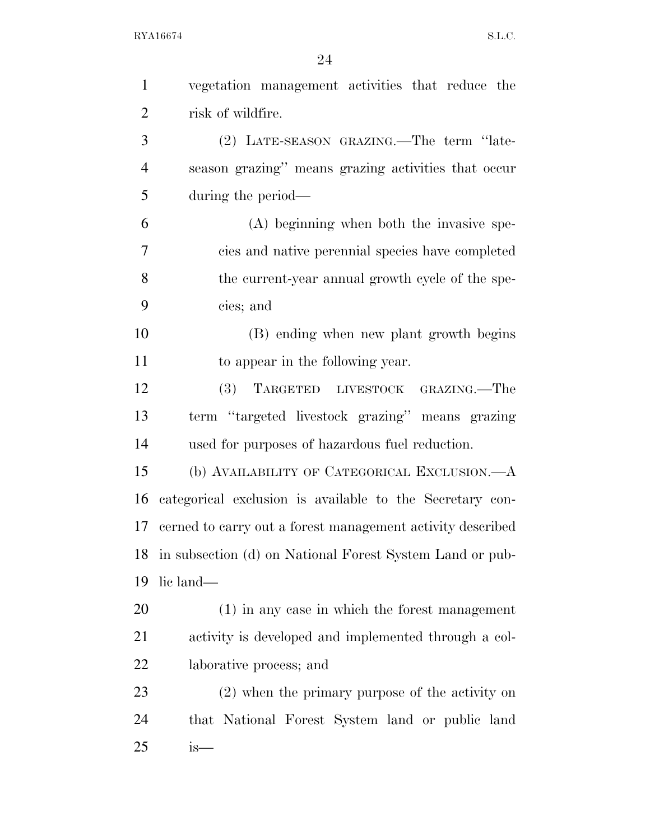| $\mathbf{1}$   | vegetation management activities that reduce the           |
|----------------|------------------------------------------------------------|
| $\overline{2}$ | risk of wildfire.                                          |
| 3              | (2) LATE-SEASON GRAZING.—The term "late-                   |
| $\overline{4}$ | season grazing" means grazing activities that occur        |
| 5              | during the period—                                         |
| 6              | (A) beginning when both the invasive spe-                  |
| 7              | cies and native perennial species have completed           |
| 8              | the current-year annual growth cycle of the spe-           |
| 9              | cies; and                                                  |
| 10             | (B) ending when new plant growth begins                    |
| 11             | to appear in the following year.                           |
| 12             | TARGETED LIVESTOCK GRAZING.-The<br>(3)                     |
| 13             | term "targeted livestock grazing" means grazing            |
| 14             | used for purposes of hazardous fuel reduction.             |
| 15             | (b) AVAILABILITY OF CATEGORICAL EXCLUSION.—A               |
| 16             | categorical exclusion is available to the Secretary con-   |
| 17             | cerned to carry out a forest management activity described |
| 18             | in subsection (d) on National Forest System Land or pub-   |
| 19             | lic land—                                                  |
| 20             | $(1)$ in any case in which the forest management           |
| 21             | activity is developed and implemented through a col-       |
| 22             | laborative process; and                                    |
| 23             | (2) when the primary purpose of the activity on            |
| 24             | that National Forest System land or public land            |
| 25             | $is-$                                                      |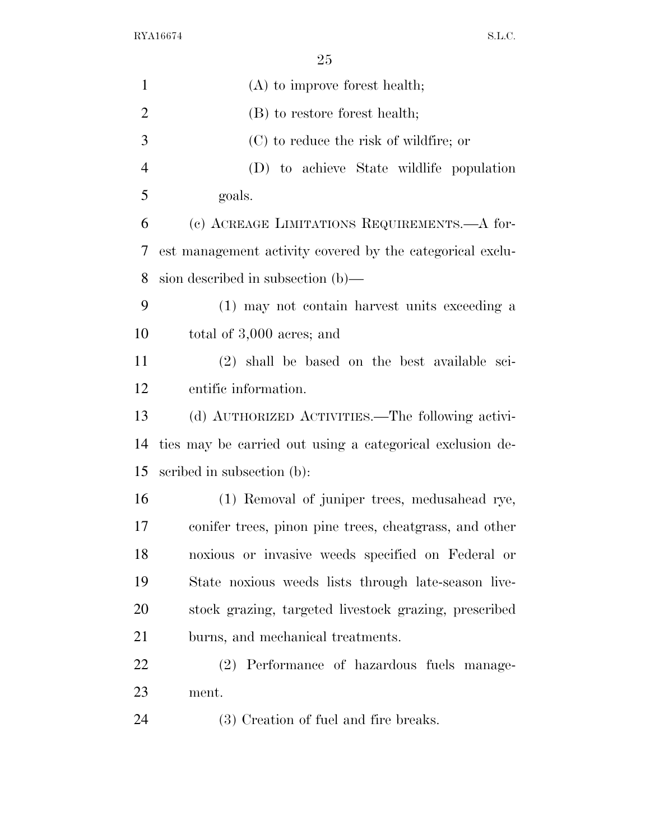| $\mathbf{1}$   | $(A)$ to improve forest health;                           |
|----------------|-----------------------------------------------------------|
| $\overline{2}$ | (B) to restore forest health;                             |
| 3              | (C) to reduce the risk of wildfire; or                    |
| $\overline{4}$ | (D) to achieve State wildlife population                  |
| 5              | goals.                                                    |
| 6              | (c) ACREAGE LIMITATIONS REQUIREMENTS.—A for-              |
| 7              | est management activity covered by the categorical exclu- |
| 8              | sion described in subsection $(b)$ —                      |
| 9              | (1) may not contain harvest units exceeding a             |
| 10             | total of 3,000 acres; and                                 |
| 11             | (2) shall be based on the best available sci-             |
| 12             | entific information.                                      |
| 13             | (d) AUTHORIZED ACTIVITIES.—The following activi-          |
| 14             | ties may be carried out using a categorical exclusion de- |
| 15             | scribed in subsection (b):                                |
| 16             | (1) Removal of juniper trees, medusahead rye,             |
| 17             | conifer trees, pinon pine trees, cheatgrass, and other    |
| 18             | noxious or invasive weeds specified on Federal or         |
| 19             | State noxious weeds lists through late-season live-       |
| 20             | stock grazing, targeted livestock grazing, prescribed     |
| 21             | burns, and mechanical treatments.                         |
| 22             | (2) Performance of hazardous fuels manage-                |
| 23             | ment.                                                     |
| 24             | (3) Creation of fuel and fire breaks.                     |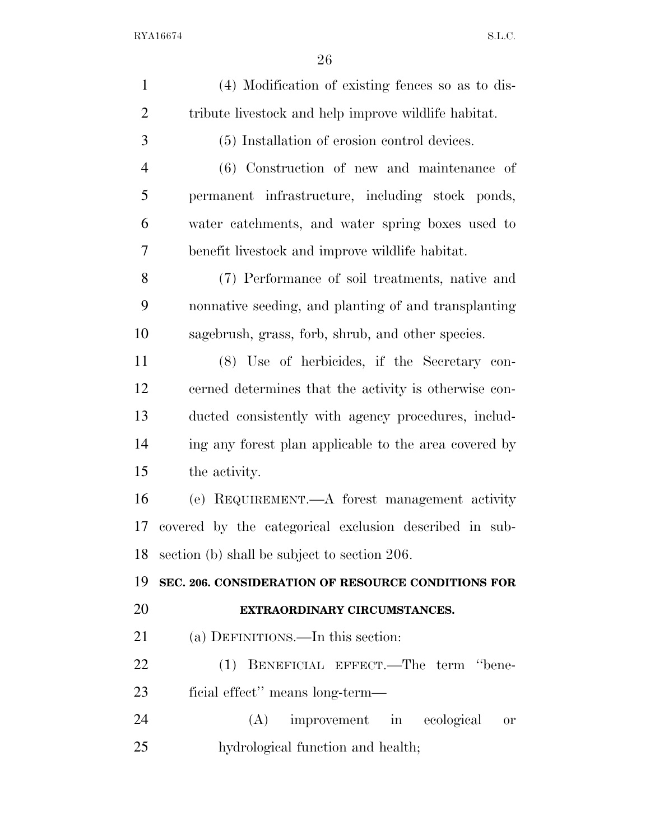| $\mathbf{1}$   | (4) Modification of existing fences so as to dis-      |
|----------------|--------------------------------------------------------|
| $\overline{2}$ | tribute livestock and help improve wildlife habitat.   |
| 3              | (5) Installation of erosion control devices.           |
| $\overline{4}$ | (6) Construction of new and maintenance of             |
| 5              | permanent infrastructure, including stock ponds,       |
| 6              | water catchments, and water spring boxes used to       |
| 7              | benefit livestock and improve wildlife habitat.        |
| 8              | (7) Performance of soil treatments, native and         |
| 9              | nonnative seeding, and planting of and transplanting   |
| 10             | sagebrush, grass, forb, shrub, and other species.      |
| 11             | (8) Use of herbicides, if the Secretary con-           |
| 12             | cerned determines that the activity is otherwise con-  |
| 13             | ducted consistently with agency procedures, includ-    |
| 14             | ing any forest plan applicable to the area covered by  |
| 15             | the activity.                                          |
| 16             | (e) REQUIREMENT.—A forest management activity          |
| 17             | covered by the categorical exclusion described in sub- |
| 18             | section (b) shall be subject to section 206.           |
| 19             | SEC. 206. CONSIDERATION OF RESOURCE CONDITIONS FOR     |
| 20             | EXTRAORDINARY CIRCUMSTANCES.                           |
| 21             | (a) DEFINITIONS.—In this section:                      |
| 22             | BENEFICIAL EFFECT.—The term "bene-<br>(1)              |
| 23             | ficial effect" means long-term—                        |
| 24             | (A)<br>improvement in ecological<br>0r                 |
| 25             | hydrological function and health;                      |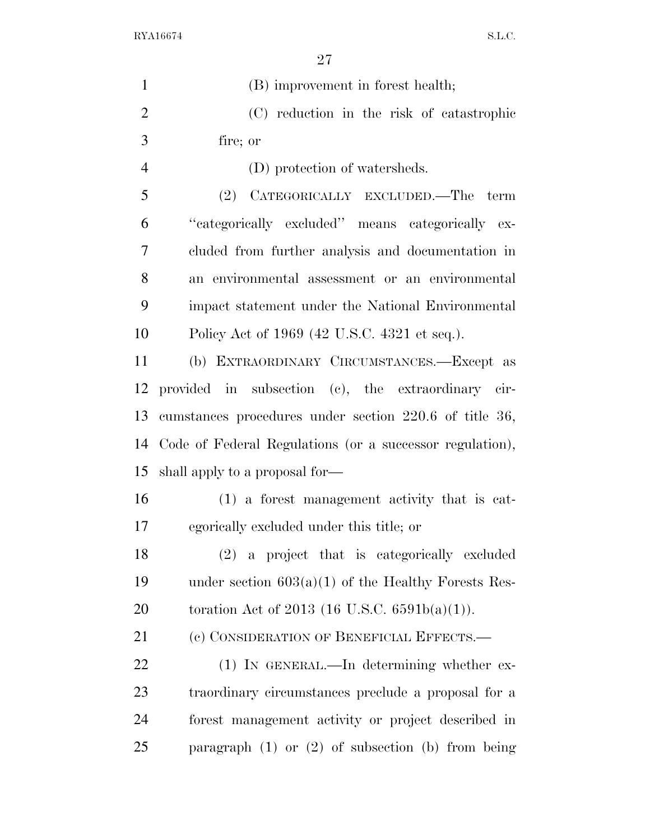| $\mathbf{1}$   | (B) improvement in forest health;                        |
|----------------|----------------------------------------------------------|
| $\overline{2}$ | (C) reduction in the risk of catastrophic                |
| 3              | fire; or                                                 |
| $\overline{4}$ | (D) protection of watersheds.                            |
| 5              | (2) CATEGORICALLY EXCLUDED.—The term                     |
| 6              | "categorically excluded" means categorically ex-         |
| 7              | cluded from further analysis and documentation in        |
| 8              | an environmental assessment or an environmental          |
| 9              | impact statement under the National Environmental        |
| 10             | Policy Act of 1969 (42 U.S.C. 4321 et seq.).             |
| 11             | (b) EXTRAORDINARY CIRCUMSTANCES.-Except as               |
| 12             | provided in subsection (c), the extraordinary cir-       |
| 13             | cumstances procedures under section 220.6 of title 36,   |
| 14             | Code of Federal Regulations (or a successor regulation), |
| 15             | shall apply to a proposal for-                           |
| 16             | $(1)$ a forest management activity that is cat-          |
| 17             | egorically excluded under this title; or                 |
| 18             | (2) a project that is categorically excluded             |
| 19             | under section $603(a)(1)$ of the Healthy Forests Res-    |
| 20             | toration Act of 2013 (16 U.S.C. $6591b(a)(1)$ ).         |
| 21             | (c) CONSIDERATION OF BENEFICIAL EFFECTS.-                |
| 22             | $(1)$ In GENERAL.—In determining whether ex-             |
| 23             | traordinary circumstances preclude a proposal for a      |
| 24             | forest management activity or project described in       |
| 25             | paragraph $(1)$ or $(2)$ of subsection $(b)$ from being  |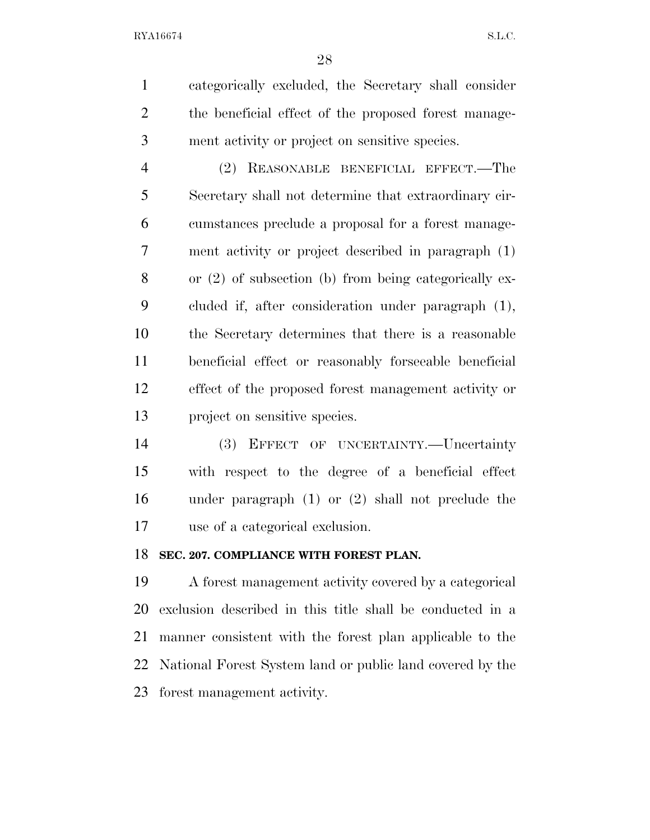categorically excluded, the Secretary shall consider the beneficial effect of the proposed forest manage-ment activity or project on sensitive species.

 (2) REASONABLE BENEFICIAL EFFECT.—The Secretary shall not determine that extraordinary cir- cumstances preclude a proposal for a forest manage- ment activity or project described in paragraph (1) or (2) of subsection (b) from being categorically ex- cluded if, after consideration under paragraph (1), the Secretary determines that there is a reasonable beneficial effect or reasonably forseeable beneficial effect of the proposed forest management activity or project on sensitive species.

 (3) EFFECT OF UNCERTAINTY.—Uncertainty with respect to the degree of a beneficial effect under paragraph (1) or (2) shall not preclude the use of a categorical exclusion.

### **SEC. 207. COMPLIANCE WITH FOREST PLAN.**

 A forest management activity covered by a categorical exclusion described in this title shall be conducted in a manner consistent with the forest plan applicable to the National Forest System land or public land covered by the forest management activity.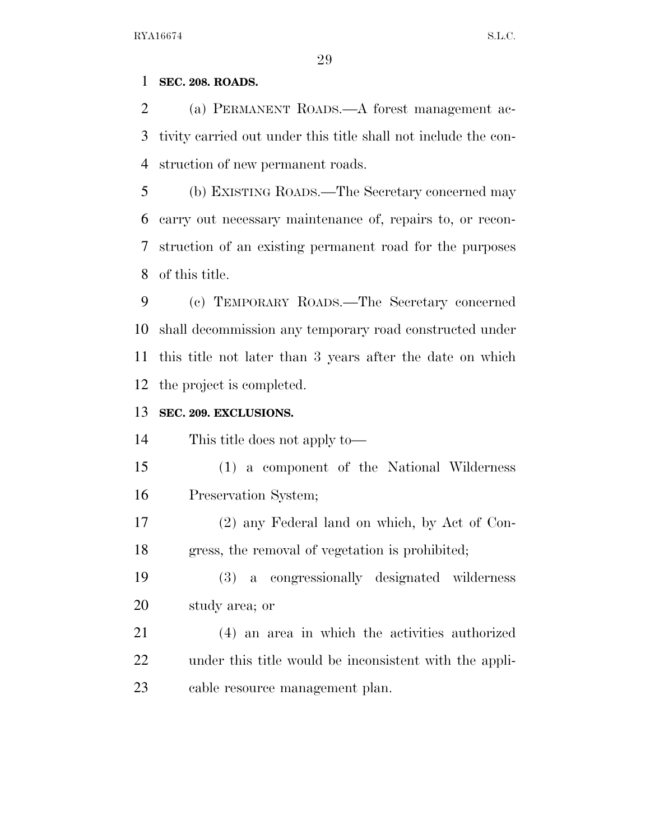### **SEC. 208. ROADS.**

 (a) PERMANENT ROADS.—A forest management ac- tivity carried out under this title shall not include the con-struction of new permanent roads.

 (b) EXISTING ROADS.—The Secretary concerned may carry out necessary maintenance of, repairs to, or recon- struction of an existing permanent road for the purposes of this title.

 (c) TEMPORARY ROADS.—The Secretary concerned shall decommission any temporary road constructed under this title not later than 3 years after the date on which the project is completed.

### **SEC. 209. EXCLUSIONS.**

This title does not apply to—

- (1) a component of the National Wilderness Preservation System;
- (2) any Federal land on which, by Act of Con-gress, the removal of vegetation is prohibited;
- (3) a congressionally designated wilderness study area; or
- (4) an area in which the activities authorized under this title would be inconsistent with the appli-cable resource management plan.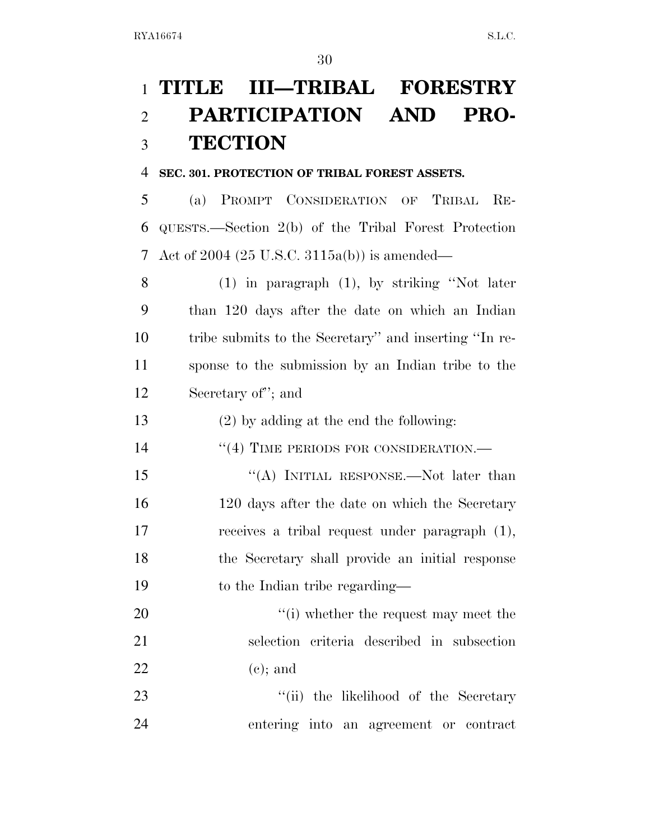# **TITLE III—TRIBAL FORESTRY PARTICIPATION AND PRO-TECTION**

### **SEC. 301. PROTECTION OF TRIBAL FOREST ASSETS.**

 (a) PROMPT CONSIDERATION OF TRIBAL RE- QUESTS.—Section 2(b) of the Tribal Forest Protection Act of 2004 (25 U.S.C. 3115a(b)) is amended—

 (1) in paragraph (1), by striking ''Not later than 120 days after the date on which an Indian tribe submits to the Secretary'' and inserting ''In re- sponse to the submission by an Indian tribe to the Secretary of''; and

(2) by adding at the end the following:

14 "(4) TIME PERIODS FOR CONSIDERATION.—

15 "(A) INITIAL RESPONSE.—Not later than 16 120 days after the date on which the Secretary receives a tribal request under paragraph (1), the Secretary shall provide an initial response 19 to the Indian tribe regarding—

20  $\frac{1}{20}$   $\frac{1}{20}$  whether the request may meet the selection criteria described in subsection 22 (e); and

23 ''(ii) the likelihood of the Secretary entering into an agreement or contract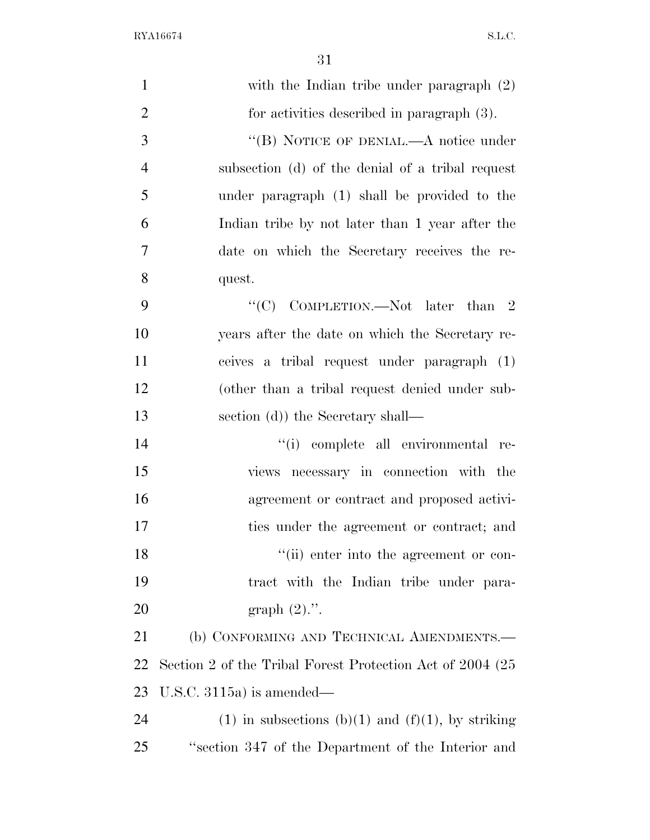| $\mathbf{1}$   | with the Indian tribe under paragraph (2)                  |
|----------------|------------------------------------------------------------|
| $\overline{2}$ | for activities described in paragraph $(3)$ .              |
| 3              | "(B) NOTICE OF DENIAL.—A notice under                      |
| $\overline{4}$ | subsection (d) of the denial of a tribal request           |
| 5              | under paragraph (1) shall be provided to the               |
| 6              | Indian tribe by not later than 1 year after the            |
| $\overline{7}$ | date on which the Secretary receives the re-               |
| 8              | quest.                                                     |
| 9              | "(C) COMPLETION.—Not later than $2$                        |
| 10             | years after the date on which the Secretary re-            |
| 11             | ceives a tribal request under paragraph (1)                |
| 12             | (other than a tribal request denied under sub-             |
| 13             | section (d)) the Secretary shall—                          |
| 14             | "(i) complete all environmental re-                        |
| 15             | views necessary in connection with the                     |
| 16             | agreement or contract and proposed activi-                 |
| 17             | ties under the agreement or contract; and                  |
| 18             | "(ii) enter into the agreement or con-                     |
| 19             | tract with the Indian tribe under para-                    |
| 20             | graph $(2)$ .".                                            |
| 21             | (b) CONFORMING AND TECHNICAL AMENDMENTS.-                  |
| 22             | Section 2 of the Tribal Forest Protection Act of 2004 (25) |
| 23             | U.S.C. $3115a$ is amended—                                 |
| 24             | $(1)$ in subsections $(b)(1)$ and $(f)(1)$ , by striking   |
| 25             | "section 347 of the Department of the Interior and         |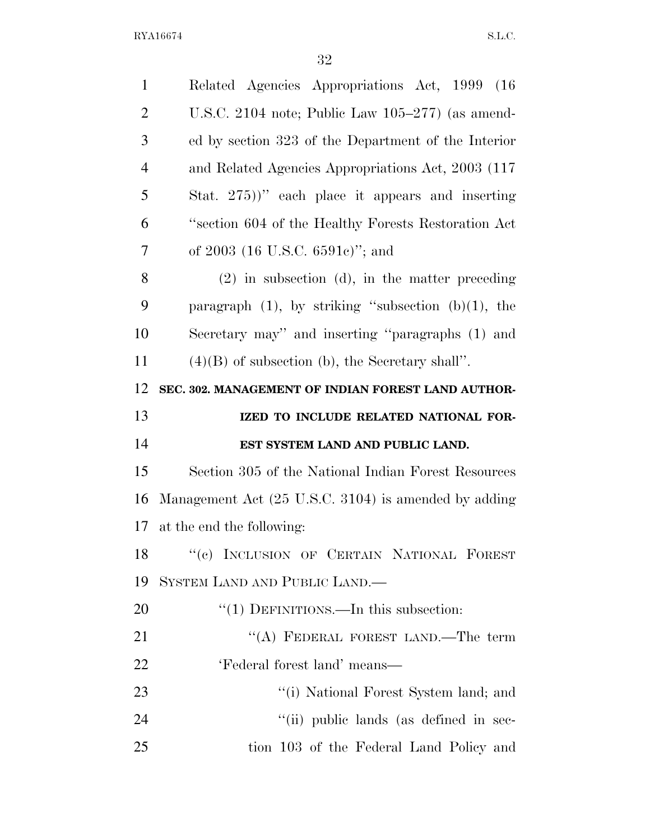| $\mathbf{1}$   | Related Agencies Appropriations Act, 1999 (16)           |
|----------------|----------------------------------------------------------|
| $\overline{2}$ | U.S.C. 2104 note; Public Law $105-277$ (as amend-        |
| 3              | ed by section 323 of the Department of the Interior      |
| $\overline{4}$ | and Related Agencies Appropriations Act, 2003 (117)      |
| 5              | Stat. $275)$ " each place it appears and inserting       |
| 6              | "section 604 of the Healthy Forests Restoration Act      |
| 7              | of $2003$ (16 U.S.C. 6591c)"; and                        |
| 8              | $(2)$ in subsection (d), in the matter preceding         |
| 9              | paragraph $(1)$ , by striking "subsection $(b)(1)$ , the |
| 10             | Secretary may" and inserting "paragraphs (1) and         |
| 11             | $(4)(B)$ of subsection (b), the Secretary shall".        |
| 12             | SEC. 302. MANAGEMENT OF INDIAN FOREST LAND AUTHOR-       |
|                |                                                          |
| 13             | IZED TO INCLUDE RELATED NATIONAL FOR-                    |
| 14             | EST SYSTEM LAND AND PUBLIC LAND.                         |
| 15             | Section 305 of the National Indian Forest Resources      |
| 16             | Management Act (25 U.S.C. 3104) is amended by adding     |
| 17             | at the end the following:                                |
|                | 18 "(c) INCLUSION OF CERTAIN NATIONAL FOREST             |
| 19             | SYSTEM LAND AND PUBLIC LAND.—                            |
| 20             | "(1) DEFINITIONS.—In this subsection:                    |
| 21             | "(A) FEDERAL FOREST LAND.—The term                       |
| 22             | 'Federal forest land' means—                             |
| 23             | "(i) National Forest System land; and                    |
| 24             | "(ii) public lands (as defined in sec-                   |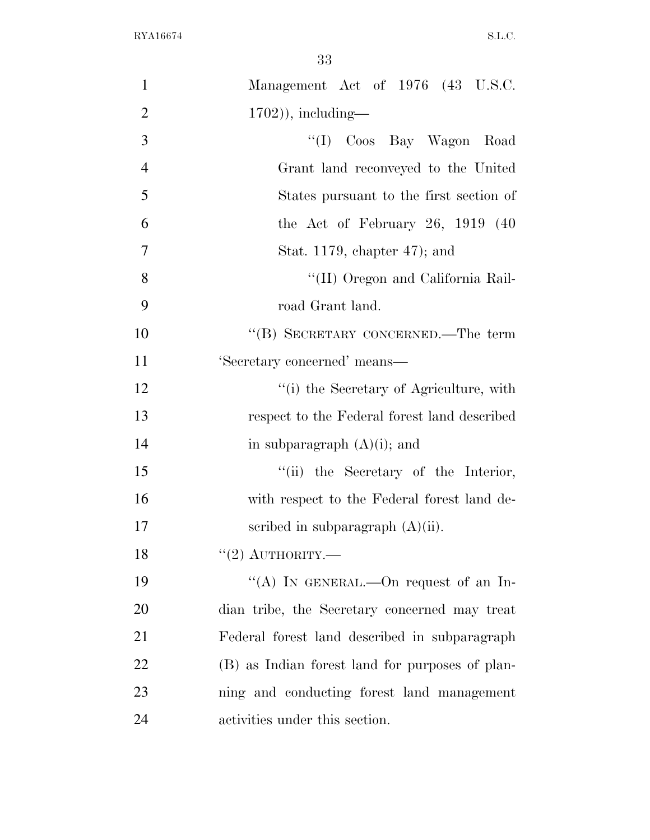| $\mathbf{1}$   | Management Act of 1976 (43 U.S.C.               |
|----------------|-------------------------------------------------|
| $\overline{2}$ | $(1702)$ , including—                           |
| 3              | "(I) Coos Bay Wagon Road                        |
| $\overline{4}$ | Grant land reconveyed to the United             |
| 5              | States pursuant to the first section of         |
| 6              | the Act of February 26, $1919$ (40              |
| $\overline{7}$ | Stat. 1179, chapter 47); and                    |
| 8              | "(II) Oregon and California Rail-               |
| 9              | road Grant land.                                |
| 10             | "(B) SECRETARY CONCERNED.—The term              |
| 11             | 'Secretary concerned' means-                    |
| 12             | "(i) the Secretary of Agriculture, with         |
| 13             | respect to the Federal forest land described    |
| 14             | in subparagraph $(A)(i)$ ; and                  |
| 15             | "(ii) the Secretary of the Interior,            |
| 16             | with respect to the Federal forest land de-     |
| 17             | scribed in subparagraph $(A)(ii)$ .             |
| 18             | $"(2)$ AUTHORITY.—                              |
| 19             | "(A) IN GENERAL.—On request of an In-           |
| 20             | dian tribe, the Secretary concerned may treat   |
| 21             | Federal forest land described in subparagraph   |
| 22             | (B) as Indian forest land for purposes of plan- |
| 23             | ning and conducting forest land management      |
| 24             | activities under this section.                  |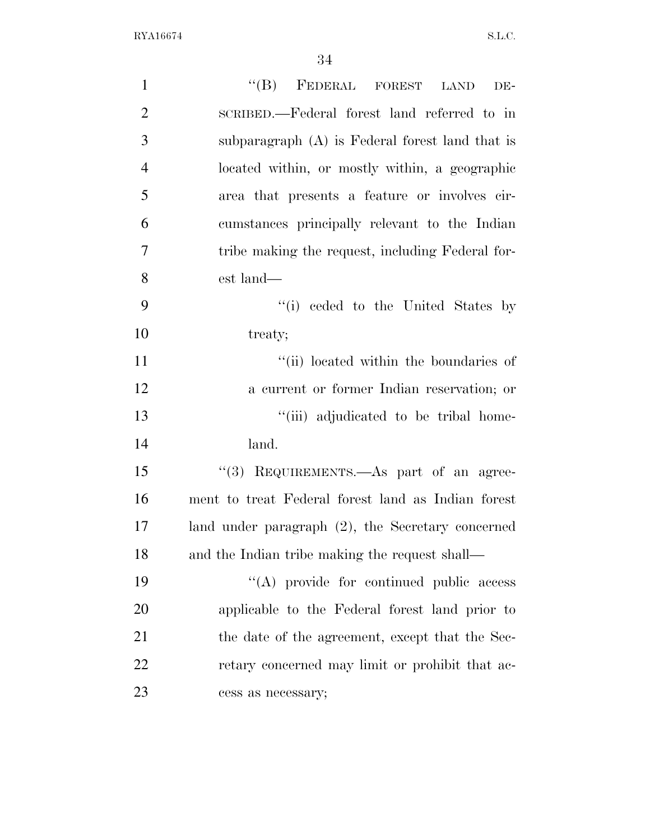| $\mathbf{1}$   | "(B) FEDERAL FOREST LAND<br>DE-                      |
|----------------|------------------------------------------------------|
| $\overline{2}$ | SCRIBED.—Federal forest land referred to in          |
| 3              | subparagraph (A) is Federal forest land that is      |
| $\overline{4}$ | located within, or mostly within, a geographic       |
| 5              | area that presents a feature or involves cir-        |
| 6              | cumstances principally relevant to the Indian        |
| 7              | tribe making the request, including Federal for-     |
| 8              | est land—                                            |
| 9              | "(i) ceded to the United States by                   |
| 10             | treaty;                                              |
| 11             | "(ii) located within the boundaries of               |
| 12             | a current or former Indian reservation; or           |
| 13             | "(iii) adjudicated to be tribal home-                |
| 14             | land.                                                |
| 15             | "(3) REQUIREMENTS.—As part of an agree-              |
| 16             | ment to treat Federal forest land as Indian forest   |
| 17             | land under paragraph $(2)$ , the Secretary concerned |
| 18             | and the Indian tribe making the request shall—       |
| 19             | "(A) provide for continued public access             |
| 20             | applicable to the Federal forest land prior to       |
| 21             | the date of the agreement, except that the Sec-      |
| 22             | retary concerned may limit or prohibit that ac-      |
| 23             | cess as necessary;                                   |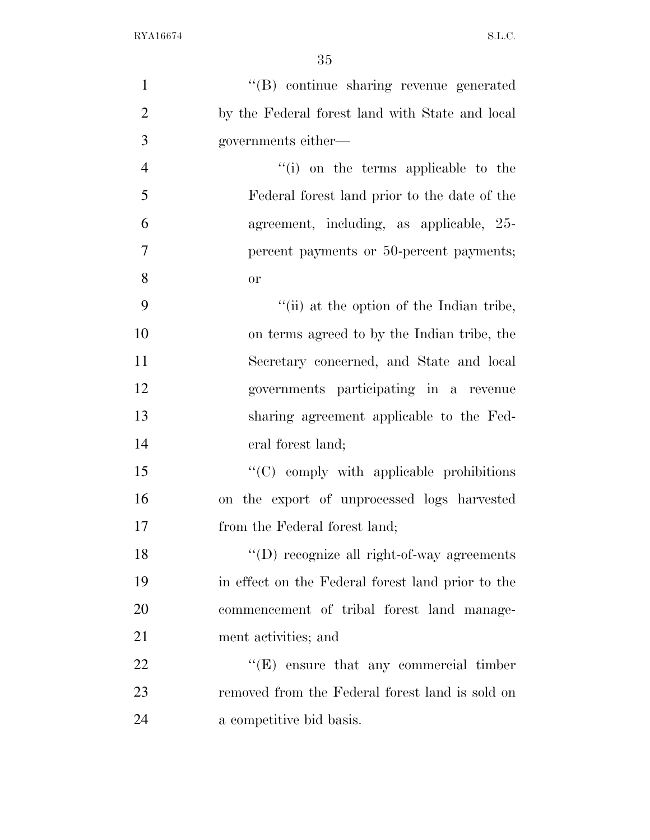| $\mathbf{1}$   | "(B) continue sharing revenue generated            |
|----------------|----------------------------------------------------|
| $\overline{2}$ | by the Federal forest land with State and local    |
| 3              | governments either—                                |
| $\overline{4}$ | "(i) on the terms applicable to the                |
| 5              | Federal forest land prior to the date of the       |
| 6              | agreement, including, as applicable, 25-           |
| 7              | percent payments or 50-percent payments;           |
| 8              | <b>or</b>                                          |
| 9              | "(ii) at the option of the Indian tribe,           |
| 10             | on terms agreed to by the Indian tribe, the        |
| 11             | Secretary concerned, and State and local           |
| 12             | governments participating in a revenue             |
| 13             | sharing agreement applicable to the Fed-           |
| 14             | eral forest land;                                  |
| 15             | "(C) comply with applicable prohibitions           |
| 16             | on the export of unprocessed logs harvested        |
| 17             | from the Federal forest land;                      |
| 18             | $\lq\lq$ (D) recognize all right-of-way agreements |
| 19             | in effect on the Federal forest land prior to the  |
| <b>20</b>      | commencement of tribal forest land manage-         |
|                |                                                    |
| 21             | ment activities; and                               |
| 22             | $\lq\lq(E)$ ensure that any commercial timber      |
| 23             | removed from the Federal forest land is sold on    |
| 24             | a competitive bid basis.                           |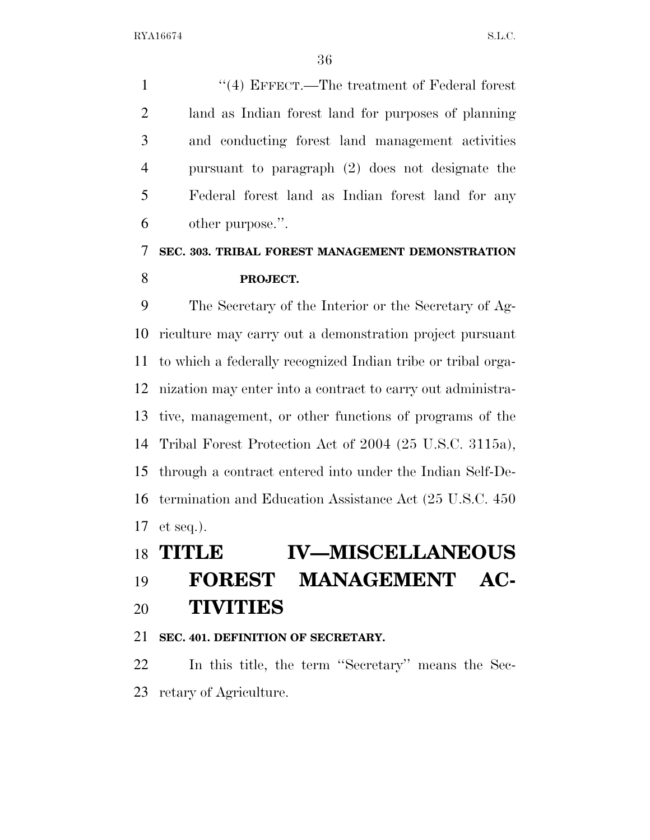1 ''(4) EFFECT.—The treatment of Federal forest land as Indian forest land for purposes of planning and conducting forest land management activities pursuant to paragraph (2) does not designate the Federal forest land as Indian forest land for any other purpose.''.

# **SEC. 303. TRIBAL FOREST MANAGEMENT DEMONSTRATION PROJECT.**

 The Secretary of the Interior or the Secretary of Ag- riculture may carry out a demonstration project pursuant to which a federally recognized Indian tribe or tribal orga- nization may enter into a contract to carry out administra- tive, management, or other functions of programs of the Tribal Forest Protection Act of 2004 (25 U.S.C. 3115a), through a contract entered into under the Indian Self-De- termination and Education Assistance Act (25 U.S.C. 450 et seq.).

|  | 18 TITLE |  | <b>IV-MISCELLANEOUS</b> |
|--|----------|--|-------------------------|
|--|----------|--|-------------------------|

# **FOREST MANAGEMENT AC-**

# **TIVITIES**

## **SEC. 401. DEFINITION OF SECRETARY.**

 In this title, the term ''Secretary'' means the Sec-retary of Agriculture.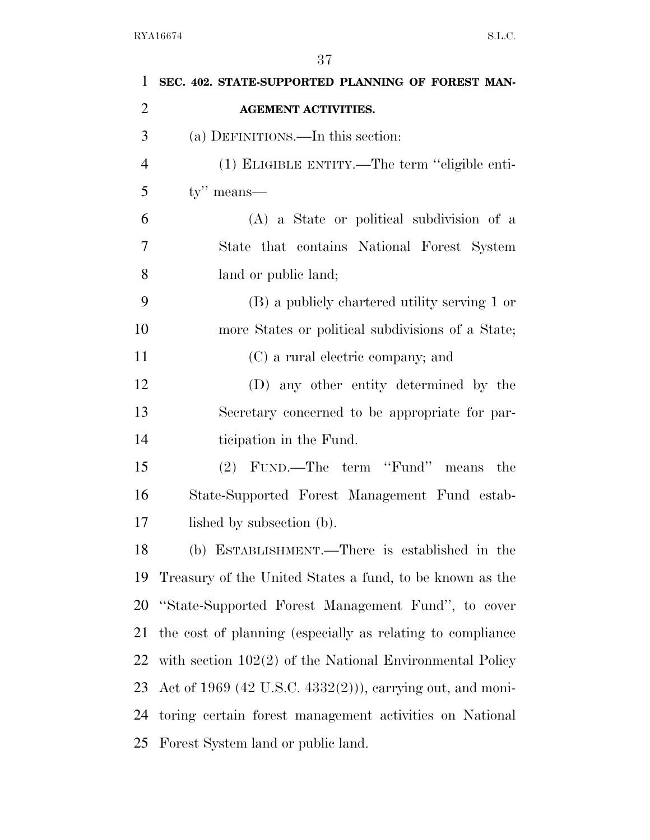| 1              | SEC. 402. STATE-SUPPORTED PLANNING OF FOREST MAN-           |
|----------------|-------------------------------------------------------------|
| $\overline{2}$ | <b>AGEMENT ACTIVITIES.</b>                                  |
| 3              | (a) DEFINITIONS.—In this section:                           |
| $\overline{4}$ | (1) ELIGIBLE ENTITY.—The term "eligible enti-               |
| 5              | $\mathbf{tv}$ " means—                                      |
| 6              | (A) a State or political subdivision of a                   |
| 7              | State that contains National Forest System                  |
| 8              | land or public land;                                        |
| 9              | (B) a publicly chartered utility serving 1 or               |
| 10             | more States or political subdivisions of a State;           |
| 11             | (C) a rural electric company; and                           |
| 12             | (D) any other entity determined by the                      |
| 13             | Secretary concerned to be appropriate for par-              |
| 14             | ticipation in the Fund.                                     |
| 15             | (2) FUND.—The term "Fund" means<br>the                      |
| 16             | State-Supported Forest Management Fund estab-               |
| 17             | lished by subsection (b).                                   |
| 18             | (b) ESTABLISHMENT.—There is established in the              |
| 19             | Treasury of the United States a fund, to be known as the    |
| 20             | "State-Supported Forest Management Fund", to cover          |
| 21             | the cost of planning (especially as relating to compliance  |
| 22             | with section $102(2)$ of the National Environmental Policy  |
| 23             | Act of $1969$ (42 U.S.C. 4332(2))), carrying out, and moni- |
| 24             | toring certain forest management activities on National     |
| 25             | Forest System land or public land.                          |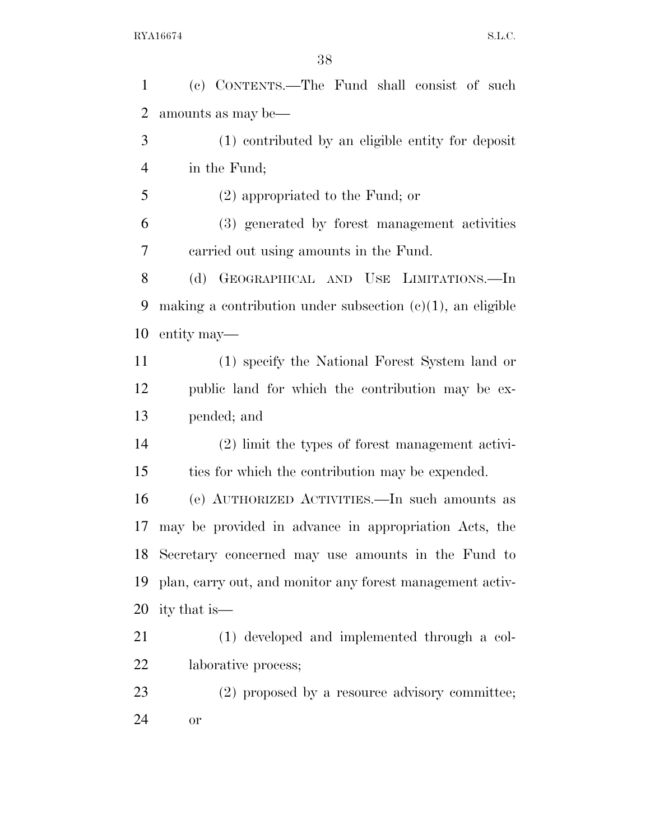(c) CONTENTS.—The Fund shall consist of such amounts as may be—

 (1) contributed by an eligible entity for deposit in the Fund;

(2) appropriated to the Fund; or

 (3) generated by forest management activities carried out using amounts in the Fund.

 (d) GEOGRAPHICAL AND USE LIMITATIONS.—In 9 making a contribution under subsection  $(c)(1)$ , an eligible entity may—

 (1) specify the National Forest System land or public land for which the contribution may be ex-pended; and

 (2) limit the types of forest management activi-ties for which the contribution may be expended.

 (e) AUTHORIZED ACTIVITIES.—In such amounts as may be provided in advance in appropriation Acts, the Secretary concerned may use amounts in the Fund to plan, carry out, and monitor any forest management activ-ity that is—

 (1) developed and implemented through a col-laborative process;

23 (2) proposed by a resource advisory committee; or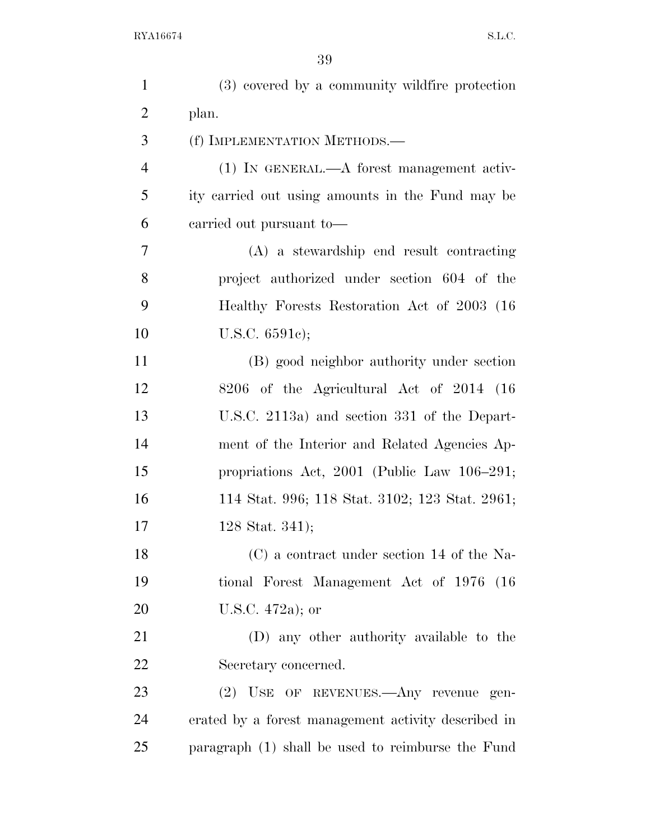| $\mathbf{1}$   | (3) covered by a community wildfire protection      |
|----------------|-----------------------------------------------------|
| $\overline{2}$ | plan.                                               |
| 3              | (f) IMPLEMENTATION METHODS.-                        |
| $\overline{4}$ | (1) IN GENERAL.—A forest management activ-          |
| 5              | ity carried out using amounts in the Fund may be    |
| 6              | earried out pursuant to-                            |
| 7              | (A) a stewardship end result contracting            |
| 8              | project authorized under section 604 of the         |
| 9              | Healthy Forests Restoration Act of 2003 (16)        |
| 10             | U.S.C. $6591c$ ;                                    |
| 11             | (B) good neighbor authority under section           |
| 12             | 8206 of the Agricultural Act of 2014 (16)           |
| 13             | U.S.C. 2113a) and section 331 of the Depart-        |
| 14             | ment of the Interior and Related Agencies Ap-       |
| 15             | propriations Act, 2001 (Public Law 106-291;         |
| 16             | 114 Stat. 996; 118 Stat. 3102; 123 Stat. 2961;      |
| 17             | 128 Stat. 341);                                     |
| 18             | $(C)$ a contract under section 14 of the Na-        |
| 19             | tional Forest Management Act of 1976 (16)           |
| 20             | U.S.C. $472a$ ; or                                  |
| 21             | (D) any other authority available to the            |
| 22             | Secretary concerned.                                |
| 23             | (2) USE OF REVENUES.—Any revenue gen-               |
| 24             | erated by a forest management activity described in |
| 25             | paragraph (1) shall be used to reimburse the Fund   |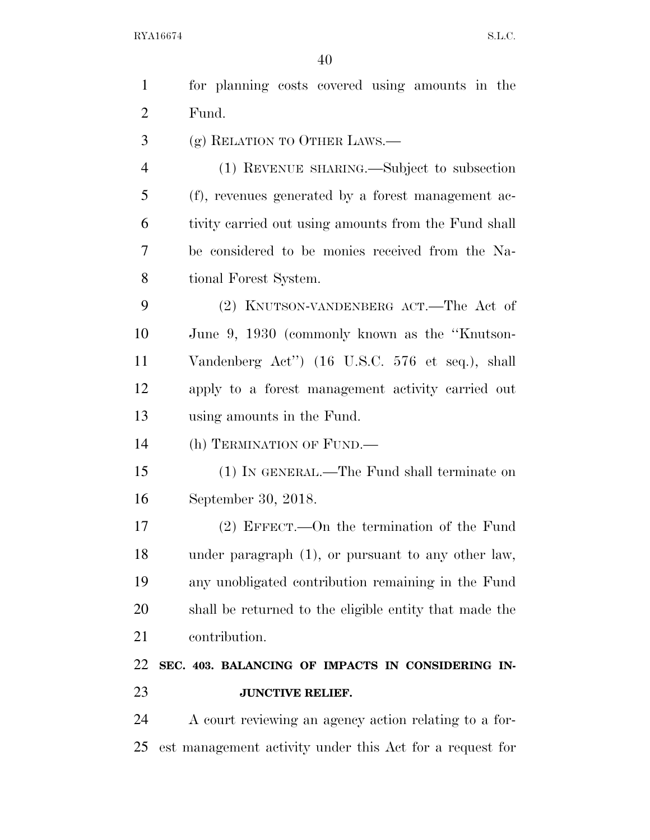| $\mathbf{1}$   | for planning costs covered using amounts in the          |
|----------------|----------------------------------------------------------|
| $\overline{2}$ | Fund.                                                    |
| 3              | (g) RELATION TO OTHER LAWS.—                             |
| $\overline{4}$ | (1) REVENUE SHARING.—Subject to subsection               |
| 5              | (f), revenues generated by a forest management ac-       |
| 6              | tivity carried out using amounts from the Fund shall     |
| 7              | be considered to be monies received from the Na-         |
| 8              | tional Forest System.                                    |
| 9              | (2) KNUTSON-VANDENBERG ACT.—The Act of                   |
| 10             | June 9, 1930 (commonly known as the "Knutson-            |
| 11             | Vandenberg Act") (16 U.S.C. 576 et seq.), shall          |
| 12             | apply to a forest management activity carried out        |
| 13             | using amounts in the Fund.                               |
| 14             | (h) TERMINATION OF FUND.—                                |
| 15             | (1) IN GENERAL.—The Fund shall terminate on              |
| 16             | September 30, 2018.                                      |
| 17             | $(2)$ EFFECT.—On the termination of the Fund             |
| 18             | under paragraph $(1)$ , or pursuant to any other law,    |
| 19             | any unobligated contribution remaining in the Fund       |
| 20             | shall be returned to the eligible entity that made the   |
| 21             | contribution.                                            |
| 22             | SEC. 403. BALANCING OF IMPACTS IN CONSIDERING IN-        |
| 23             | <b>JUNCTIVE RELIEF.</b>                                  |
| 24             | A court reviewing an agency action relating to a for-    |
| 25             | est management activity under this Act for a request for |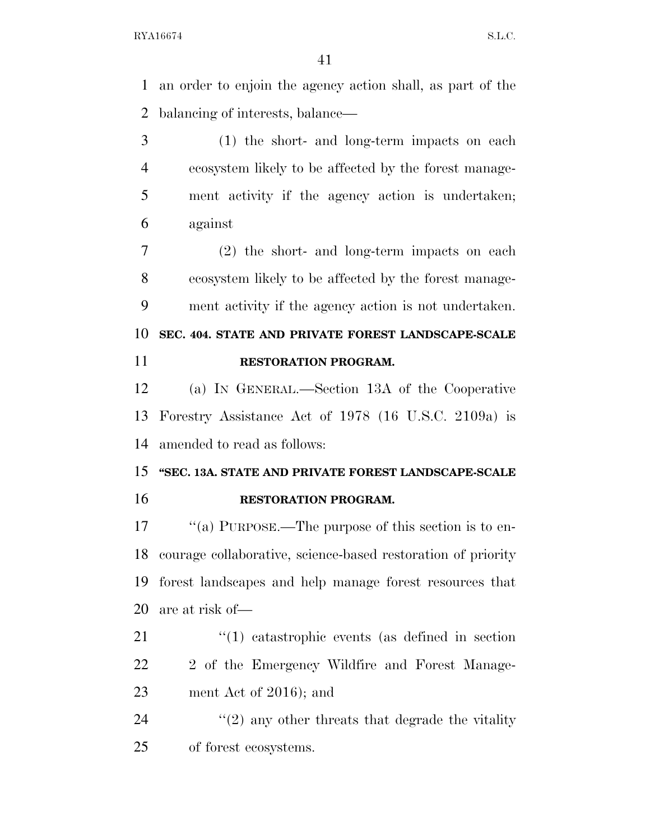an order to enjoin the agency action shall, as part of the balancing of interests, balance—

 (1) the short- and long-term impacts on each ecosystem likely to be affected by the forest manage- ment activity if the agency action is undertaken; against

 (2) the short- and long-term impacts on each ecosystem likely to be affected by the forest manage-ment activity if the agency action is not undertaken.

 **SEC. 404. STATE AND PRIVATE FOREST LANDSCAPE-SCALE RESTORATION PROGRAM.** 

 (a) IN GENERAL.—Section 13A of the Cooperative Forestry Assistance Act of 1978 (16 U.S.C. 2109a) is amended to read as follows:

## **''SEC. 13A. STATE AND PRIVATE FOREST LANDSCAPE-SCALE RESTORATION PROGRAM.**

 $\cdot$  "(a) PURPOSE.—The purpose of this section is to en- courage collaborative, science-based restoration of priority forest landscapes and help manage forest resources that are at risk of—

21 ''(1) catastrophic events (as defined in section 22 2 of the Emergency Wildfire and Forest Manage-ment Act of 2016); and

24  $\langle \langle 2 \rangle$  any other threats that degrade the vitality of forest ecosystems.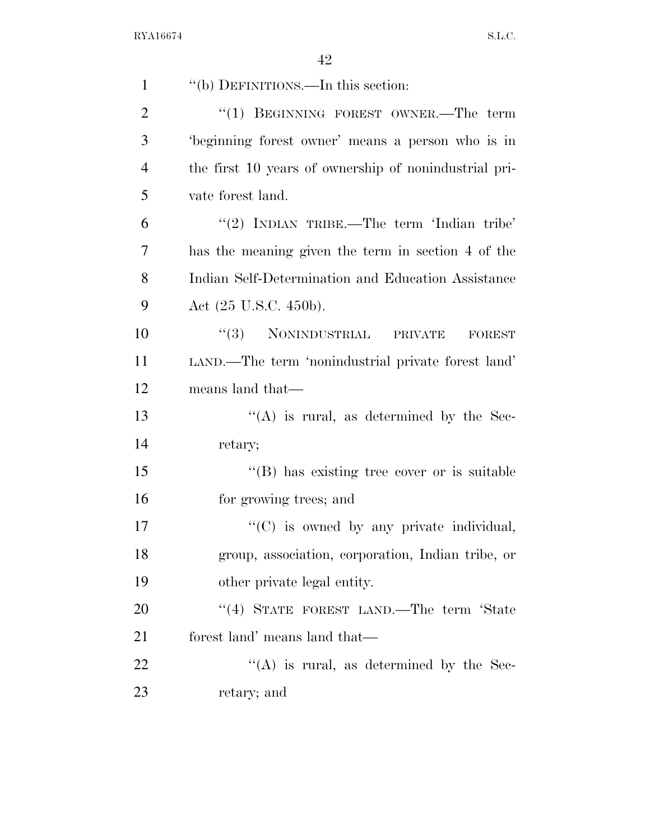| $\mathbf{1}$   | "(b) DEFINITIONS.—In this section:                    |
|----------------|-------------------------------------------------------|
| $\overline{2}$ | "(1) BEGINNING FOREST OWNER.—The term                 |
| 3              | beginning forest owner' means a person who is in      |
| $\overline{4}$ | the first 10 years of ownership of nonindustrial pri- |
| 5              | vate forest land.                                     |
| 6              | "(2) INDIAN TRIBE.—The term 'Indian tribe'            |
| 7              | has the meaning given the term in section 4 of the    |
| 8              | Indian Self-Determination and Education Assistance    |
| 9              | Act (25 U.S.C. 450b).                                 |
| 10             | $``(3)$ NONINDUSTRIAL PRIVATE<br><b>FOREST</b>        |
| 11             | LAND.—The term 'nonindustrial private forest land'    |
| 12             | means land that—                                      |
| 13             | $\lq\lq$ is rural, as determined by the Sec-          |
| 14             | retary;                                               |
| 15             | "(B) has existing tree cover or is suitable           |
| 16             | for growing trees; and                                |
| 17             | $\lq\lq$ (C) is owned by any private individual,      |
| 18             | group, association, corporation, Indian tribe, or     |
| 19             | other private legal entity.                           |
| 20             | "(4) STATE FOREST LAND.—The term 'State               |
| 21             | forest land' means land that—                         |
| 22             | $\lq\lq$ is rural, as determined by the Sec-          |
| 23             | retary; and                                           |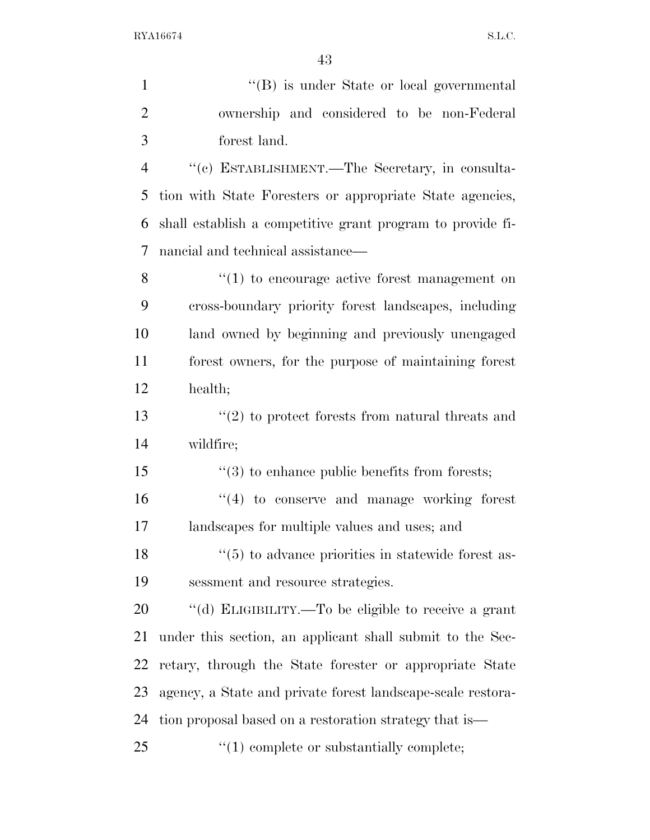1 ''(B) is under State or local governmental ownership and considered to be non-Federal forest land. ''(c) ESTABLISHMENT.—The Secretary, in consulta- tion with State Foresters or appropriate State agencies, shall establish a competitive grant program to provide fi- nancial and technical assistance— 8 ''(1) to encourage active forest management on cross-boundary priority forest landscapes, including land owned by beginning and previously unengaged forest owners, for the purpose of maintaining forest health; ''(2) to protect forests from natural threats and wildfire;  $\frac{1}{3}$  to enhance public benefits from forests;  $\frac{16}{16}$  to conserve and manage working forest landscapes for multiple values and uses; and 18 ''(5) to advance priorities in statewide forest as- sessment and resource strategies. ''(d) ELIGIBILITY.—To be eligible to receive a grant under this section, an applicant shall submit to the Sec- retary, through the State forester or appropriate State agency, a State and private forest landscape-scale restora-tion proposal based on a restoration strategy that is—

25  $\frac{1}{25}$  (1) complete or substantially complete;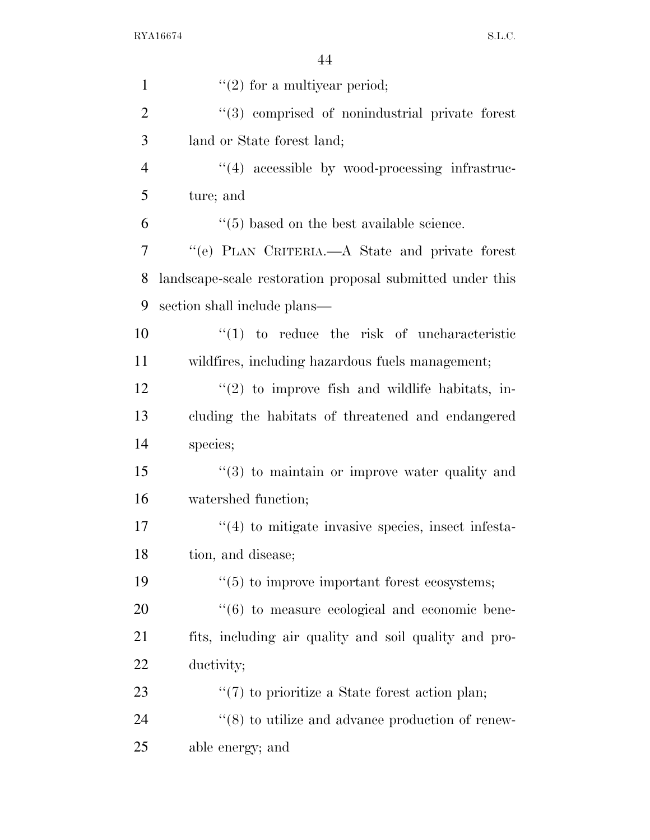| $\mathbf{1}$   | $\lq(2)$ for a multiyear period;                              |
|----------------|---------------------------------------------------------------|
| $\overline{2}$ | "(3) comprised of nonindustrial private forest                |
| 3              | land or State forest land;                                    |
| $\overline{4}$ | $\lq(4)$ accessible by wood-processing infrastruc-            |
| 5              | ture; and                                                     |
| 6              | $\cdot$ (5) based on the best available science.              |
| 7              | "(e) PLAN CRITERIA.—A State and private forest                |
| 8              | landscape-scale restoration proposal submitted under this     |
| 9              | section shall include plans—                                  |
| 10             | $\lq(1)$ to reduce the risk of uncharacteristic               |
| 11             | wildfires, including hazardous fuels management;              |
| 12             | $\lq(2)$ to improve fish and wildlife habitats, in-           |
| 13             | cluding the habitats of threatened and endangered             |
| 14             | species;                                                      |
| 15             | $\cdot\cdot$ (3) to maintain or improve water quality and     |
| 16             | watershed function;                                           |
| 17             | $\cdot$ (4) to mitigate invasive species, insect infesta-     |
| 18             | tion, and disease;                                            |
| 19             | $\cdot\cdot$ (5) to improve important forest ecosystems;      |
| 20             | $\cdot\cdot\cdot(6)$ to measure ecological and economic bene- |
| 21             | fits, including air quality and soil quality and pro-         |
| 22             | ductivity;                                                    |
| 23             | $\lq(7)$ to prioritize a State forest action plan;            |
| 24             | $\cdot\cdot$ (8) to utilize and advance production of renew-  |
| 25             | able energy; and                                              |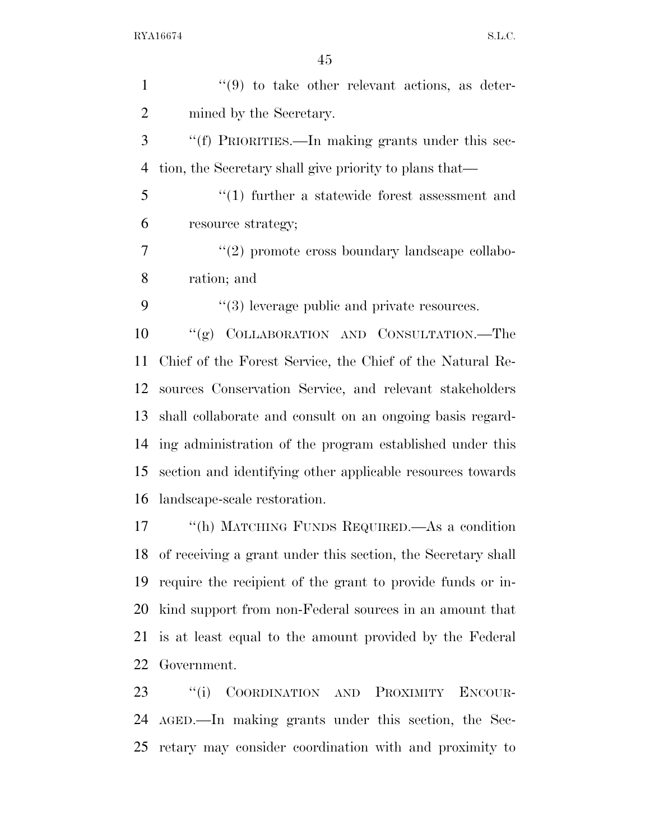1 ''(9) to take other relevant actions, as deter- mined by the Secretary. ''(f) PRIORITIES.—In making grants under this sec- tion, the Secretary shall give priority to plans that— ''(1) further a statewide forest assessment and resource strategy;  $(2)$  promote cross boundary landscape collabo- ration; and  $(3)$  leverage public and private resources. ''(g) COLLABORATION AND CONSULTATION.—The Chief of the Forest Service, the Chief of the Natural Re- sources Conservation Service, and relevant stakeholders shall collaborate and consult on an ongoing basis regard- ing administration of the program established under this section and identifying other applicable resources towards landscape-scale restoration. ''(h) MATCHING FUNDS REQUIRED.—As a condition of receiving a grant under this section, the Secretary shall require the recipient of the grant to provide funds or in- kind support from non-Federal sources in an amount that is at least equal to the amount provided by the Federal

Government.

 ''(i) COORDINATION AND PROXIMITY ENCOUR- AGED.—In making grants under this section, the Sec-retary may consider coordination with and proximity to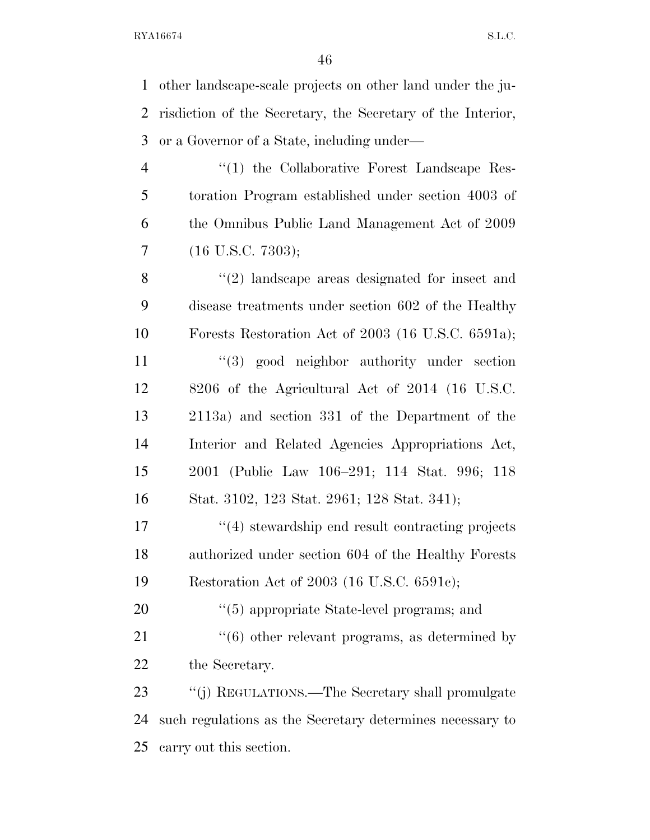other landscape-scale projects on other land under the ju- risdiction of the Secretary, the Secretary of the Interior, or a Governor of a State, including under— 4 "(1) the Collaborative Forest Landscape Res- toration Program established under section 4003 of the Omnibus Public Land Management Act of 2009 (16 U.S.C. 7303); 8 "(2) landscape areas designated for insect and disease treatments under section 602 of the Healthy Forests Restoration Act of 2003 (16 U.S.C. 6591a); 11 ''(3) good neighbor authority under section 8206 of the Agricultural Act of 2014 (16 U.S.C. 2113a) and section 331 of the Department of the Interior and Related Agencies Appropriations Act, 2001 (Public Law 106–291; 114 Stat. 996; 118 Stat. 3102, 123 Stat. 2961; 128 Stat. 341); ''(4) stewardship end result contracting projects authorized under section 604 of the Healthy Forests

Restoration Act of 2003 (16 U.S.C. 6591c);

20  $\frac{1}{20}$  (5) appropriate State-level programs; and 21 ''(6) other relevant programs, as determined by the Secretary.

 ''(j) REGULATIONS.—The Secretary shall promulgate such regulations as the Secretary determines necessary to carry out this section.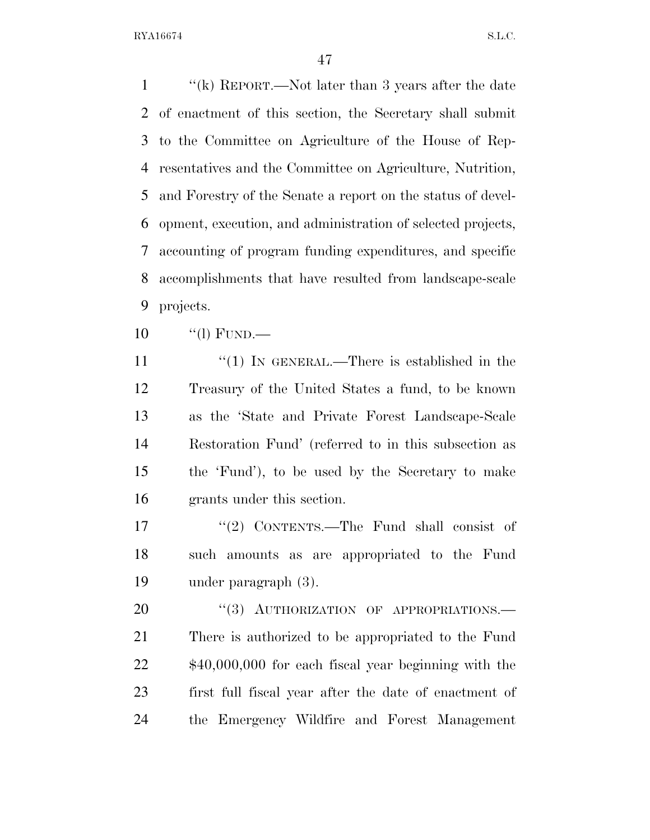''(k) REPORT.—Not later than 3 years after the date of enactment of this section, the Secretary shall submit to the Committee on Agriculture of the House of Rep- resentatives and the Committee on Agriculture, Nutrition, and Forestry of the Senate a report on the status of devel- opment, execution, and administration of selected projects, accounting of program funding expenditures, and specific accomplishments that have resulted from landscape-scale projects.

''(l) FUND.—

 $\frac{1}{1}$  IN GENERAL.—There is established in the Treasury of the United States a fund, to be known as the 'State and Private Forest Landscape-Scale Restoration Fund' (referred to in this subsection as the 'Fund'), to be used by the Secretary to make grants under this section.

 ''(2) CONTENTS.—The Fund shall consist of such amounts as are appropriated to the Fund under paragraph (3).

20 "(3) AUTHORIZATION OF APPROPRIATIONS. There is authorized to be appropriated to the Fund \$40,000,000 for each fiscal year beginning with the first full fiscal year after the date of enactment of the Emergency Wildfire and Forest Management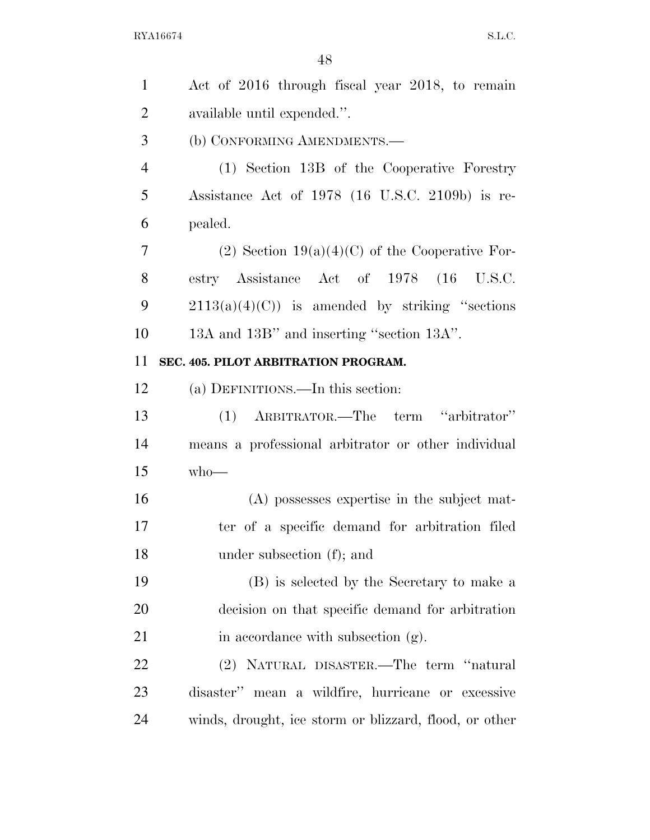| $\mathbf{1}$   | Act of 2016 through fiscal year 2018, to remain        |
|----------------|--------------------------------------------------------|
| $\overline{2}$ | available until expended.".                            |
| 3              | (b) CONFORMING AMENDMENTS.-                            |
| $\overline{4}$ | (1) Section 13B of the Cooperative Forestry            |
| 5              | Assistance Act of 1978 (16 U.S.C. 2109b) is re-        |
| 6              | pealed.                                                |
| 7              | (2) Section $19(a)(4)(C)$ of the Cooperative For-      |
| 8              | estry Assistance Act of 1978 (16 U.S.C.                |
| 9              | $2113(a)(4)(C)$ is amended by striking "sections"      |
| 10             | 13A and 13B" and inserting "section 13A".              |
| 11             | SEC. 405. PILOT ARBITRATION PROGRAM.                   |
| 12             | (a) DEFINITIONS.—In this section:                      |
| 13             | (1) ARBITRATOR.—The term "arbitrator"                  |
| 14             | means a professional arbitrator or other individual    |
| 15             | $who$ —                                                |
| 16             | (A) possesses expertise in the subject mat-            |
| 17             | ter of a specific demand for arbitration filed         |
| 18             | under subsection (f); and                              |
| 19             | (B) is selected by the Secretary to make a             |
| <b>20</b>      | decision on that specific demand for arbitration       |
| 21             | in accordance with subsection (g).                     |
| <u>22</u>      | (2) NATURAL DISASTER.—The term "natural                |
| 23             | disaster" mean a wildfire, hurricane or excessive      |
| 24             | winds, drought, ice storm or blizzard, flood, or other |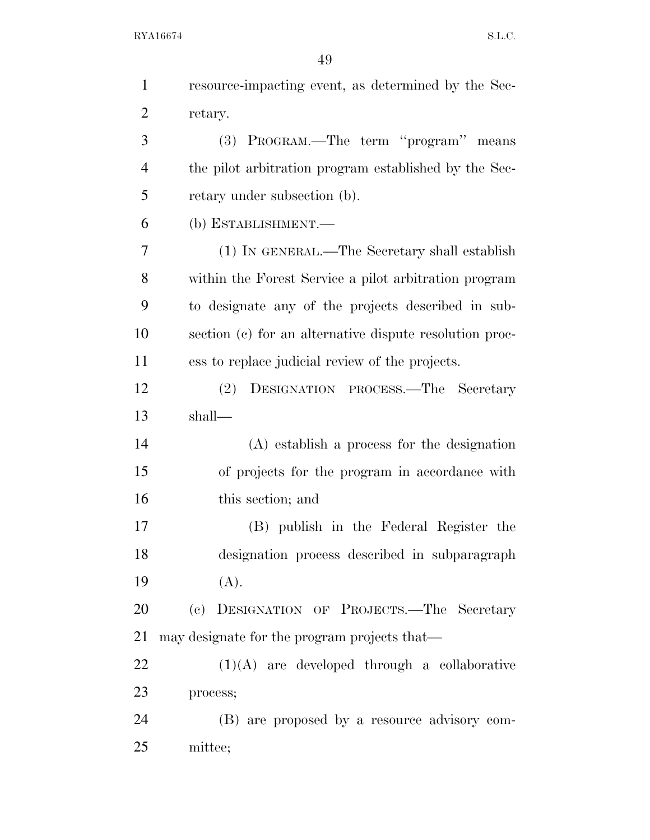| $\mathbf{1}$   | resource-impacting event, as determined by the Sec-     |
|----------------|---------------------------------------------------------|
| $\overline{2}$ | retary.                                                 |
| 3              | (3) PROGRAM.—The term "program" means                   |
| $\overline{4}$ | the pilot arbitration program established by the Sec-   |
| 5              | retary under subsection (b).                            |
| 6              | (b) ESTABLISHMENT.-                                     |
| 7              | (1) IN GENERAL.—The Secretary shall establish           |
| 8              | within the Forest Service a pilot arbitration program   |
| 9              | to designate any of the projects described in sub-      |
| 10             | section (c) for an alternative dispute resolution proc- |
| 11             | ess to replace judicial review of the projects.         |
| 12             | (2)<br>DESIGNATION PROCESS.—The Secretary               |
| 13             | shall-                                                  |
| 14             | (A) establish a process for the designation             |
| 15             | of projects for the program in accordance with          |
| 16             | this section; and                                       |
| 17             | (B) publish in the Federal Register the                 |
| 18             | designation process described in subparagraph           |
| 19             | (A).                                                    |
| 20             | (c) DESIGNATION OF PROJECTS.—The Secretary              |
| 21             | may designate for the program projects that—            |
| 22             | $(1)(A)$ are developed through a collaborative          |
| 23             | process;                                                |
| 24             | (B) are proposed by a resource advisory com-            |
| 25             | mittee;                                                 |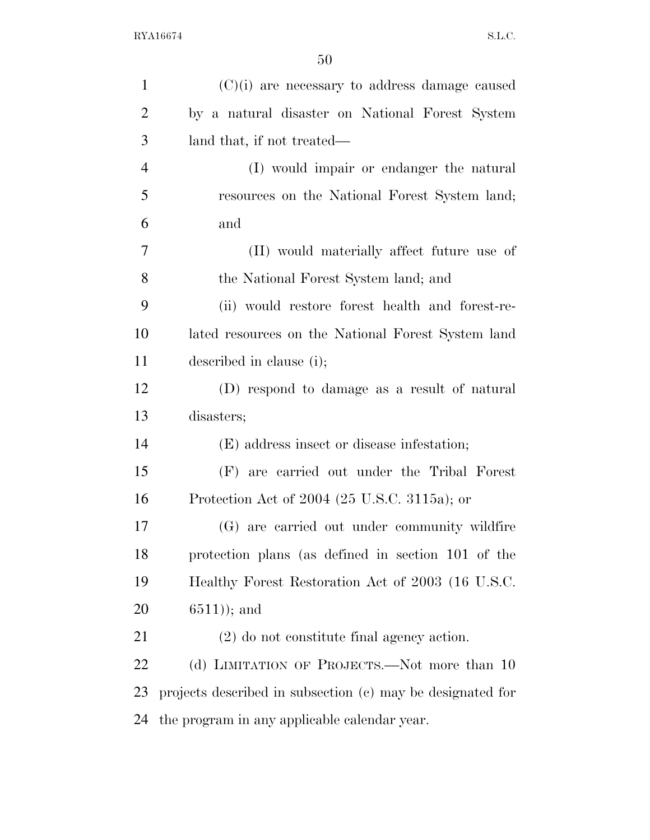| $\mathbf{1}$   | $(C)(i)$ are necessary to address damage caused            |
|----------------|------------------------------------------------------------|
| $\overline{2}$ | by a natural disaster on National Forest System            |
| 3              | land that, if not treated—                                 |
| $\overline{4}$ | (I) would impair or endanger the natural                   |
| 5              | resources on the National Forest System land;              |
| 6              | and                                                        |
| 7              | (II) would materially affect future use of                 |
| 8              | the National Forest System land; and                       |
| 9              | (ii) would restore forest health and forest-re-            |
| 10             | lated resources on the National Forest System land         |
| 11             | described in clause (i);                                   |
| 12             | (D) respond to damage as a result of natural               |
| 13             | disasters;                                                 |
| 14             | (E) address insect or disease infestation;                 |
| 15             | (F) are carried out under the Tribal Forest                |
| 16             | Protection Act of 2004 (25 U.S.C. 3115a); or               |
| 17             | (G) are carried out under community wildfire               |
| 18             | protection plans (as defined in section 101 of the         |
| 19             | Healthy Forest Restoration Act of 2003 (16 U.S.C.          |
| 20             | $(6511)$ ; and                                             |
| 21             | $(2)$ do not constitute final agency action.               |
| 22             | (d) LIMITATION OF PROJECTS.—Not more than 10               |
| 23             | projects described in subsection (c) may be designated for |
| 24             | the program in any applicable calendar year.               |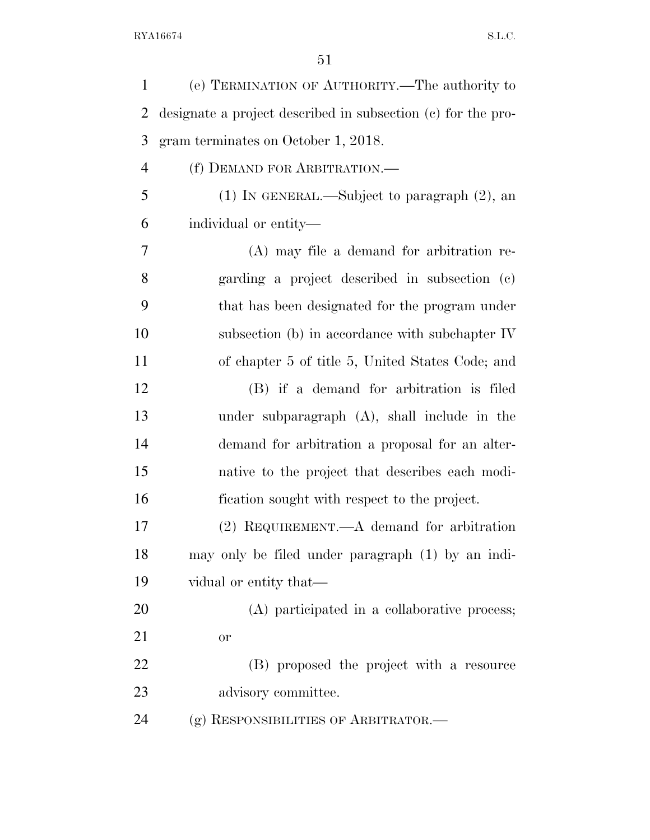| designate a project described in subsection (c) for the pro-<br>$(1)$ In GENERAL.—Subject to paragraph $(2)$ , an<br>(A) may file a demand for arbitration re-<br>garding a project described in subsection (c)<br>that has been designated for the program under<br>subsection (b) in accordance with subchapter IV<br>of chapter 5 of title 5, United States Code; and<br>(B) if a demand for arbitration is filed |
|----------------------------------------------------------------------------------------------------------------------------------------------------------------------------------------------------------------------------------------------------------------------------------------------------------------------------------------------------------------------------------------------------------------------|
|                                                                                                                                                                                                                                                                                                                                                                                                                      |
|                                                                                                                                                                                                                                                                                                                                                                                                                      |
|                                                                                                                                                                                                                                                                                                                                                                                                                      |
|                                                                                                                                                                                                                                                                                                                                                                                                                      |
|                                                                                                                                                                                                                                                                                                                                                                                                                      |
|                                                                                                                                                                                                                                                                                                                                                                                                                      |
|                                                                                                                                                                                                                                                                                                                                                                                                                      |
|                                                                                                                                                                                                                                                                                                                                                                                                                      |
|                                                                                                                                                                                                                                                                                                                                                                                                                      |
|                                                                                                                                                                                                                                                                                                                                                                                                                      |
|                                                                                                                                                                                                                                                                                                                                                                                                                      |
| under subparagraph $(A)$ , shall include in the                                                                                                                                                                                                                                                                                                                                                                      |
| demand for arbitration a proposal for an alter-                                                                                                                                                                                                                                                                                                                                                                      |
| native to the project that describes each modi-                                                                                                                                                                                                                                                                                                                                                                      |
| fication sought with respect to the project.                                                                                                                                                                                                                                                                                                                                                                         |
| $(2)$ REQUIREMENT.—A demand for arbitration                                                                                                                                                                                                                                                                                                                                                                          |
| may only be filed under paragraph (1) by an indi-                                                                                                                                                                                                                                                                                                                                                                    |
|                                                                                                                                                                                                                                                                                                                                                                                                                      |
| (A) participated in a collaborative process;                                                                                                                                                                                                                                                                                                                                                                         |
|                                                                                                                                                                                                                                                                                                                                                                                                                      |
|                                                                                                                                                                                                                                                                                                                                                                                                                      |
| (B) proposed the project with a resource                                                                                                                                                                                                                                                                                                                                                                             |
|                                                                                                                                                                                                                                                                                                                                                                                                                      |
|                                                                                                                                                                                                                                                                                                                                                                                                                      |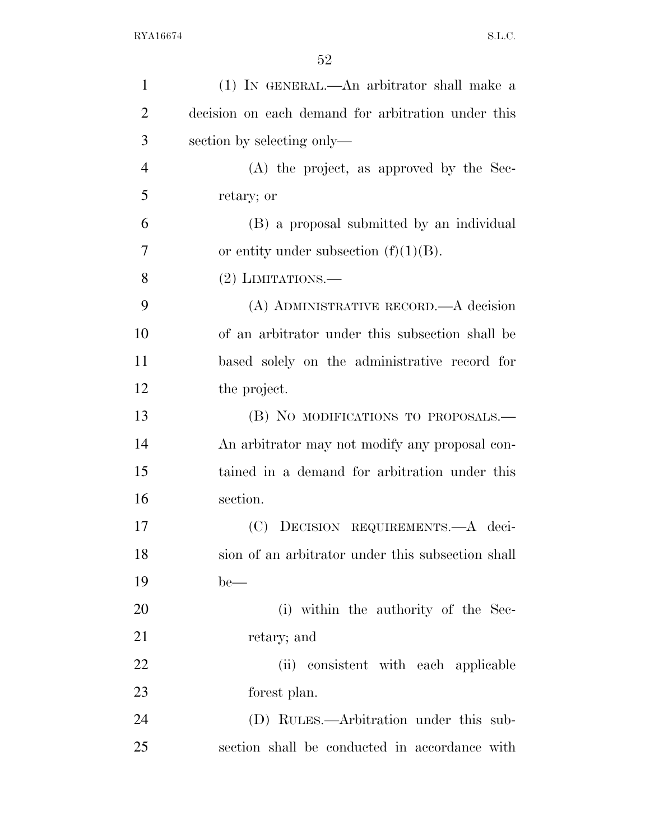| $\mathbf{1}$   | (1) IN GENERAL.—An arbitrator shall make a         |
|----------------|----------------------------------------------------|
| $\overline{2}$ | decision on each demand for arbitration under this |
| 3              | section by selecting only—                         |
| $\overline{4}$ | (A) the project, as approved by the Sec-           |
| 5              | retary; or                                         |
| 6              | (B) a proposal submitted by an individual          |
| $\overline{7}$ | or entity under subsection $(f)(1)(B)$ .           |
| 8              | $(2)$ LIMITATIONS.—                                |
| 9              | (A) ADMINISTRATIVE RECORD.—A decision              |
| 10             | of an arbitrator under this subsection shall be    |
| 11             | based solely on the administrative record for      |
| 12             | the project.                                       |
| 13             | (B) NO MODIFICATIONS TO PROPOSALS.-                |
| 14             | An arbitrator may not modify any proposal con-     |
| 15             | tained in a demand for arbitration under this      |
| 16             | section.                                           |
| 17             | (C) DECISION REQUIREMENTS.—A deci-                 |
| 18             | sion of an arbitrator under this subsection shall  |
| 19             | $be$ —                                             |
| 20             | (i) within the authority of the Sec-               |
| 21             | retary; and                                        |
| 22             | (ii) consistent with each applicable               |
| 23             | forest plan.                                       |
| 24             | (D) RULES.—Arbitration under this sub-             |
| 25             | section shall be conducted in accordance with      |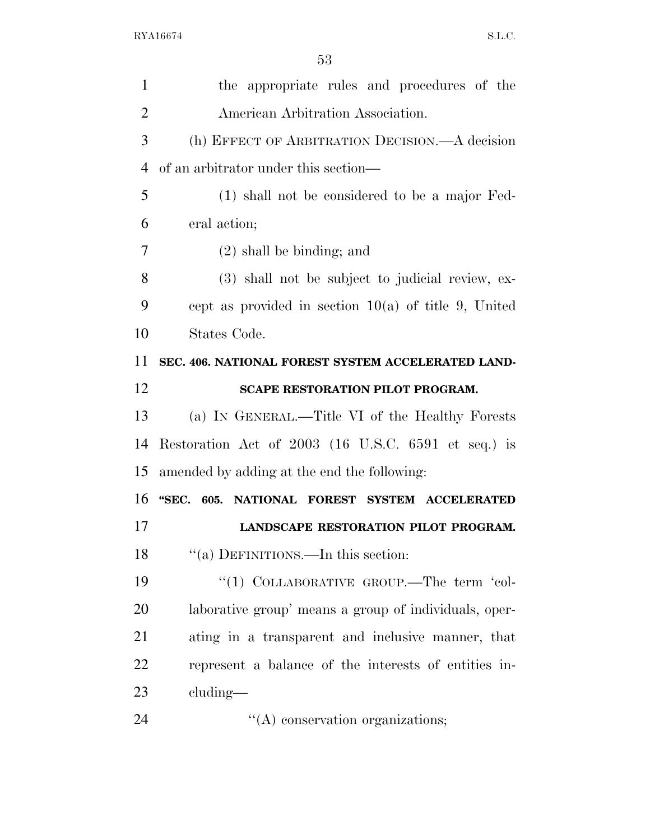| $\mathbf{1}$   | the appropriate rules and procedures of the            |
|----------------|--------------------------------------------------------|
| $\overline{2}$ | American Arbitration Association.                      |
| 3              | (h) EFFECT OF ARBITRATION DECISION.—A decision         |
| $\overline{4}$ | of an arbitrator under this section—                   |
| 5              | (1) shall not be considered to be a major Fed-         |
| 6              | eral action;                                           |
| 7              | $(2)$ shall be binding; and                            |
| 8              | (3) shall not be subject to judicial review, ex-       |
| 9              | cept as provided in section $10(a)$ of title 9, United |
| 10             | States Code.                                           |
| 11             | SEC. 406. NATIONAL FOREST SYSTEM ACCELERATED LAND-     |
| 12             | SCAPE RESTORATION PILOT PROGRAM.                       |
| 13             | (a) IN GENERAL.—Title VI of the Healthy Forests        |
| 14             | Restoration Act of 2003 (16 U.S.C. 6591 et seq.) is    |
| 15             | amended by adding at the end the following:            |
| 16             | "SEC. 605. NATIONAL FOREST SYSTEM ACCELERATED          |
| 17             | LANDSCAPE RESTORATION PILOT PROGRAM.                   |
| 18             | "(a) DEFINITIONS.—In this section:                     |
| 19             | "(1) COLLABORATIVE GROUP.—The term 'col-               |
| 20             | laborative group' means a group of individuals, oper-  |
| 21             | ating in a transparent and inclusive manner, that      |
| 22             | represent a balance of the interests of entities in-   |
|                |                                                        |
| 23             | cluding—                                               |

24 ''(A) conservation organizations;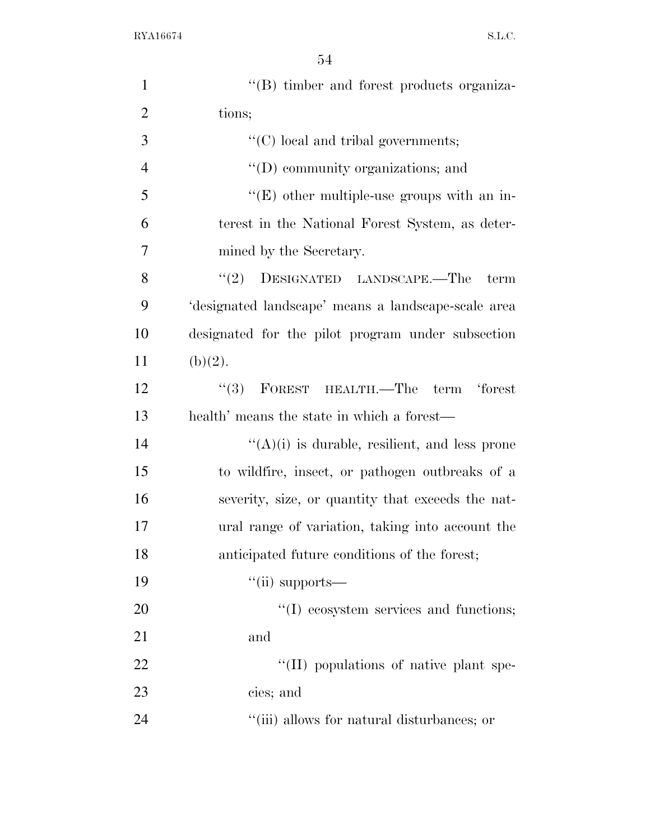| $\mathbf{1}$   | "(B) timber and forest products organiza-            |
|----------------|------------------------------------------------------|
| $\overline{2}$ | tions;                                               |
| 3              | $\lq\lq$ (C) local and tribal governments;           |
| $\overline{4}$ | $\lq\lq$ community organizations; and                |
| 5              | $\lq\lq(E)$ other multiple-use groups with an in-    |
| 6              | terest in the National Forest System, as deter-      |
| $\tau$         | mined by the Secretary.                              |
| 8              | (2)<br>DESIGNATED LANDSCAPE.-The<br>term             |
| 9              | 'designated landscape' means a landscape-scale area  |
| 10             | designated for the pilot program under subsection    |
| 11             | (b)(2).                                              |
| 12             | $``(3)$ FOREST HEALTH.—The term 'forest              |
| 13             | health' means the state in which a forest—           |
| 14             | $\lq\lq(A)(i)$ is durable, resilient, and less prone |
| 15             | to wildfire, insect, or pathogen outbreaks of a      |
| 16             | severity, size, or quantity that exceeds the nat-    |
| 17             | ural range of variation, taking into account the     |
| 18             | anticipated future conditions of the forest;         |
| 19             | $``$ (ii) supports—                                  |
| 20             | "(I) ecosystem services and functions;               |
| 21             | and                                                  |
| 22             | "(II) populations of native plant spe-               |
| 23             | cies; and                                            |
| 24             | "(iii) allows for natural disturbances; or           |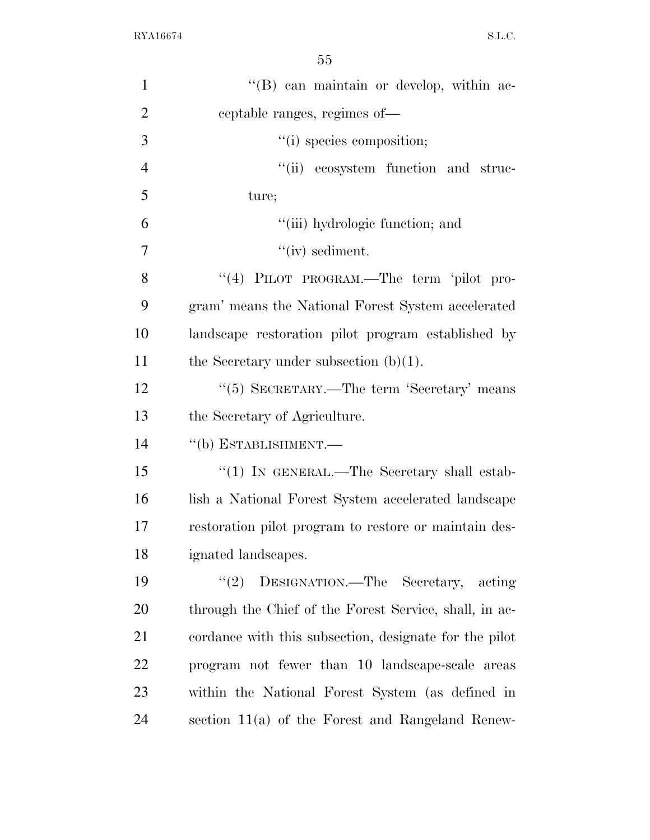| $\mathbf{1}$   | "(B) can maintain or develop, within ac-               |
|----------------|--------------------------------------------------------|
| $\overline{2}$ | ceptable ranges, regimes of—                           |
| 3              | "(i) species composition;                              |
| $\overline{4}$ | "(ii) ecosystem function and struc-                    |
| 5              | ture;                                                  |
| 6              | "(iii) hydrologic function; and                        |
| $\overline{7}$ | $``(iv)$ sediment.                                     |
| 8              | "(4) PILOT PROGRAM.—The term 'pilot pro-               |
| 9              | gram' means the National Forest System accelerated     |
| 10             | landscape restoration pilot program established by     |
| 11             | the Secretary under subsection $(b)(1)$ .              |
| 12             | "(5) SECRETARY.—The term 'Secretary' means             |
| 13             | the Secretary of Agriculture.                          |
| 14             | "(b) ESTABLISHMENT.-                                   |
| 15             | "(1) IN GENERAL.—The Secretary shall estab-            |
| 16             | lish a National Forest System accelerated landscape    |
| 17             | restoration pilot program to restore or maintain des-  |
| 18             | ignated landscapes.                                    |
| 19             | (2)<br>DESIGNATION.—The Secretary, acting              |
| 20             | through the Chief of the Forest Service, shall, in ac- |
| 21             | cordance with this subsection, designate for the pilot |
| 22             | program not fewer than 10 landscape-scale areas        |
| 23             | within the National Forest System (as defined in       |
| 24             | section 11(a) of the Forest and Rangeland Renew-       |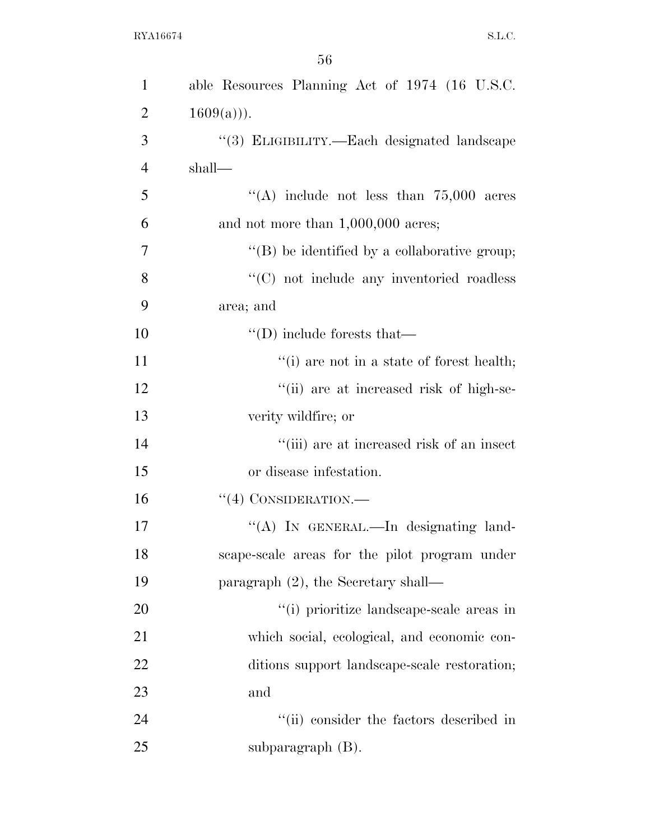| $\mathbf{1}$   | able Resources Planning Act of 1974 (16 U.S.C.       |
|----------------|------------------------------------------------------|
| $\overline{2}$ | $1609(a))$ .                                         |
| 3              | "(3) ELIGIBILITY.—Each designated landscape          |
| $\overline{4}$ | shall—                                               |
| 5              | "(A) include not less than $75,000$ acres            |
| 6              | and not more than $1,000,000$ acres;                 |
| $\overline{7}$ | $\lq\lq$ (B) be identified by a collaborative group; |
| 8              | "(C) not include any inventoried roadless            |
| 9              | area; and                                            |
| 10             | $\lq\lq$ (D) include forests that —                  |
| 11             | "(i) are not in a state of forest health;            |
| 12             | "(ii) are at increased risk of high-se-              |
| 13             | verity wildfire; or                                  |
| 14             | "(iii) are at increased risk of an insect            |
| 15             | or disease infestation.                              |
| 16             | $``(4)$ CONSIDERATION.—                              |
| 17             | "(A) IN GENERAL.—In designating land-                |
| 18             | scape-scale areas for the pilot program under        |
| 19             | paragraph $(2)$ , the Secretary shall—               |
| 20             | "(i) prioritize landscape-scale areas in             |
| 21             | which social, ecological, and economic con-          |
| 22             | ditions support landscape-scale restoration;         |
| 23             | and                                                  |
| 24             | "(ii) consider the factors described in              |
| 25             | subparagraph $(B)$ .                                 |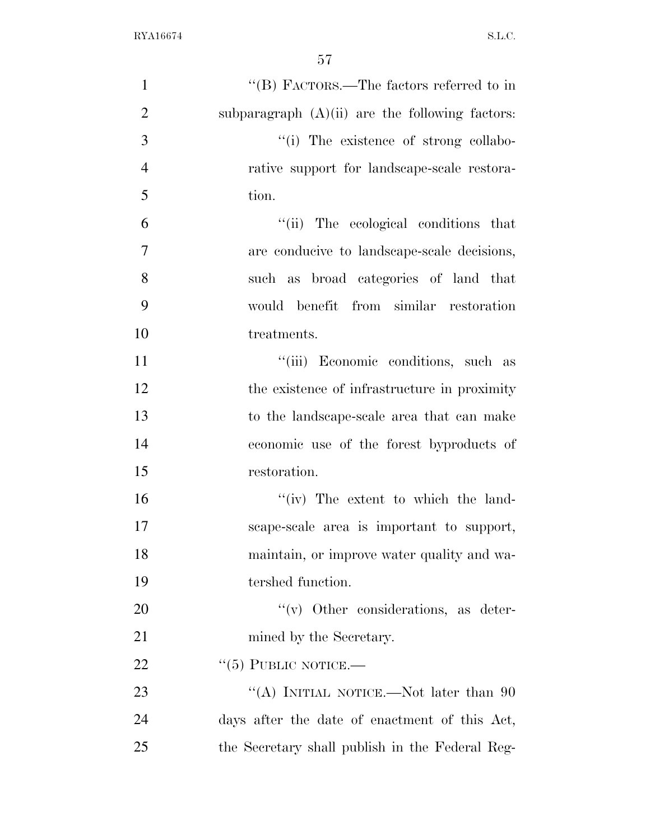| $\mathbf{1}$   | "(B) FACTORS.—The factors referred to in          |
|----------------|---------------------------------------------------|
| $\overline{2}$ | subparagraph $(A)(ii)$ are the following factors: |
| 3              | "(i) The existence of strong collabo-             |
| $\overline{4}$ | rative support for landscape-scale restora-       |
| 5              | tion.                                             |
| 6              | "(ii) The ecological conditions that              |
| 7              | are conducive to landscape-scale decisions,       |
| 8              | such as broad categories of land that             |
| 9              | would benefit from similar restoration            |
| 10             | treatments.                                       |
| 11             | "(iii) Economic conditions, such as               |
| 12             | the existence of infrastructure in proximity      |
| 13             | to the landscape-scale area that can make         |
| 14             | economic use of the forest byproducts of          |
| 15             | restoration.                                      |
| 16             | "(iv) The extent to which the land-               |
| 17             | scape-scale area is important to support,         |
| 18             | maintain, or improve water quality and wa-        |
| 19             | tershed function.                                 |
| 20             | $\lq\lq$ Other considerations, as deter-          |
| 21             | mined by the Secretary.                           |
| 22             | $``(5)$ PUBLIC NOTICE.—                           |
| 23             | "(A) INITIAL NOTICE.—Not later than $90$          |
| 24             | days after the date of enactment of this Act,     |
| 25             | the Secretary shall publish in the Federal Reg-   |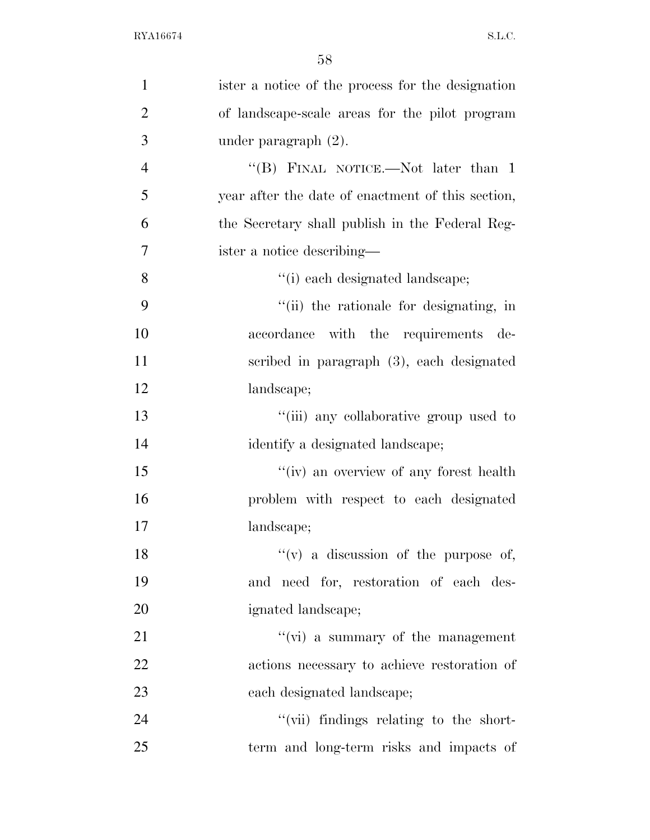| $\mathbf{1}$   | ister a notice of the process for the designation |
|----------------|---------------------------------------------------|
| $\overline{2}$ | of landscape-scale areas for the pilot program    |
| 3              | under paragraph $(2)$ .                           |
| $\overline{4}$ | "(B) FINAL NOTICE.—Not later than 1               |
| 5              | year after the date of enactment of this section, |
| 6              | the Secretary shall publish in the Federal Reg-   |
| $\overline{7}$ | ister a notice describing—                        |
| 8              | "(i) each designated landscape;                   |
| 9              | "(ii) the rationale for designating, in           |
| 10             | accordance with the requirements<br>de-           |
| 11             | scribed in paragraph (3), each designated         |
| 12             | landscape;                                        |
| 13             | "(iii) any collaborative group used to            |
| 14             | identify a designated landscape;                  |
| 15             | "(iv) an overview of any forest health            |
| 16             | problem with respect to each designated           |
| 17             | landscape;                                        |
| 18             | $f'(v)$ a discussion of the purpose of,           |
| 19             | and need for, restoration of each des-            |
| 20             | ignated landscape;                                |
| 21             | $\lq\lq$ (vi) a summary of the management         |
| 22             | actions necessary to achieve restoration of       |
| 23             | each designated landscape;                        |
| 24             | "(vii) findings relating to the short-            |
| 25             | term and long-term risks and impacts of           |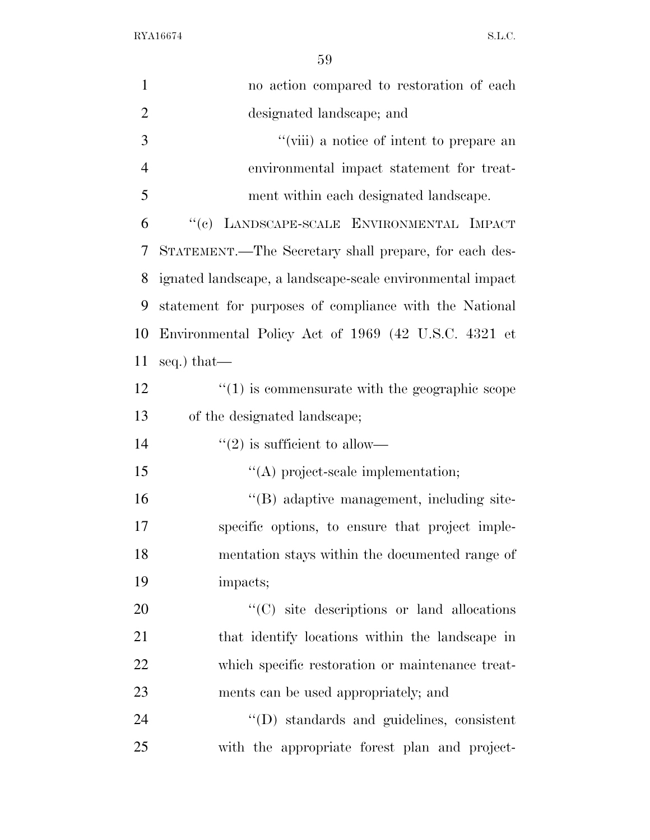| $\mathbf{1}$   | no action compared to restoration of each                 |
|----------------|-----------------------------------------------------------|
| $\overline{2}$ | designated landscape; and                                 |
| 3              | "(viii) a notice of intent to prepare an                  |
| $\overline{4}$ | environmental impact statement for treat-                 |
| 5              | ment within each designated landscape.                    |
| 6              | "(c) LANDSCAPE-SCALE ENVIRONMENTAL IMPACT                 |
| 7              | STATEMENT.—The Secretary shall prepare, for each des-     |
| 8              | ignated landscape, a landscape-scale environmental impact |
| 9              | statement for purposes of compliance with the National    |
| 10             | Environmental Policy Act of 1969 (42 U.S.C. 4321 et       |
| 11             | seq.) that—                                               |
| 12             | $\cdot$ (1) is commensurate with the geographic scope     |
| 13             | of the designated landscape;                              |
| 14             | $\lq(2)$ is sufficient to allow—                          |
| 15             | $\lq\lq$ project-scale implementation;                    |
| 16             | "(B) adaptive management, including site-                 |
| 17             | specific options, to ensure that project imple-           |
| 18             | mentation stays within the documented range of            |
| 19             | impacts;                                                  |
| 20             | "(C) site descriptions or land allocations                |
| 21             | that identify locations within the landscape in           |
| 22             | which specific restoration or maintenance treat-          |
| 23             | ments can be used appropriately; and                      |
| 24             | $\lq\lq$ ) standards and guidelines, consistent           |
| 25             | with the appropriate forest plan and project-             |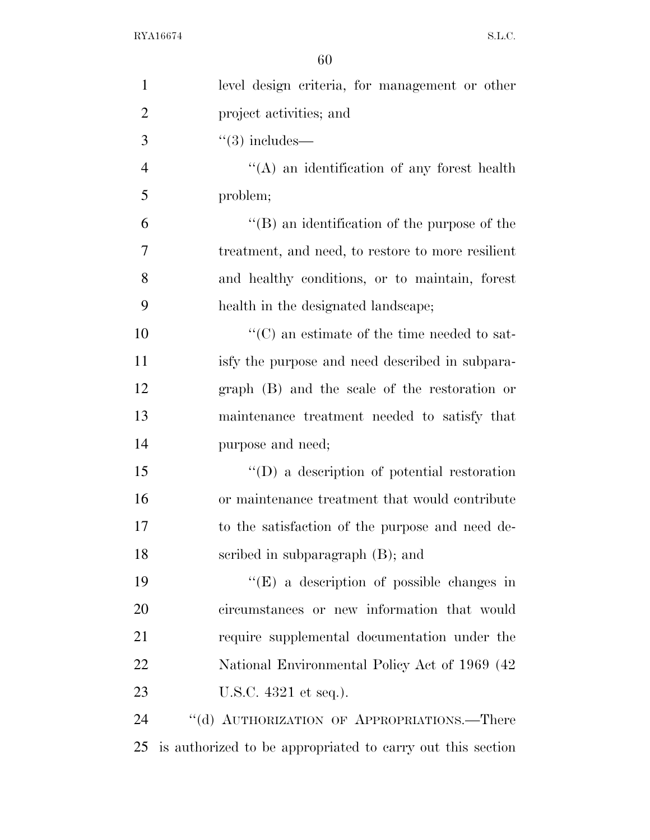| $\mathbf{1}$   | level design criteria, for management or other             |
|----------------|------------------------------------------------------------|
| $\overline{2}$ | project activities; and                                    |
| 3              | $\degree$ (3) includes—                                    |
| $\overline{4}$ | $\lq\lq$ and identification of any forest health           |
| 5              | problem;                                                   |
| 6              | $\lq\lq (B)$ an identification of the purpose of the       |
| 7              | treatment, and need, to restore to more resilient          |
| 8              | and healthy conditions, or to maintain, forest             |
| 9              | health in the designated landscape;                        |
| 10             | $\cdot$ (C) an estimate of the time needed to sat-         |
| 11             | is fy the purpose and need described in subpara-           |
| 12             | graph (B) and the scale of the restoration or              |
| 13             | maintenance treatment needed to satisfy that               |
| 14             | purpose and need;                                          |
| 15             | $\lq\lq$ a description of potential restoration            |
| 16             | or maintenance treatment that would contribute             |
| 17             | to the satisfaction of the purpose and need de-            |
| 18             | scribed in subparagraph (B); and                           |
| 19             | $\lq\lq$ (E) a description of possible changes in          |
| 20             | circumstances or new information that would                |
| 21             | require supplemental documentation under the               |
| 22             | National Environmental Policy Act of 1969 (42)             |
| 23             | U.S.C. 4321 et seq.).                                      |
| 24             | "(d) AUTHORIZATION OF APPROPRIATIONS.—There                |
| 25             | is authorized to be appropriated to carry out this section |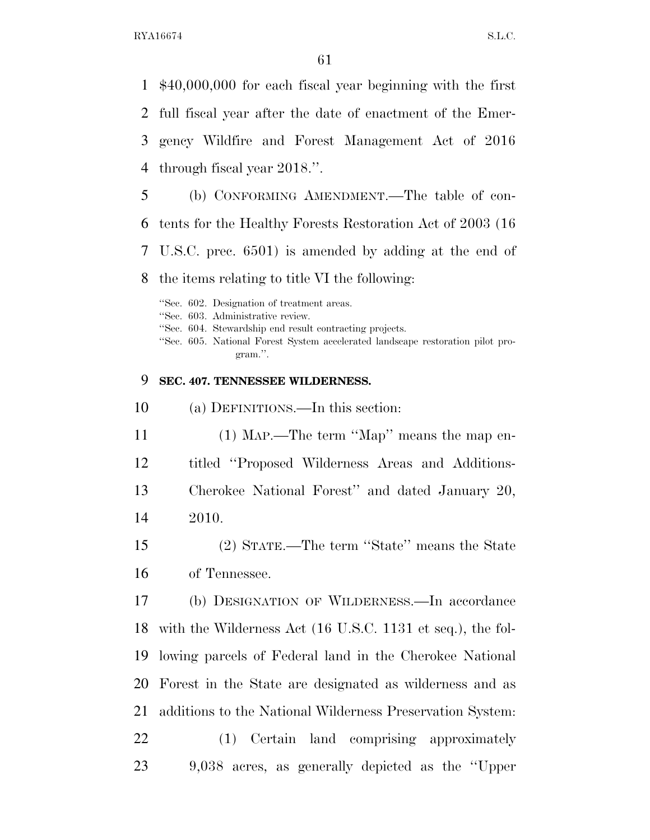\$40,000,000 for each fiscal year beginning with the first full fiscal year after the date of enactment of the Emer- gency Wildfire and Forest Management Act of 2016 through fiscal year 2018.''.

 (b) CONFORMING AMENDMENT.—The table of con- tents for the Healthy Forests Restoration Act of 2003 (16 U.S.C. prec. 6501) is amended by adding at the end of

the items relating to title VI the following:

''Sec. 602. Designation of treatment areas.

''Sec. 603. Administrative review.

''Sec. 604. Stewardship end result contracting projects.

''Sec. 605. National Forest System accelerated landscape restoration pilot program.''.

#### **SEC. 407. TENNESSEE WILDERNESS.**

(a) DEFINITIONS.—In this section:

 (1) MAP.—The term ''Map'' means the map en- titled ''Proposed Wilderness Areas and Additions-Cherokee National Forest'' and dated January 20,

- 2010.
- (2) STATE.—The term ''State'' means the State of Tennessee.

 (b) DESIGNATION OF WILDERNESS.—In accordance with the Wilderness Act (16 U.S.C. 1131 et seq.), the fol- lowing parcels of Federal land in the Cherokee National Forest in the State are designated as wilderness and as additions to the National Wilderness Preservation System: (1) Certain land comprising approximately 9,038 acres, as generally depicted as the ''Upper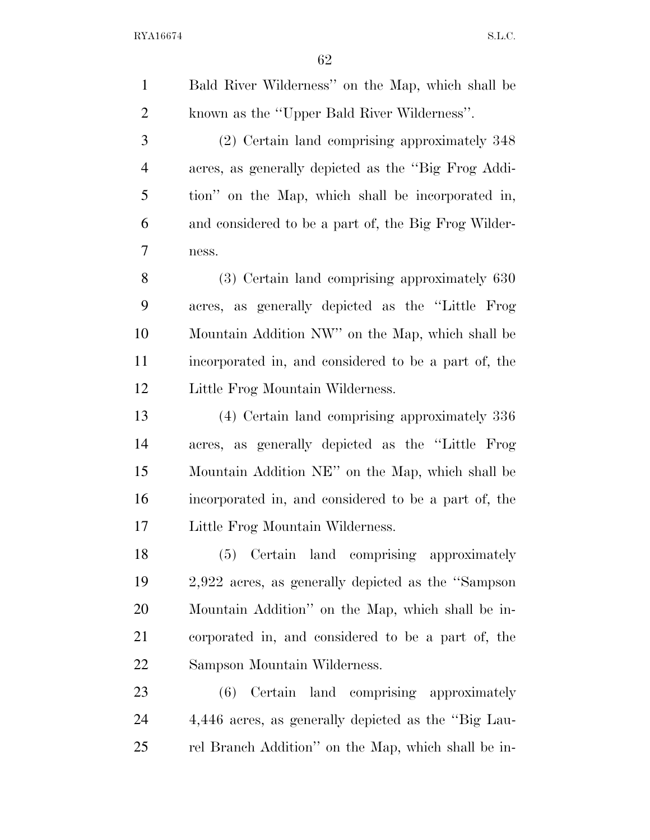Bald River Wilderness'' on the Map, which shall be known as the ''Upper Bald River Wilderness''. (2) Certain land comprising approximately 348 acres, as generally depicted as the ''Big Frog Addi- tion'' on the Map, which shall be incorporated in, and considered to be a part of, the Big Frog Wilder- ness. (3) Certain land comprising approximately 630 acres, as generally depicted as the ''Little Frog Mountain Addition NW'' on the Map, which shall be incorporated in, and considered to be a part of, the Little Frog Mountain Wilderness. (4) Certain land comprising approximately 336 acres, as generally depicted as the ''Little Frog Mountain Addition NE'' on the Map, which shall be incorporated in, and considered to be a part of, the Little Frog Mountain Wilderness. (5) Certain land comprising approximately 2,922 acres, as generally depicted as the ''Sampson Mountain Addition'' on the Map, which shall be in- corporated in, and considered to be a part of, the Sampson Mountain Wilderness. (6) Certain land comprising approximately

 4,446 acres, as generally depicted as the ''Big Lau-rel Branch Addition'' on the Map, which shall be in-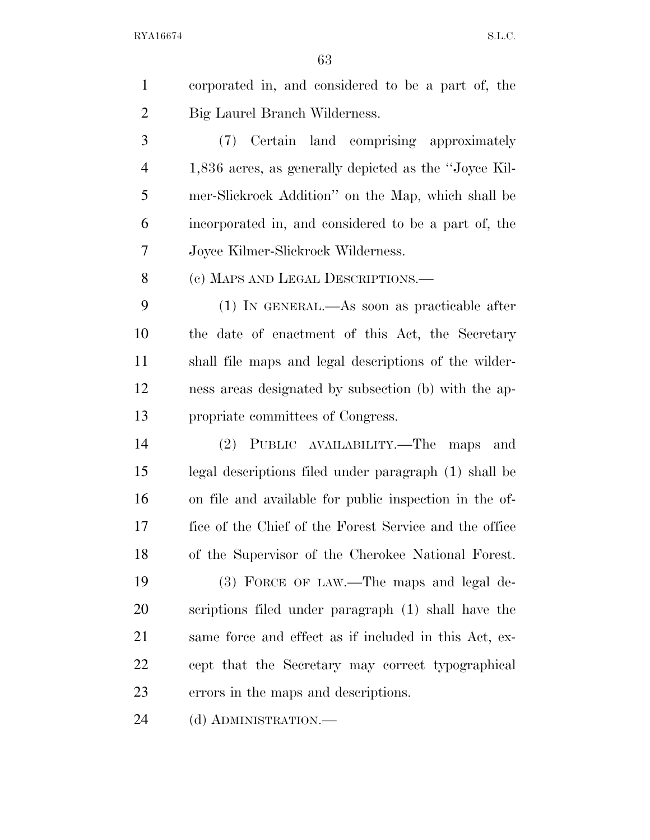corporated in, and considered to be a part of, the Big Laurel Branch Wilderness. (7) Certain land comprising approximately 1,836 acres, as generally depicted as the ''Joyce Kil- mer-Slickrock Addition'' on the Map, which shall be incorporated in, and considered to be a part of, the Joyce Kilmer-Slickrock Wilderness. (c) MAPS AND LEGAL DESCRIPTIONS.— (1) IN GENERAL.—As soon as practicable after the date of enactment of this Act, the Secretary shall file maps and legal descriptions of the wilder- ness areas designated by subsection (b) with the ap- propriate committees of Congress. (2) PUBLIC AVAILABILITY.—The maps and legal descriptions filed under paragraph (1) shall be on file and available for public inspection in the of- fice of the Chief of the Forest Service and the office of the Supervisor of the Cherokee National Forest. (3) FORCE OF LAW.—The maps and legal de-

 scriptions filed under paragraph (1) shall have the same force and effect as if included in this Act, ex- cept that the Secretary may correct typographical errors in the maps and descriptions.

24 (d) ADMINISTRATION.—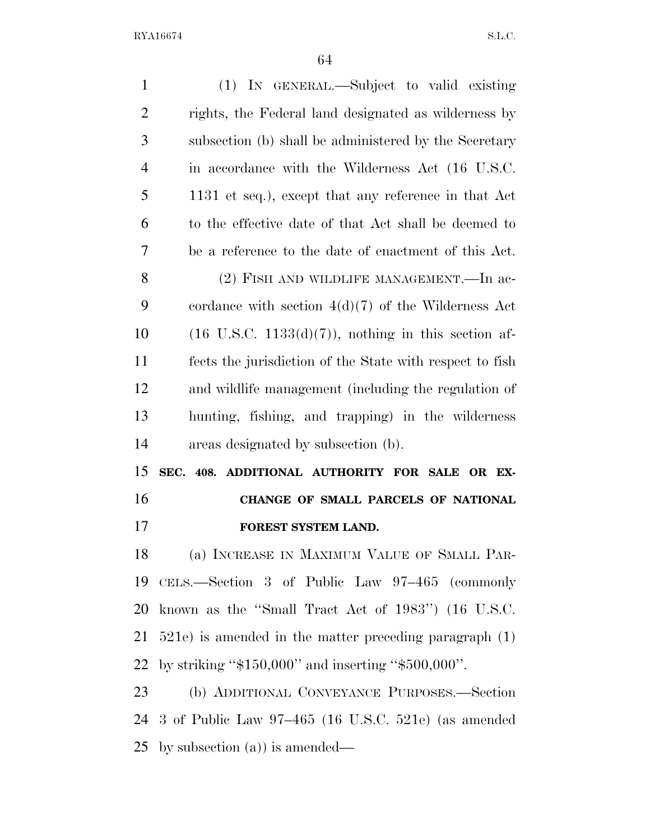| $\mathbf{1}$   | (1) IN GENERAL.—Subject to valid existing                       |
|----------------|-----------------------------------------------------------------|
| $\overline{2}$ | rights, the Federal land designated as wilderness by            |
| 3              | subsection (b) shall be administered by the Secretary           |
| $\overline{4}$ | in accordance with the Wilderness Act (16 U.S.C.                |
| 5              | 1131 et seq.), except that any reference in that Act            |
| 6              | to the effective date of that Act shall be deemed to            |
| 7              | be a reference to the date of enactment of this Act.            |
| 8              | (2) FISH AND WILDLIFE MANAGEMENT.—In ac-                        |
| 9              | cordance with section $4(d)(7)$ of the Wilderness Act           |
| 10             | $(16 \text{ U.S.C. } 1133(d)(7))$ , nothing in this section af- |
| 11             | fects the jurisdiction of the State with respect to fish        |
| 12             | and wildlife management (including the regulation of            |
| 13             | hunting, fishing, and trapping) in the wilderness               |
| 14             | areas designated by subsection (b).                             |
| 15             | SEC. 408. ADDITIONAL AUTHORITY FOR SALE OR EX-                  |
| 16             | CHANGE OF SMALL PARCELS OF NATIONAL                             |
| 17             | FOREST SYSTEM LAND.                                             |
| 18             | (a) INCREASE IN MAXIMUM VALUE OF SMALL PAR-                     |
| 19             | CELS.—Section 3 of Public Law 97–465 (commonly                  |
| 20             | known as the "Small Tract Act of 1983") (16 U.S.C.              |
| 21             | $521e$ ) is amended in the matter preceding paragraph $(1)$     |
| 22             | by striking " $$150,000"$ and inserting " $$500,000"$ .         |
| 23             | (b) ADDITIONAL CONVEYANCE PURPOSES.—Section                     |
| 24             | 3 of Public Law $97-465$ (16 U.S.C. 521e) (as amended           |
| 25             | by subsection $(a)$ ) is amended—                               |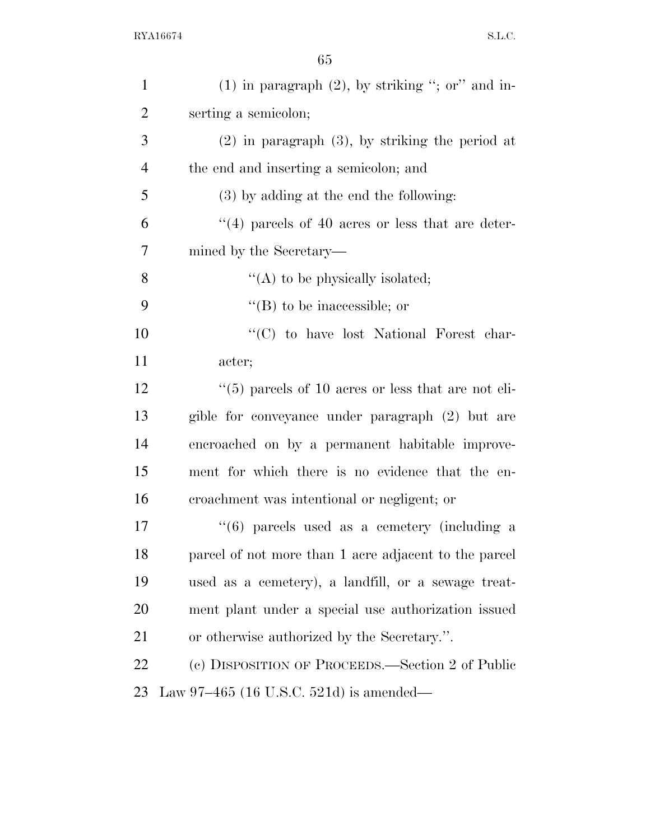| $\mathbf{1}$   | $(1)$ in paragraph $(2)$ , by striking "; or" and in-          |
|----------------|----------------------------------------------------------------|
| $\overline{2}$ | serting a semicolon;                                           |
| 3              | $(2)$ in paragraph $(3)$ , by striking the period at           |
| $\overline{4}$ | the end and inserting a semicolon; and                         |
| 5              | $(3)$ by adding at the end the following:                      |
| 6              | $\cdot$ (4) parcels of 40 acres or less that are deter-        |
| 7              | mined by the Secretary—                                        |
| 8              | "(A) to be physically isolated;                                |
| 9              | $\lq\lq$ (B) to be inaccessible; or                            |
| 10             | "(C) to have lost National Forest char-                        |
| 11             | acter;                                                         |
| 12             | $\cdot\cdot$ (5) parcels of 10 acres or less that are not eli- |
| 13             | gible for conveyance under paragraph (2) but are               |
| 14             | encroached on by a permanent habitable improve-                |
| 15             | ment for which there is no evidence that the en-               |
| 16             | croachment was intentional or negligent; or                    |
| 17             | $(6)$ parcels used as a cemetery (including a                  |
| 18             | parcel of not more than 1 acre adjacent to the parcel          |
| 19             | used as a cemetery), a landfill, or a sewage treat-            |
| 20             | ment plant under a special use authorization issued            |
| 21             | or otherwise authorized by the Secretary.".                    |
| 22             | (c) DISPOSITION OF PROCEEDS.—Section 2 of Public               |
| 23             | Law $97-465$ (16 U.S.C. 521d) is amended—                      |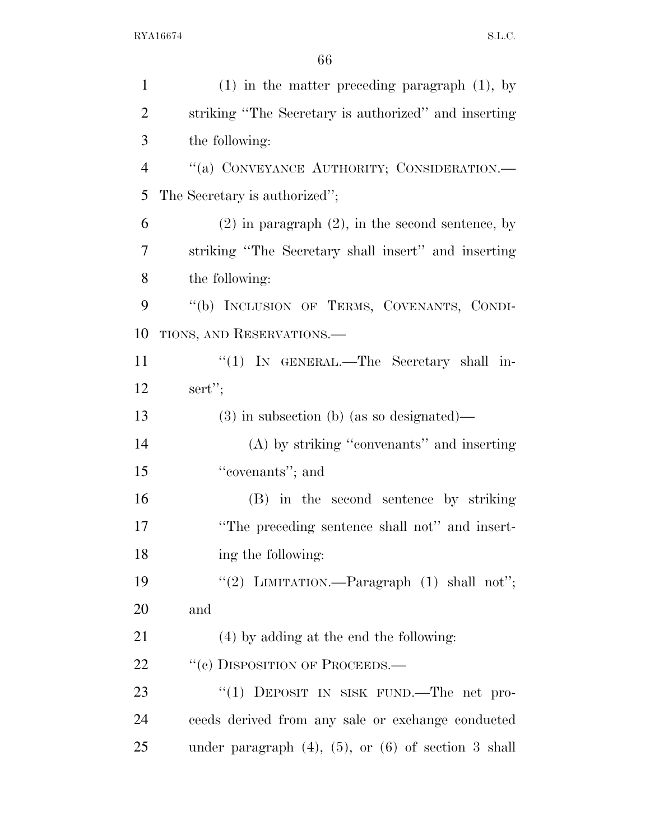| $\mathbf{1}$   | $(1)$ in the matter preceding paragraph $(1)$ , by          |
|----------------|-------------------------------------------------------------|
| $\overline{2}$ | striking "The Secretary is authorized" and inserting        |
| 3              | the following:                                              |
| $\overline{4}$ | "(a) CONVEYANCE AUTHORITY; CONSIDERATION.-                  |
| 5              | The Secretary is authorized";                               |
| 6              | $(2)$ in paragraph $(2)$ , in the second sentence, by       |
| 7              | striking "The Secretary shall insert" and inserting         |
| 8              | the following:                                              |
| 9              | "(b) INCLUSION OF TERMS, COVENANTS, CONDI-                  |
| 10             | TIONS, AND RESERVATIONS.                                    |
| 11             | " $(1)$ IN GENERAL.—The Secretary shall in-                 |
| 12             | sert";                                                      |
| 13             | $(3)$ in subsection (b) (as so designated)—                 |
| 14             | (A) by striking "convenants" and inserting                  |
| 15             | "covenants"; and                                            |
| 16             | (B) in the second sentence by striking                      |
| 17             | "The preceding sentence shall not" and insert-              |
| 18             | ing the following:                                          |
| 19             | "(2) LIMITATION.—Paragraph $(1)$ shall not";                |
| 20             | and                                                         |
| 21             | (4) by adding at the end the following:                     |
| 22             | "(c) DISPOSITION OF PROCEEDS.—                              |
| 23             | "(1) DEPOSIT IN SISK FUND.—The net pro-                     |
| 24             | ceeds derived from any sale or exchange conducted           |
| 25             | under paragraph $(4)$ , $(5)$ , or $(6)$ of section 3 shall |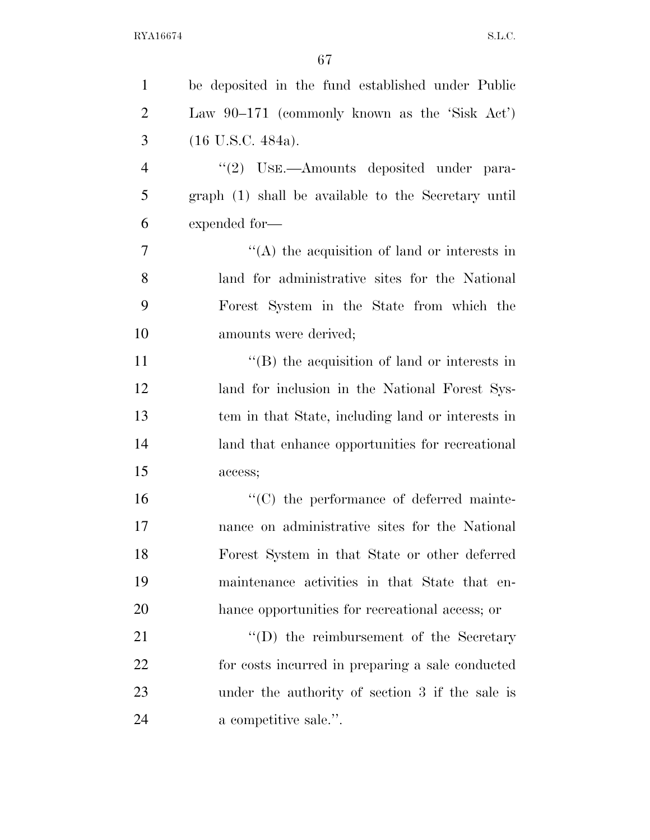| $\mathbf{1}$   | be deposited in the fund established under Public    |
|----------------|------------------------------------------------------|
| $\overline{2}$ | Law $90-171$ (commonly known as the 'Sisk Act')      |
| 3              | $(16 \text{ U.S.C. } 484a).$                         |
| $\overline{4}$ | "(2) USE.—Amounts deposited under para-              |
| 5              | graph (1) shall be available to the Secretary until  |
| 6              | expended for-                                        |
| $\overline{7}$ | $\lq\lq$ the acquisition of land or interests in     |
| 8              | land for administrative sites for the National       |
| 9              | Forest System in the State from which the            |
| 10             | amounts were derived;                                |
| 11             | $\lq\lq$ (B) the acquisition of land or interests in |
| 12             | land for inclusion in the National Forest Sys-       |
| 13             | tem in that State, including land or interests in    |
| 14             | land that enhance opportunities for recreational     |
| 15             | access;                                              |
| 16             | "(C) the performance of deferred mainte-             |
| 17             | nance on administrative sites for the National       |
| 18             | Forest System in that State or other deferred        |
| 19             | maintenance activities in that State that en-        |
| 20             | hance opportunities for recreational access; or      |
| 21             | $\lq\lq$ the reimbursement of the Secretary          |
| 22             | for costs incurred in preparing a sale conducted     |
| 23             | under the authority of section 3 if the sale is      |
| 24             | a competitive sale.".                                |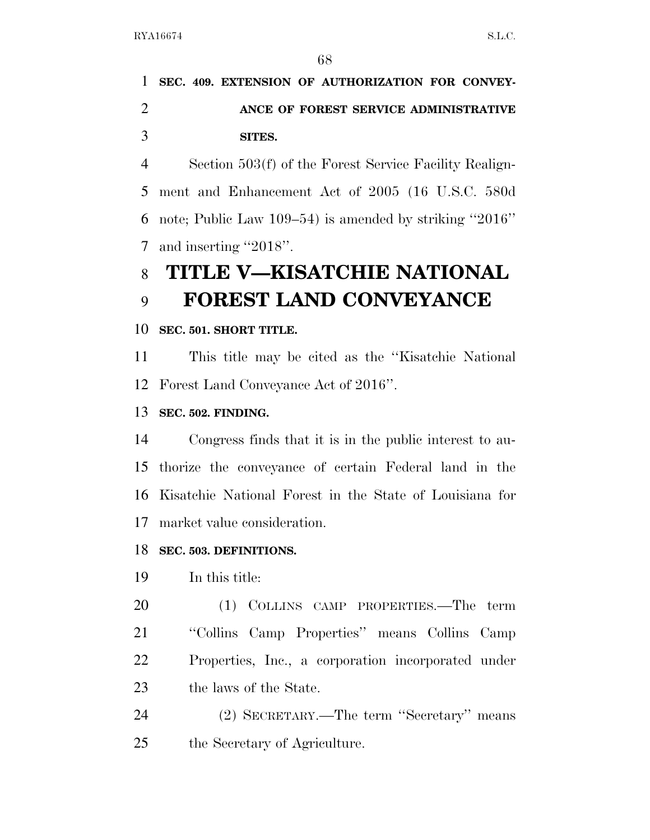## **SEC. 409. EXTENSION OF AUTHORIZATION FOR CONVEY- ANCE OF FOREST SERVICE ADMINISTRATIVE SITES.**

 Section 503(f) of the Forest Service Facility Realign- ment and Enhancement Act of 2005 (16 U.S.C. 580d note; Public Law 109–54) is amended by striking ''2016'' and inserting ''2018''.

# **TITLE V—KISATCHIE NATIONAL FOREST LAND CONVEYANCE**

### **SEC. 501. SHORT TITLE.**

 This title may be cited as the ''Kisatchie National Forest Land Conveyance Act of 2016''.

### **SEC. 502. FINDING.**

 Congress finds that it is in the public interest to au- thorize the conveyance of certain Federal land in the Kisatchie National Forest in the State of Louisiana for market value consideration.

### **SEC. 503. DEFINITIONS.**

### In this title:

 (1) COLLINS CAMP PROPERTIES.—The term ''Collins Camp Properties'' means Collins Camp Properties, Inc., a corporation incorporated under 23 the laws of the State.

 (2) SECRETARY.—The term ''Secretary'' means the Secretary of Agriculture.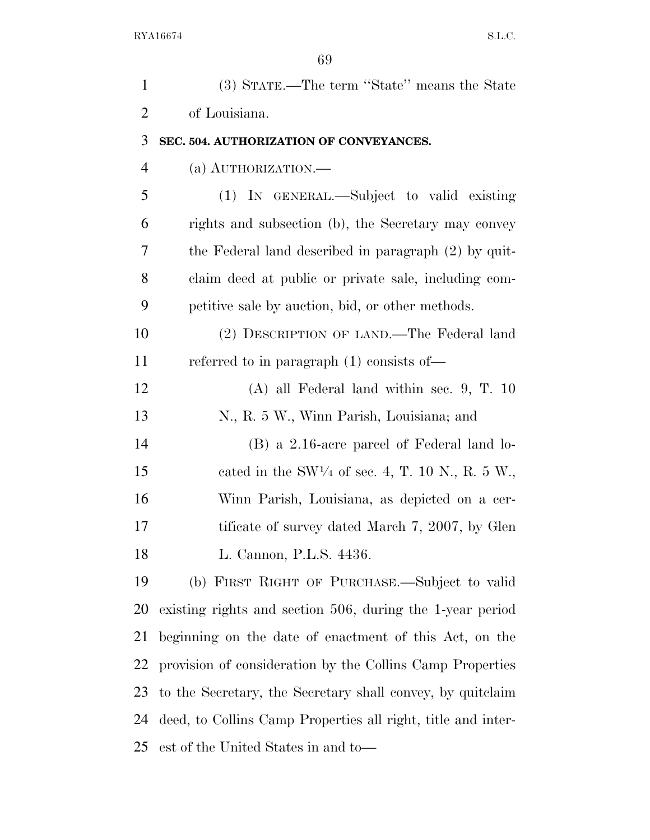| $\mathbf{1}$   | (3) STATE.—The term "State" means the State                  |
|----------------|--------------------------------------------------------------|
| $\overline{2}$ | of Louisiana.                                                |
| 3              | SEC. 504. AUTHORIZATION OF CONVEYANCES.                      |
| $\overline{4}$ | (a) AUTHORIZATION.—                                          |
| 5              | (1) IN GENERAL.—Subject to valid existing                    |
| 6              | rights and subsection (b), the Secretary may convey          |
| 7              | the Federal land described in paragraph (2) by quit-         |
| 8              | claim deed at public or private sale, including com-         |
| 9              | petitive sale by auction, bid, or other methods.             |
| 10             | (2) DESCRIPTION OF LAND.—The Federal land                    |
| 11             | referred to in paragraph $(1)$ consists of —                 |
| 12             | $(A)$ all Federal land within sec. 9, T. 10                  |
| 13             | N., R. 5 W., Winn Parish, Louisiana; and                     |
| 14             | $(B)$ a 2.16-acre parcel of Federal land lo-                 |
| 15             | cated in the SW1/4 of sec. 4, T. 10 N., R. 5 W.,             |
| 16             | Winn Parish, Louisiana, as depicted on a cer-                |
| 17             | tificate of survey dated March 7, 2007, by Glen              |
| 18             | L. Cannon, P.L.S. 4436.                                      |
| 19             | (b) FIRST RIGHT OF PURCHASE.—Subject to valid                |
| 20             | existing rights and section 506, during the 1-year period    |
| 21             | beginning on the date of enactment of this Act, on the       |
| 22             | provision of consideration by the Collins Camp Properties    |
| 23             | to the Secretary, the Secretary shall convey, by quitclaim   |
| 24             | deed, to Collins Camp Properties all right, title and inter- |
| 25             | est of the United States in and to-                          |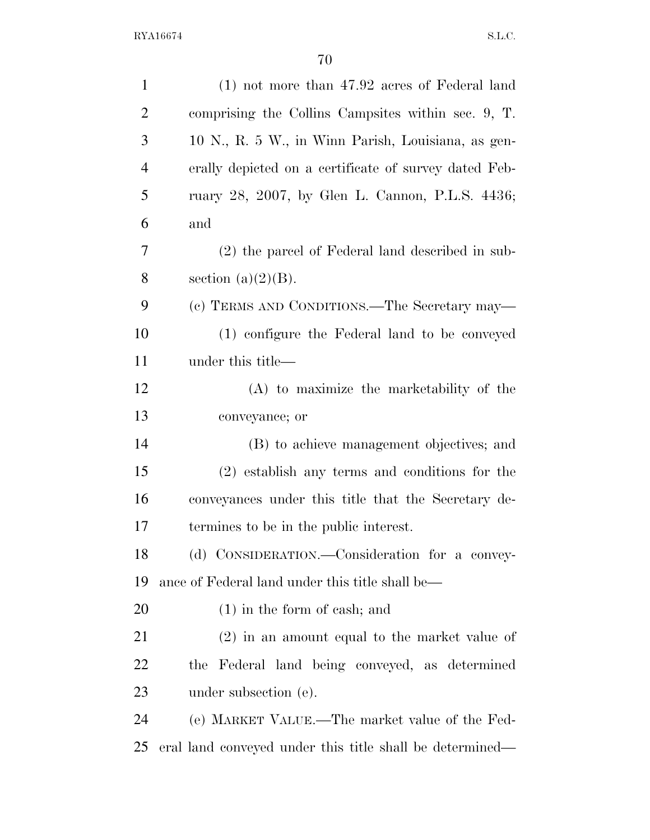| $\mathbf{1}$   | $(1)$ not more than 47.92 acres of Federal land          |
|----------------|----------------------------------------------------------|
| $\overline{2}$ | comprising the Collins Campsites within sec. 9, T.       |
| 3              | 10 N., R. 5 W., in Winn Parish, Louisiana, as gen-       |
| $\overline{4}$ | erally depicted on a certificate of survey dated Feb-    |
| 5              | ruary 28, 2007, by Glen L. Cannon, P.L.S. 4436;          |
| 6              | and                                                      |
| 7              | (2) the parcel of Federal land described in sub-         |
| 8              | section $(a)(2)(B)$ .                                    |
| 9              | (c) TERMS AND CONDITIONS.—The Secretary may—             |
| 10             | (1) configure the Federal land to be conveyed            |
| 11             | under this title—                                        |
| 12             | $(A)$ to maximize the marketability of the               |
| 13             | conveyance; or                                           |
| 14             | (B) to achieve management objectives; and                |
| 15             | $(2)$ establish any terms and conditions for the         |
| 16             | conveyances under this title that the Secretary de-      |
| 17             | termines to be in the public interest.                   |
| 18             | (d) CONSIDERATION.—Consideration for a convey-           |
| 19             | ance of Federal land under this title shall be—          |
| 20             | $(1)$ in the form of cash; and                           |
| 21             | $(2)$ in an amount equal to the market value of          |
| 22             | the Federal land being conveyed, as determined           |
| 23             | under subsection (e).                                    |
| 24             | (e) MARKET VALUE.—The market value of the Fed-           |
| 25             | eral land conveyed under this title shall be determined— |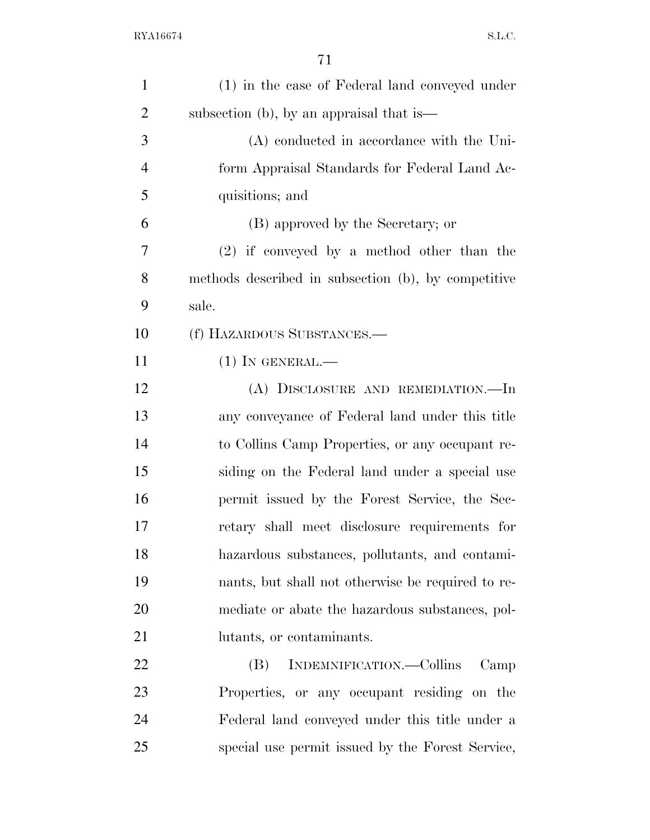| $\mathbf{1}$   | (1) in the case of Federal land conveyed under      |
|----------------|-----------------------------------------------------|
| $\overline{2}$ | subsection (b), by an appraisal that is—            |
| 3              | (A) conducted in accordance with the Uni-           |
| $\overline{4}$ | form Appraisal Standards for Federal Land Ac-       |
| 5              | quisitions; and                                     |
| 6              | (B) approved by the Secretary; or                   |
| 7              | $(2)$ if conveyed by a method other than the        |
| 8              | methods described in subsection (b), by competitive |
| 9              | sale.                                               |
| 10             | (f) HAZARDOUS SUBSTANCES.—                          |
| 11             | $(1)$ In GENERAL.—                                  |
| 12             | (A) DISCLOSURE AND REMEDIATION.-In                  |
| 13             | any conveyance of Federal land under this title     |
| 14             | to Collins Camp Properties, or any occupant re-     |
| 15             | siding on the Federal land under a special use      |
| 16             | permit issued by the Forest Service, the Sec-       |
| 17             | retary shall meet disclosure requirements for       |
| 18             | hazardous substances, pollutants, and contami-      |
| 19             | nants, but shall not otherwise be required to re-   |
| 20             | mediate or abate the hazardous substances, pol-     |
| 21             | lutants, or contaminants.                           |
| 22             | INDEMNIFICATION.—Collins<br>(B)<br>Camp             |
| 23             | Properties, or any occupant residing on the         |
| 24             | Federal land conveyed under this title under a      |
| 25             | special use permit issued by the Forest Service,    |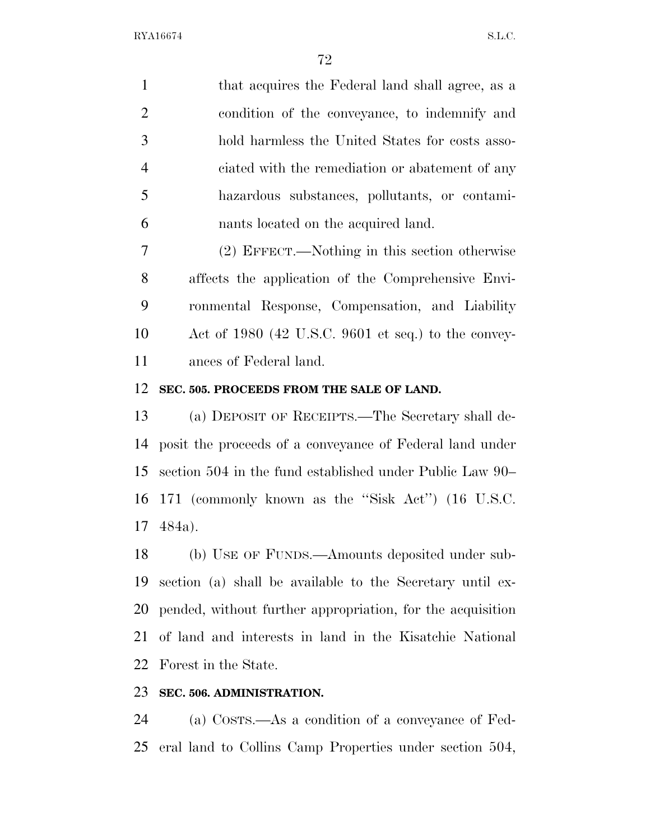1 that acquires the Federal land shall agree, as a condition of the conveyance, to indemnify and hold harmless the United States for costs asso- ciated with the remediation or abatement of any hazardous substances, pollutants, or contami-nants located on the acquired land.

 (2) EFFECT.—Nothing in this section otherwise affects the application of the Comprehensive Envi- ronmental Response, Compensation, and Liability Act of 1980 (42 U.S.C. 9601 et seq.) to the convey-ances of Federal land.

#### **SEC. 505. PROCEEDS FROM THE SALE OF LAND.**

 (a) DEPOSIT OF RECEIPTS.—The Secretary shall de- posit the proceeds of a conveyance of Federal land under section 504 in the fund established under Public Law 90– 171 (commonly known as the ''Sisk Act'') (16 U.S.C. 484a).

 (b) USE OF FUNDS.—Amounts deposited under sub- section (a) shall be available to the Secretary until ex- pended, without further appropriation, for the acquisition of land and interests in land in the Kisatchie National Forest in the State.

#### **SEC. 506. ADMINISTRATION.**

 (a) COSTS.—As a condition of a conveyance of Fed-eral land to Collins Camp Properties under section 504,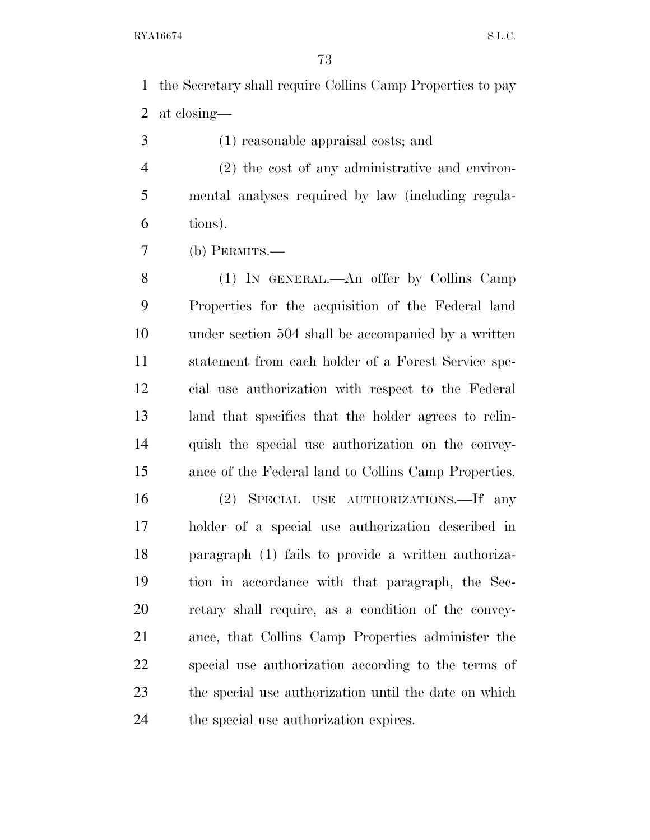the Secretary shall require Collins Camp Properties to pay at closing—

- (1) reasonable appraisal costs; and
- (2) the cost of any administrative and environ- mental analyses required by law (including regula-tions).
- (b) PERMITS.—

 (1) IN GENERAL.—An offer by Collins Camp Properties for the acquisition of the Federal land under section 504 shall be accompanied by a written statement from each holder of a Forest Service spe- cial use authorization with respect to the Federal land that specifies that the holder agrees to relin- quish the special use authorization on the convey-ance of the Federal land to Collins Camp Properties.

 (2) SPECIAL USE AUTHORIZATIONS.—If any holder of a special use authorization described in paragraph (1) fails to provide a written authoriza- tion in accordance with that paragraph, the Sec- retary shall require, as a condition of the convey- ance, that Collins Camp Properties administer the special use authorization according to the terms of the special use authorization until the date on which the special use authorization expires.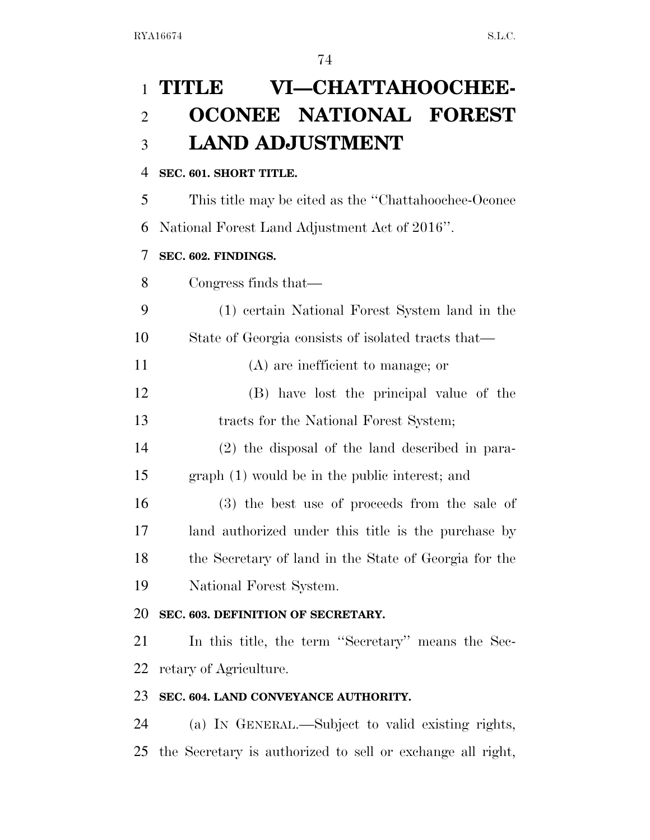# **TITLE VI—CHATTAHOOCHEE- OCONEE NATIONAL FOREST LAND ADJUSTMENT**

#### **SEC. 601. SHORT TITLE.**

This title may be cited as the ''Chattahoochee-Oconee

National Forest Land Adjustment Act of 2016''.

### **SEC. 602. FINDINGS.**

Congress finds that—

- (1) certain National Forest System land in the State of Georgia consists of isolated tracts that—
- (A) are inefficient to manage; or
- (B) have lost the principal value of the tracts for the National Forest System;
- (2) the disposal of the land described in para-graph (1) would be in the public interest; and
- (3) the best use of proceeds from the sale of land authorized under this title is the purchase by the Secretary of land in the State of Georgia for the National Forest System.

## **SEC. 603. DEFINITION OF SECRETARY.**

 In this title, the term ''Secretary'' means the Sec-retary of Agriculture.

## **SEC. 604. LAND CONVEYANCE AUTHORITY.**

 (a) IN GENERAL.—Subject to valid existing rights, the Secretary is authorized to sell or exchange all right,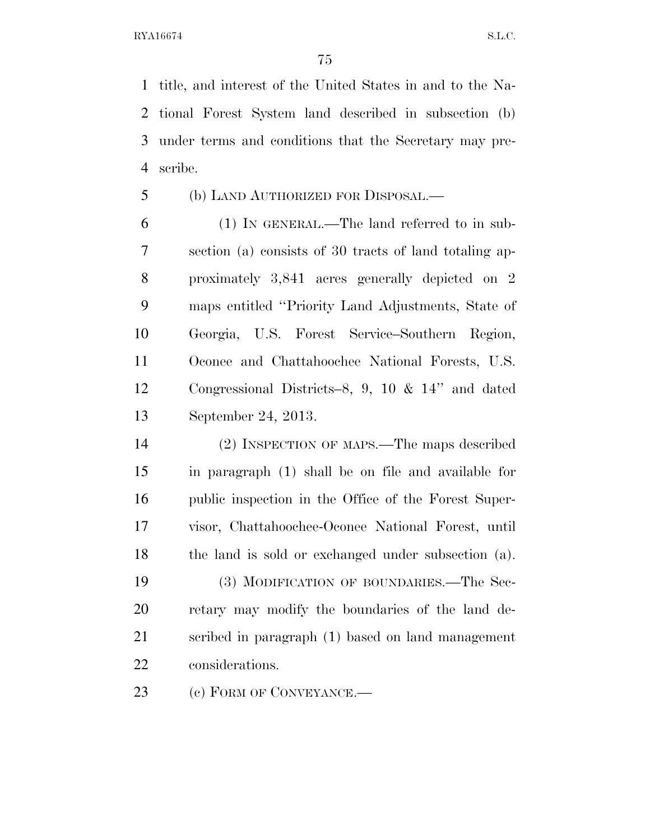title, and interest of the United States in and to the Na- tional Forest System land described in subsection (b) under terms and conditions that the Secretary may pre-scribe.

#### (b) LAND AUTHORIZED FOR DISPOSAL.—

 (1) IN GENERAL.—The land referred to in sub- section (a) consists of 30 tracts of land totaling ap- proximately 3,841 acres generally depicted on 2 maps entitled ''Priority Land Adjustments, State of Georgia, U.S. Forest Service–Southern Region, Oconee and Chattahoochee National Forests, U.S. Congressional Districts–8, 9, 10 & 14'' and dated September 24, 2013.

 (2) INSPECTION OF MAPS.—The maps described in paragraph (1) shall be on file and available for public inspection in the Office of the Forest Super- visor, Chattahoochee-Oconee National Forest, until the land is sold or exchanged under subsection (a). (3) MODIFICATION OF BOUNDARIES.—The Sec- retary may modify the boundaries of the land de- scribed in paragraph (1) based on land management considerations.

(c) FORM OF CONVEYANCE.—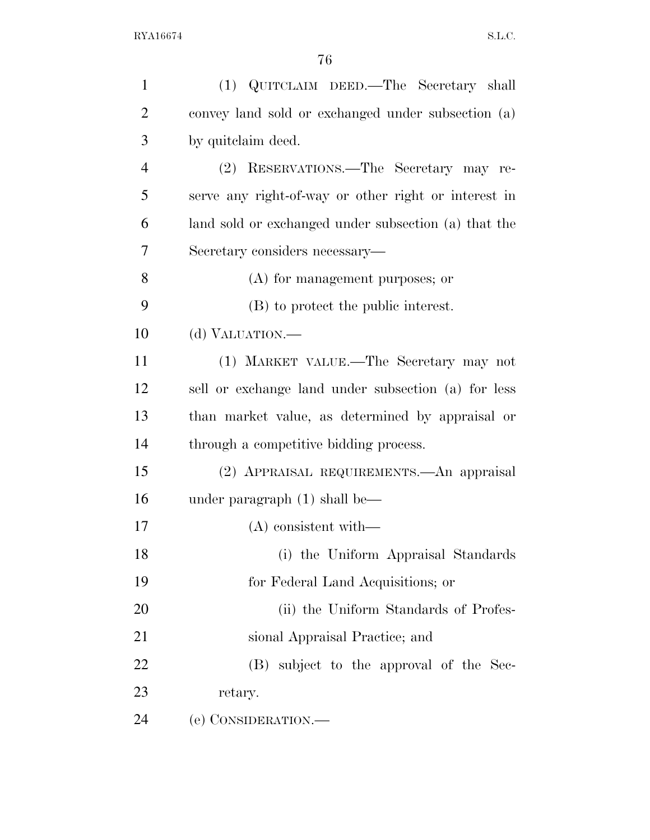| $\mathbf{1}$   | (1) QUITCLAIM DEED.—The Secretary shall              |
|----------------|------------------------------------------------------|
| $\overline{2}$ | convey land sold or exchanged under subsection (a)   |
| 3              | by quite laim deed.                                  |
| $\overline{4}$ | (2) RESERVATIONS.—The Secretary may re-              |
| 5              | serve any right-of-way or other right or interest in |
| 6              | land sold or exchanged under subsection (a) that the |
| 7              | Secretary considers necessary—                       |
| 8              | (A) for management purposes; or                      |
| 9              | (B) to protect the public interest.                  |
| 10             | (d) VALUATION.—                                      |
| 11             | (1) MARKET VALUE.—The Secretary may not              |
| 12             | sell or exchange land under subsection (a) for less  |
| 13             | than market value, as determined by appraisal or     |
| 14             | through a competitive bidding process.               |
| 15             | (2) APPRAISAL REQUIREMENTS.—An appraisal             |
| 16             | under paragraph $(1)$ shall be—                      |
| 17             | $(A)$ consistent with—                               |
| 18             | (i) the Uniform Appraisal Standards                  |
| 19             | for Federal Land Acquisitions; or                    |
| 20             | (ii) the Uniform Standards of Profes-                |
| 21             | sional Appraisal Practice; and                       |
| 22             | (B) subject to the approval of the Sec-              |
| 23             | retary.                                              |
| 24             | (e) CONSIDERATION.—                                  |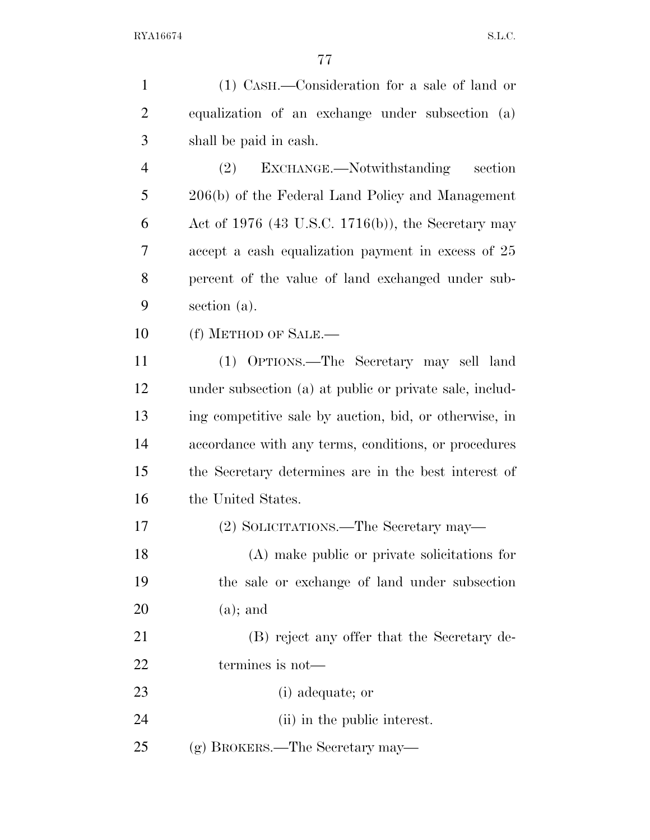| $\mathbf{1}$   | (1) CASH.—Consideration for a sale of land or           |
|----------------|---------------------------------------------------------|
| $\overline{2}$ | equalization of an exchange under subsection (a)        |
| 3              | shall be paid in cash.                                  |
| $\overline{4}$ | EXCHANGE.—Notwithstanding<br>(2)<br>section             |
| 5              | 206(b) of the Federal Land Policy and Management        |
| 6              | Act of 1976 (43 U.S.C. 1716(b)), the Secretary may      |
| 7              | accept a cash equalization payment in excess of 25      |
| 8              | percent of the value of land exchanged under sub-       |
| 9              | section (a).                                            |
| 10             | (f) METHOD OF SALE.—                                    |
| 11             | (1) OPTIONS.—The Secretary may sell land                |
| 12             | under subsection (a) at public or private sale, includ- |
| 13             | ing competitive sale by auction, bid, or otherwise, in  |
| 14             | accordance with any terms, conditions, or procedures    |
| 15             | the Secretary determines are in the best interest of    |
| 16             | the United States.                                      |
| 17             | (2) SOLICITATIONS.—The Secretary may—                   |
| 18             | (A) make public or private solicitations for            |
| 19             | the sale or exchange of land under subsection           |
| 20             | $(a)$ ; and                                             |
| 21             | (B) reject any offer that the Secretary de-             |
| 22             | termines is not—                                        |
| 23             | (i) adequate; or                                        |
| 24             | (ii) in the public interest.                            |
| 25             | (g) BROKERS.—The Secretary may—                         |